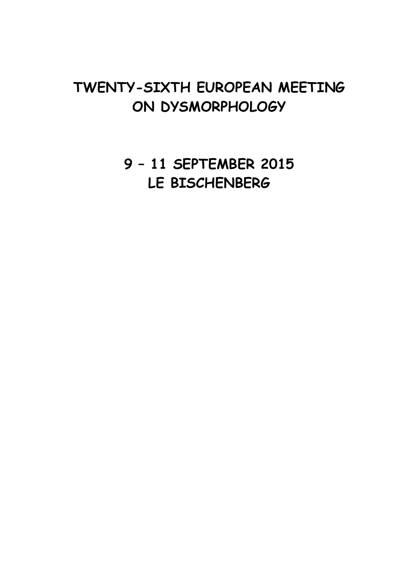# **TWENTY-SIXTH EUROPEAN MEETING ON DYSMORPHOLOGY**

**9 – 11 SEPTEMBER 2015 LE BISCHENBERG**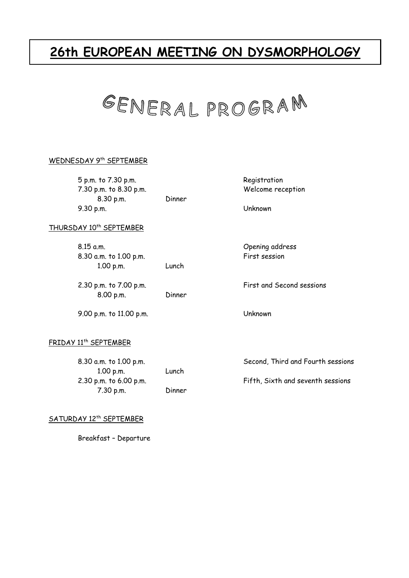# **26th EUROPEAN MEETING ON DYSMORPHOLOGY**



#### WEDNESDAY 9<sup>th</sup> SEPTEMBER

 5 p.m. to 7.30 p.m. Registration 7.30 p.m. to 8.30 p.m. Welcome reception 8.30 p.m. Dinner 9.30 p.m. Unknown

#### THURSDAY 10<sup>th</sup> SEPTEMBER

| 8.15 a.m.              |        |
|------------------------|--------|
| 8.30 a.m. to 1.00 p.m. |        |
| 1.00 p.m.              | Lunch  |
| 2.30 p.m. to 7.00 p.m. |        |
| 8.00 p.m.              | Dinner |

9.00 p.m. to 11.00 p.m. Unknown

Opening address First session

First and Second sessions

#### FRIDAY 11th SEPTEMBER

| 8.30 a.m. to 1.00 p.m.   |        | Second, Third and Fourth sessions |
|--------------------------|--------|-----------------------------------|
| $1.00$ p.m.              | Lunch  |                                   |
| $2.30$ p.m. to 6.00 p.m. |        | Fifth, Sixth and seventh sessions |
| $7.30$ p.m.              | Dinner |                                   |

#### SATURDAY 12<sup>th</sup> SEPTEMBER

Breakfast – Departure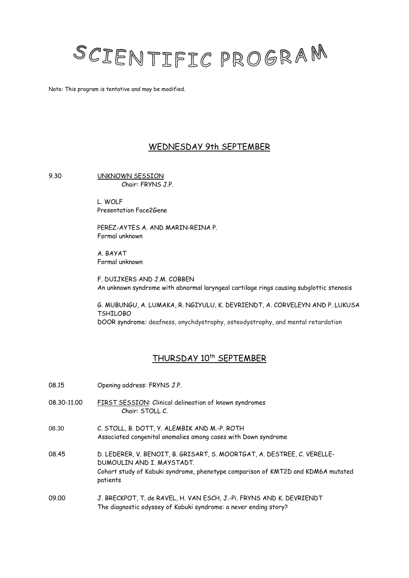# SCIENTIFIC PROGRAM

Note: This program is tentative and may be modified.

## WEDNESDAY 9th SEPTEMBER

9.30 UNKNOWN SESSION Chair: FRYNS J.P.

> L. WOLF Presentation Face2Gene

PEREZ-AYTES A. AND MARIN-REINA P. Formal unknown

A. BAYAT Formal unknown

F. DUIJKERS AND J.M. COBBEN An unknown syndrome with abnormal laryngeal cartilage rings causing subglottic stenosis

G. MUBUNGU, A. LUMAKA, R. NGIYULU, K. DEVRIENDT, A. CORVELEYN AND P. LUKUSA TSHILOBO DOOR syndrome: deafness, onychdystrophy, osteodystrophy, and mental retardation

## THURSDAY 10<sup>th</sup> SEPTEMBER

| 08.15       | Opening address: FRYNS J.P.                                                                                                                                                                          |
|-------------|------------------------------------------------------------------------------------------------------------------------------------------------------------------------------------------------------|
| 08.30-11.00 | FIRST SESSION: Clinical delineation of known syndromes<br>Chair: STOLL C.                                                                                                                            |
| 08.30       | C. STOLL, B. DOTT, Y. ALEMBIK AND M.-P. ROTH<br>Associated congenital anomalies among cases with Down syndrome                                                                                       |
| 08.45       | D. LEDERER, V. BENOIT, B. GRISART, S. MOORTGAT, A. DESTREE, C. VERELLE-<br>DUMOULIN AND I. MAYSTADT.<br>Cohort study of Kabuki syndrome, phenotype comparison of KMT2D and KDM6A mutated<br>patients |
| 09.00       | J. BRECKPOT, T. de RAVEL, H. VAN ESCH, J.-Pi. FRYNS AND K. DEVRIENDT<br>The diagnostic odyssey of Kabuki syndrome: a never ending story?                                                             |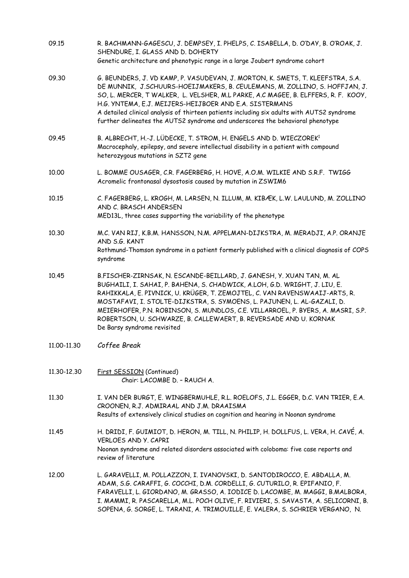| 09.15       | R. BACHMANN-GAGESCU, J. DEMPSEY, I. PHELPS, C. ISABELLA, D. O'DAY, B. O'ROAK, J.<br>SHENDURE, I. GLASS AND D. DOHERTY<br>Genetic architecture and phenotypic range in a large Joubert syndrome cohort                                                                                                                                                                                                                                                                                                |
|-------------|------------------------------------------------------------------------------------------------------------------------------------------------------------------------------------------------------------------------------------------------------------------------------------------------------------------------------------------------------------------------------------------------------------------------------------------------------------------------------------------------------|
| 09.30       | G. BEUNDERS, J. VD KAMP, P. VASUDEVAN, J. MORTON, K. SMETS, T. KLEEFSTRA, S.A.<br>DE MUNNIK, J.SCHUURS-HOEIJMAKERS, B. CEULEMANS, M. ZOLLINO, S. HOFFJAN, J.<br>SO, L. MERCER, T WALKER, L. VELSHER, M.L PARKE, A.C MAGEE, B. ELFFERS, R. F. KOOY,<br>H.G. YNTEMA, E.J. MEIJERS-HEIJBOER AND E.A. SISTERMANS<br>A detailed clinical analysis of thirteen patients including six adults with AUTS2 syndrome<br>further delineates the AUTS2 syndrome and underscores the behavioral phenotype         |
| 09.45       | B. ALBRECHT, H.-J. LÜDECKE, T. STROM, H. ENGELS AND D. WIECZOREK <sup>1</sup><br>Macrocephaly, epilepsy, and severe intellectual disability in a patient with compound<br>heterozygous mutations in SZT2 gene                                                                                                                                                                                                                                                                                        |
| 10.00       | L. BOMME OUSAGER, C.R. FAGERBERG, H. HOVE, A.O.M. WILKIE AND S.R.F. TWIGG<br>Acromelic frontonasal dysostosis caused by mutation in ZSWIM6                                                                                                                                                                                                                                                                                                                                                           |
| 10.15       | C. FAGERBERG, L. KROGH, M. LARSEN, N. ILLUM, M. KIBÆK, L.W. LAULUND, M. ZOLLINO<br>AND C. BRASCH ANDERSEN<br>MED13L, three cases supporting the variability of the phenotype                                                                                                                                                                                                                                                                                                                         |
| 10.30       | M.C. VAN RIJ, K.B.M. HANSSON, N.M. APPELMAN-DIJKSTRA, M. MERADJI, A.P. ORANJE<br>AND S.G. KANT<br>Rothmund-Thomson syndrome in a patient formerly published with a clinical diagnosis of COPS<br>syndrome                                                                                                                                                                                                                                                                                            |
| 10.45       | B.FISCHER-ZIRNSAK, N. ESCANDE-BEILLARD, J. GANESH, Y. XUAN TAN, M. AL<br>BUGHAILI, I. SAHAI, P. BAHENA, S. CHADWICK, A.LOH, G.D. WRIGHT, J. LIU, E.<br>RAHIKKALA, E. PIVNICK, U. KRÜGER, T. ZEMOJTEL, C. VAN RAVENSWAAIJ-ARTS, R.<br>MOSTAFAVI, I. STOLTE-DIJKSTRA, S. SYMOENS, L. PAJUNEN, L. AL-GAZALI, D.<br>MEIERHOFER, P.N. ROBINSON, S. MUNDLOS, C.E. VILLARROEL, P. BYERS, A. MASRI, S.P.<br>ROBERTSON, U. SCHWARZE, B. CALLEWAERT, B. REVERSADE AND U. KORNAK<br>De Barsy syndrome revisited |
| 11.00-11.30 | Coffee Break                                                                                                                                                                                                                                                                                                                                                                                                                                                                                         |
| 11,30-12,30 | First SESSION (Continued)<br>Chair: LACOMBE D. - RAUCH A.                                                                                                                                                                                                                                                                                                                                                                                                                                            |
| 11.30       | I. VAN DER BURGT, E. WINGBERMUHLE, R.L. ROELOFS, J.L. EGGER, D.C. VAN TRIER, E.A.<br>CROONEN, R.J. ADMIRAAL AND J.M. DRAAISMA<br>Results of extensively clinical studies on cognition and hearing in Noonan syndrome                                                                                                                                                                                                                                                                                 |
| 11.45       | H. DRIDI, F. GUIMIOT, D. HERON, M. TILL, N. PHILIP, H. DOLLFUS, L. VERA, H. CAVÉ, A.<br>VERLOES AND Y. CAPRI<br>Noonan syndrome and related disorders associated with coloboma: five case reports and<br>review of literature                                                                                                                                                                                                                                                                        |
| 12.00       | L. GARAVELLI, M. POLLAZZON, I. IVANOVSKI, D. SANTODIROCCO, E. ABDALLA, M.<br>ADAM, S.G. CARAFFI, G. COCCHI, D.M. CORDELLI, G. CUTURILO, R. EPIFANIO, F.<br>FARAVELLI, L. GIORDANO, M. GRASSO, A. IODICE D. LACOMBE, M. MAGGI, B.MALBORA,<br>I. MAMMI, R. PASCARELLA, M.L. POCH OLIVE, F. RIVIERI, S. SAVASTA, A. SELICORNI, B.<br>SOPENA, G. SORGE, L. TARANI, A. TRIMOUILLE, E. VALERA, S. SCHRIER VERGANO, N.                                                                                      |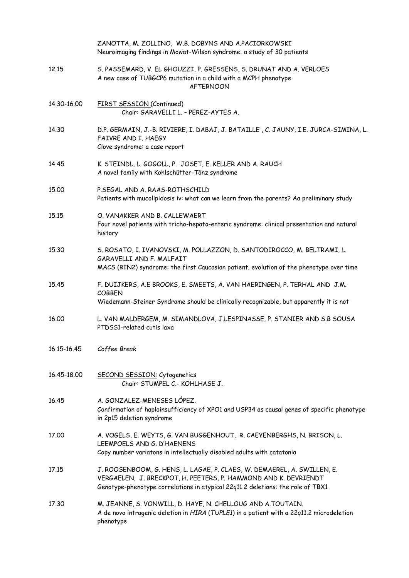|             | ZANOTTA, M. ZOLLINO, W.B. DOBYNS AND A.PACIORKOWSKI<br>Neuroimaging findings in Mowat-Wilson syndrome: a study of 30 patients                                                                                                 |
|-------------|-------------------------------------------------------------------------------------------------------------------------------------------------------------------------------------------------------------------------------|
| 12.15       | S. PASSEMARD, V. EL GHOUZZI, P. GRESSENS, S. DRUNAT AND A. VERLOES<br>A new case of TUBGCP6 mutation in a child with a MCPH phenotype<br><b>AFTERNOON</b>                                                                     |
| 14.30-16.00 | FIRST SESSION (Continued)<br>Chair: GARAVELLI L. - PEREZ-AYTES A.                                                                                                                                                             |
| 14.30       | D.P. GERMAIN, J.-B. RIVIERE, I. DABAJ, J. BATAILLE, C. JAUNY, I.E. JURCA-SIMINA, L.<br>FAIVRE AND I. HAEGY<br>Clove syndrome: a case report                                                                                   |
| 14.45       | K. STEINDL, L. GOGOLL, P. JOSET, E. KELLER AND A. RAUCH<br>A novel family with Kohlschütter-Tönz syndrome                                                                                                                     |
| 15.00       | P.SEGAL AND A. RAAS-ROTHSCHILD<br>Patients with mucolipidosis iv: what can we learn from the parents? Aa preliminary study                                                                                                    |
| 15.15       | O. VANAKKER AND B. CALLEWAERT<br>Four novel patients with tricho-hepato-enteric syndrome: clinical presentation and natural<br>history                                                                                        |
| 15.30       | S. ROSATO, I. IVANOVSKI, M. POLLAZZON, D. SANTODIROCCO, M. BELTRAMI, L.<br>GARAVELLI AND F. MALFAIT<br>MACS (RIN2) syndrome: the first Caucasian patient. evolution of the phenotype over time                                |
| 15.45       | F. DUIJKERS, A.E BROOKS, E. SMEETS, A. VAN HAERINGEN, P. TERHAL AND J.M.<br><b>COBBEN</b><br>Wiedemann-Steiner Syndrome should be clinically recognizable, but apparently it is not                                           |
| 16.00       | L. VAN MALDERGEM, M. SIMANDLOVA, J.LESPINASSE, P. STANIER AND S.B SOUSA<br>PTDSS1-related cutis laxa                                                                                                                          |
| 16.15-16.45 | Coffee Break                                                                                                                                                                                                                  |
| 16.45-18.00 | SECOND SESSION: Cytogenetics<br>Chair: STUMPEL C.- KOHLHASE J.                                                                                                                                                                |
| 16.45       | A. GONZALEZ-MENESES LÓPEZ.<br>Confirmation of haploinsufficiency of XPO1 and USP34 as causal genes of specific phenotype<br>in 2p15 deletion syndrome                                                                         |
| 17.00       | A. VOGELS, E. WEYTS, G. VAN BUGGENHOUT, R. CAEYENBERGHS, N. BRISON, L.<br>LEEMPOELS AND G. D'HAENENS<br>Copy number variatons in intellectually disabled adults with catatonia                                                |
| 17.15       | J. ROOSENBOOM, G. HENS, L. LAGAE, P. CLAES, W. DEMAEREL, A. SWILLEN, E.<br>VERGAELEN, J. BRECKPOT, H. PEETERS, P. HAMMOND AND K. DEVRIENDT<br>Genotype-phenotype correlations in atypical 22q11.2 deletions: the role of TBX1 |
| 17.30       | M. JEANNE, S. VONWILL, D. HAYE, N. CHELLOUG AND A. TOUTAIN.<br>A de novo intragenic deletion in HIRA (TUPLE1) in a patient with a 22q11.2 microdeletion<br>phenotype                                                          |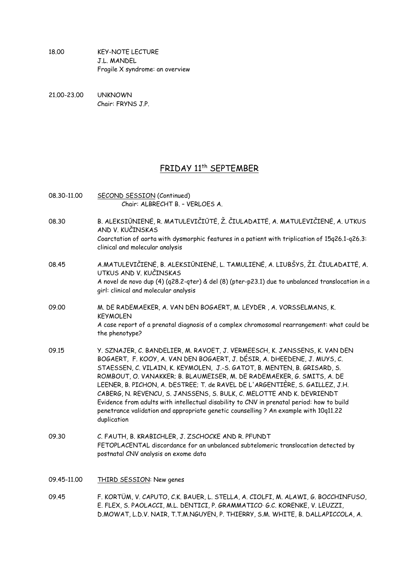18.00 KEY-NOTE LECTURE J.L. MANDEL Fragile X syndrome: an overview

21.00-23.00 UNKNOWN Chair: FRYNS J.P.

### FRIDAY 11th SEPTEMBER

- 08.30-11.00 SECOND SESSION (Continued) Chair: ALBRECHT B. – VERLOES A. 08.30 B. ALEKSIŪNIENĖ, R. MATULEVIČIŪTĖ, Ž. ČIULADAITĖ, A. MATULEVIČIENĖ, A. UTKUS AND V. KUČINSKAS Coarctation of aorta with dysmorphic features in a patient with triplication of 15q26.1-q26.3: clinical and molecular analysis 08.45 A.MATULEVIČIENĖ, B. ALEKSIŪNIENĖ, L. TAMULIENĖ, A. LIUBŠYS, ŽI. ČIULADAITĖ, A. UTKUS AND V. KUČINSKAS A novel de novo dup (4) (q28.2-qter) & del (8) (pter-p23.1) due to unbalanced translocation in a girl: clinical and molecular analysis 09.00 M. DE RADEMAEKER, A. VAN DEN BOGAERT, M. LEYDER , A. VORSSELMANS, K. KEYMOLEN A case report of a prenatal diagnosis of a complex chromosomal rearrangement: what could be the phenotype? 09.15 Y. SZNAJER, C. BANDELIER, M. RAVOET, J. VERMEESCH, K. JANSSENS, K. VAN DEN BOGAERT, F. KOOY, A. VAN DEN BOGAERT, J. DÉSIR, A. DHEEDENE, J. MUYS, C. STAESSEN, C. VILAIN, K. KEYMOLEN, J.-S. GATOT, B. MENTEN, B. GRISARD, S. ROMBOUT, O. VANAKKER; B. BLAUMEISER, M. DE RADEMAEKER, G. SMITS, A. DE LEENER, B. PICHON, A. DESTREE; T. de RAVEL DE L'ARGENTIÈRE, S. GAILLEZ, J.H. CABERG, N. REVENCU, S. JANSSENS, S. BULK, C. MELOTTE AND K. DEVRIENDT Evidence from adults with intellectual disability to CNV in prenatal period: how to build penetrance validation and appropriate genetic counselling ? An example with 10q11.22 duplication 09.30 C. FAUTH, B. KRABICHLER, J. ZSCHOCKE AND R. PFUNDT FETOPLACENTAL discordance for an unbalanced subtelomeric translocation detected by postnatal CNV analysis on exome data 09.45-11.00 THIRD SESSION: New genes
- 09.45 F. KORTÜM, V. CAPUTO, C.K. BAUER, L. STELLA, A. CIOLFI, M. ALAWI, G. BOCCHINFUSO, E. FLEX, S. PAOLACCI, M.L. DENTICI, P. GRAMMATICO, G.C. KORENKE, V. LEUZZI, D.MOWAT, L.D.V. NAIR, T.T.M.NGUYEN, P. THIERRY, S.M. WHITE, B. DALLAPICCOLA, A.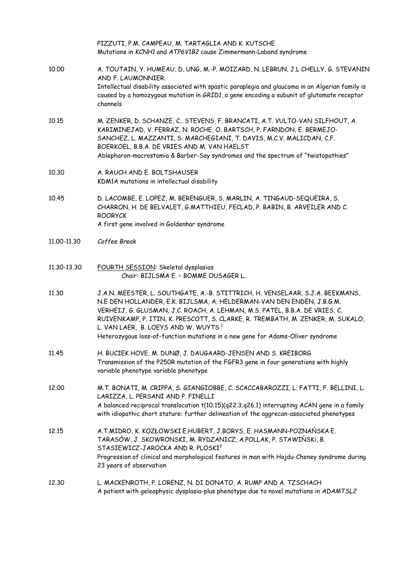|             | PIZZUTI, P.M. CAMPEAU, M. TARTAGLIA AND K. KUTSCHE<br>Mutations in KCNH1 and ATP6V1B2 cause Zimmermann-Laband syndrome                                                                                                                                                                                                                                                                                                                                         |
|-------------|----------------------------------------------------------------------------------------------------------------------------------------------------------------------------------------------------------------------------------------------------------------------------------------------------------------------------------------------------------------------------------------------------------------------------------------------------------------|
| 10.00       | A. TOUTAIN, Y. HUMEAU, D. UNG, M.-P. MOIZARD, N. LEBRUN, J.L CHELLY, G. STEVANIN<br>AND F. LAUMONNIER.<br>Intellectual disability associated with spastic paraplegia and glaucoma in an Algerian family is<br>caused by a homozygous mutation in GRID1, a gene encoding a subunit of glutamate receptor<br>channels                                                                                                                                            |
| 10.15       | M. ZENKER, D. SCHANZE, C STEVENS, F. BRANCATI, A.T. VULTO-VAN SILFHOUT, A.<br>KARIMINEJAD, V. FERRAZ, N. ROCHE, O. BARTSCH, P. FARNDON, E. BERMEJO-<br>SANCHEZ, L. MAZZANTI, S. MARCHEGIANI, T. DAVIS, M.C.V. MALICDAN, C.F.<br>BOERKOEL, B.B.A. DE VRIES AND M. VAN HAELST<br>Ablepharon-macrostomia & Barber-Say syndromes and the spectrum of "twistopathies"                                                                                               |
| 10.30       | A. RAUCH AND E. BOLTSHAUSER<br>KDM1A mutations in intellectual disability                                                                                                                                                                                                                                                                                                                                                                                      |
| 10.45       | D. LACOMBE, E. LOPEZ, M. BERENGUER, S. MARLIN, A. TINGAUD-SEQUEIRA, S.<br>CHARRON, H. DE BELVALET, G.MATTHIEU, FECLAD, P. BABIN, B. ARVEILER AND C.<br><b>ROORYCK</b><br>A first gene involved in Goldenhar syndrome                                                                                                                                                                                                                                           |
| 11.00-11.30 | Coffee Break                                                                                                                                                                                                                                                                                                                                                                                                                                                   |
| 11.30-13.30 | FOURTH SESSION: Skeletal dysplasias<br>Chair: BIJLSMA E. - BOMME OUSAGER L                                                                                                                                                                                                                                                                                                                                                                                     |
| 11.30       | J.A.N. MEESTER, L. SOUTHGATE, A.-B. STITTRICH, H. VENSELAAR, S.J.A. BEEKMANS,<br>N.E DEN HOLLANDER, E.K. BIJLSMA, A. HELDERMAN-VAN DEN ENDEN, J.B.G.M.<br>VERHEIJ, G. GLUSMAN, J.C. ROACH, A. LEHMAN, M.S. PATEL, B.B.A. DE VRIES, C.<br>RUIVENKAMP, P. ITIN, K. PRESCOTT, S. CLARKE, R. TREMBATH, M. ZENKER, M. SUKALO,<br>L. VAN LAER, B. LOEYS AND W. WUYTS <sup>1</sup><br>Heterozygous loss-of-function mutations in a new gene for Adams-Oliver syndrome |
| 11.45       | H. BUCIEK HOVE, M. DUNØ, J. DAUGAARD-JENSEN AND S. KREIBORG<br>Transmission of the P250R mutation of the FGFR3 gene in four generations with highly<br>variable phenotype variable phenotype                                                                                                                                                                                                                                                                   |
| 12.00       | M.T. BONATI, M. CRIPPA, S. GIANGIOBBE, C. SCACCABAROZZI, L. FATTI, F. BELLINI, L.<br>LARIZZA, L. PERSANI AND P. FINELLI<br>A balanced reciprocal translocation t(10;15)(q22.3;q26.1) interrupting ACAN gene in a family<br>with idiopathic short stature: further delineation of the aggrecan-associated phenotypes                                                                                                                                            |
| 12.15       | A.T.MIDRO, K. KOZŁOWSKI E.HUBERT, J.BORYS, E. HASMANN-POZNAŃSKA E.<br>TARASÓW, J. SKOWRONSKI, M. RYDZANICZ, A.POLLAK, P. STAWIŃSKI, B.<br>STASIEWICZ-JAROCKA AND R. PLOSKI7<br>Progression of clinical and morphological features in man with Hajdu-Cheney syndrome during<br>23 years of observation                                                                                                                                                          |
| 12.30       | L. MACKENROTH, P. LORENZ, N. DI DONATO, A. RUMP AND A. TZSCHACH<br>A patient with geleophysic dysplasia-plus phenotype due to novel mutations in ADAMTSL2                                                                                                                                                                                                                                                                                                      |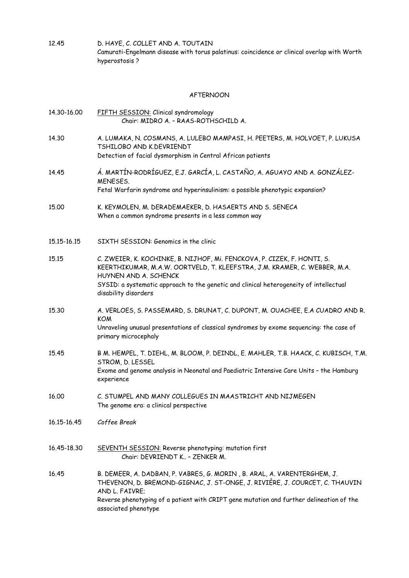12.45 D. HAYE, C. COLLET AND A. TOUTAIN Camurati-Engelmann disease with torus palatinus: coincidence or clinical overlap with Worth hyperostosis ?

#### AFTERNOON

| 14.30-16.00 | FIFTH SESSION: Clinical syndromology<br>Chair: MIDRO A. - RAAS-ROTHSCHILD A.                                                                                                                                                                                                                    |
|-------------|-------------------------------------------------------------------------------------------------------------------------------------------------------------------------------------------------------------------------------------------------------------------------------------------------|
| 14.30       | A. LUMAKA, N. COSMANS, A. LULEBO MAMPASI, H. PEETERS, M. HOLVOET, P. LUKUSA<br>TSHILOBO AND K.DEVRIENDT<br>Detection of facial dysmorphism in Central African patients                                                                                                                          |
| 14.45       | Á. MARTÍN-RODRÍGUEZ, E.J. GARCÍA, L. CASTAÑO, A. AGUAYO AND A. GONZÁLEZ-<br>MENESES.<br>Fetal Warfarin syndrome and hyperinsulinism: a possible phenotypic expansion?                                                                                                                           |
| 15.00       | K. KEYMOLEN, M. DERADEMAEKER, D. HASAERTS AND S. SENECA<br>When a common syndrome presents in a less common way                                                                                                                                                                                 |
| 15.15-16.15 | SIXTH SESSION: Genomics in the clinic                                                                                                                                                                                                                                                           |
| 15.15       | C. ZWEIER, K. KOCHINKE, B. NIJHOF, Mi. FENCKOVA, P. CIZEK, F. HONTI, S.<br>KEERTHIKUMAR, M.A.W. OORTVELD, T. KLEEFSTRA, J.M. KRAMER, C. WEBBER, M.A.<br>HUYNEN AND A. SCHENCK<br>SYSID: a systematic approach to the genetic and clinical heterogeneity of intellectual<br>disability disorders |
| 15.30       | A. VERLOES, S. PASSEMARD, S. DRUNAT, C. DUPONT, M. OUACHEE, E.A CUADRO AND R.<br><b>KOM</b><br>Unraveling unusual presentations of classical syndromes by exome sequencing: the case of<br>primary microcephaly                                                                                 |
| 15.45       | B M. HEMPEL, T. DIEHL, M. BLOOM, P. DEINDL, E. MAHLER, T.B. HAACK, C. KUBISCH, T.M.<br>STROM, D. LESSEL<br>Exome and genome analysis in Neonatal and Paediatric Intensive Care Units - the Hamburg<br>experience                                                                                |
| 16.00       | C. STUMPEL AND MANY COLLEGUES IN MAASTRICHT AND NIJMEGEN<br>The genome era: a clinical perspective                                                                                                                                                                                              |
| 16.15-16.45 | Coffee Break                                                                                                                                                                                                                                                                                    |
| 16.45-18.30 | SEVENTH SESSION: Reverse phenotyping: mutation first<br>Chair: DEVRIENDT K - ZENKER M.                                                                                                                                                                                                          |
| 16.45       | B. DEMEER, A. DADBAN, P. VABRES, G. MORIN, B. ARAL, A. VARENTERGHEM, J.<br>THEVENON, D. BREMOND-GIGNAC, J. ST-ONGE, J. RIVIÈRE, J. COURCET, C. THAUVIN<br>AND L. FAIVRE;<br>Reverse phenotyping of a patient with CRIPT gene mutation and further delineation of the<br>associated phenotype    |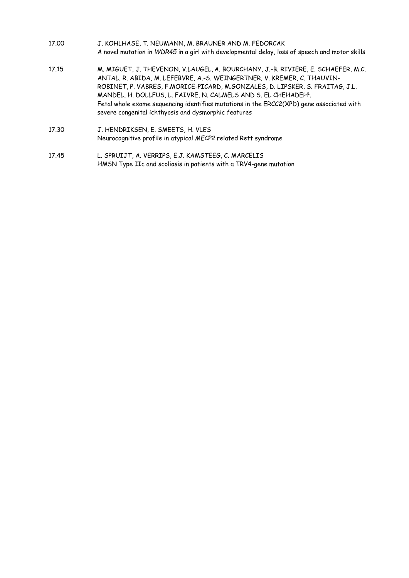- 17.00 J. KOHLHASE, T. NEUMANN, M. BRAUNER AND M. FEDORCAK A novel mutation in *WDR45* in a girl with developmental delay, loss of speech and motor skills
- 17.15 M. MIGUET, J. THEVENON, V.LAUGEL, A. BOURCHANY, J.-B. RIVIERE, E. SCHAEFER, M.C. ANTAL, R. ABIDA, M. LEFEBVRE, A.-S. WEINGERTNER, V. KREMER, C. THAUVIN-ROBINET, P. VABRES, F.MORICE-PICARD, M.GONZALES, D. LIPSKER, S. FRAITAG, J.L. MANDEL, H. DOLLFUS, L. FAIVRE, N. CALMELS AND S. EL CHEHADEH<sup>1</sup>. Fetal whole exome sequencing identifies mutations in the ERCC2(XPD) gene associated with severe congenital ichthyosis and dysmorphic features
- 17.30 J. HENDRIKSEN, E. SMEETS, H. VLES Neurocognitive profile in atypical *MECP2* related Rett syndrome
- 17.45 L. SPRUIJT, A. VERRIPS, E.J. KAMSTEEG, C. MARCELIS HMSN Type IIc and scoliosis in patients with a TRV4-gene mutation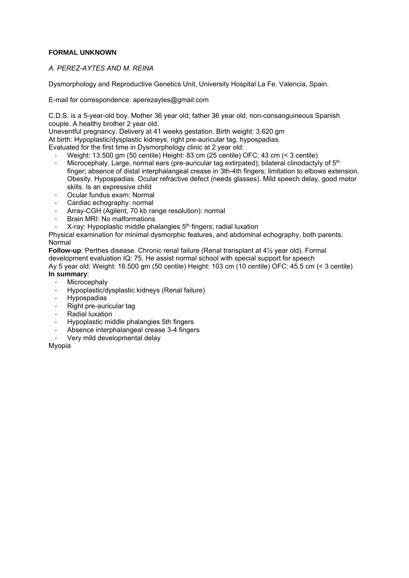#### **FORMAL UNKNOWN**

#### *A. PEREZ-AYTES AND M. REINA*

Dysmorphology and Reproductive Genetics Unit, University Hospital La Fe. Valencia, Spain*.* 

E-mail for correspondence: aperezaytes@gmail.com

C.D.S. is a 5-year-old boy. Mother 36 year old; father 36 year old, non-consanguineous Spanish couple. A healthy brother 2 year old.

Uneventful pregnancy. Delivery at 41 weeks gestation. Birth weight: 3.620 gm

At birth: Hypoplastic/dysplastic kidneys, right pre-auricular tag, hypospadias.

Evaluated for the first time in Dysmorphology clinic at 2 year old:

- ‐ Weight: 13.500 gm (50 centile) Height: 83 cm (25 centile) OFC: 43 cm (< 3 centile)
- Microcephaly. Large, normal ears (pre-auricular tag extirpated); bilateral clinodactyly of 5<sup>th</sup> finger; absence of distal interphalangeal crease in 3th-4th fingers; limitation to elbows extension. Obesity. Hypospadias. Ocular refractive defect (needs glasses). Mild speech delay, good motor skills. Is an expressive child
- ‐ Ocular fundus exam: Normal
- ‐ Cardiac echography: normal
- ‐ Array-CGH (Agilent, 70 kb range resolution): normal
- ‐ Brain MRI: No malformations
- $X$ -ray: Hypoplastic middle phalangies  $5<sup>th</sup>$  fingers; radial luxation

Physical examination for minimal dysmorphic features, and abdominal echography, both parents: Normal

**Follow-up**: Perthes disease. Chronic renal failure (Renal transplant at 4½ year old). Formal development evaluation IQ: 75. He assist normal school with special support for speech Ay 5 year old: Weight: 16.500 gm (50 centile) Height: 103 cm (10 centile) OFC: 45.5 cm (< 3 centile) **In summary**:

- **Microcephaly**
- ‐ Hypoplastic/dysplastic kidneys (Renal failure)
- ‐ Hypospadias
- ‐ Right pre-auricular tag
- ‐ Radial luxation
- ‐ Hypoplastic middle phalangies 5th fingers
- ‐ Absence interphalangeal crease 3-4 fingers
- ‐ Very mild developmental delay

Myopia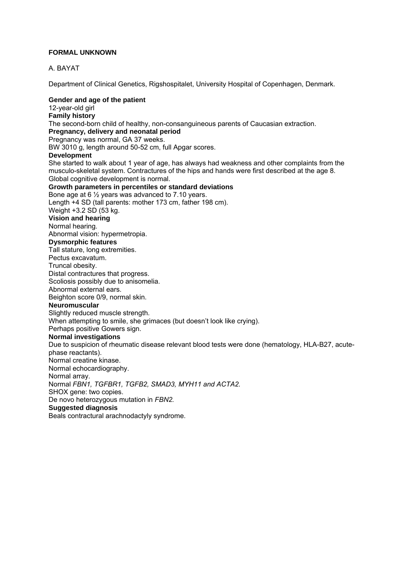#### **FORMAL UNKNOWN**

#### A. BAYAT

Department of Clinical Genetics, Rigshospitalet, University Hospital of Copenhagen, Denmark.

#### **Gender and age of the patient**

12-year-old girl **Family history**  The second-born child of healthy, non-consanguineous parents of Caucasian extraction. **Pregnancy, delivery and neonatal period**  Pregnancy was normal, GA 37 weeks. BW 3010 g, length around 50-52 cm, full Apgar scores. **Development** She started to walk about 1 year of age, has always had weakness and other complaints from the musculo-skeletal system. Contractures of the hips and hands were first described at the age 8. Global cognitive development is normal. **Growth parameters in percentiles or standard deviations**  Bone age at 6 ½ years was advanced to 7.10 years. Length +4 SD (tall parents: mother 173 cm, father 198 cm). Weight +3.2 SD (53 kg. **Vision and hearing** Normal hearing. Abnormal vision: hypermetropia. **Dysmorphic features** Tall stature, long extremities. Pectus excavatum. Truncal obesity. Distal contractures that progress. Scoliosis possibly due to anisomelia. Abnormal external ears. Beighton score 0/9, normal skin. **Neuromuscular** Slightly reduced muscle strength. When attempting to smile, she grimaces (but doesn't look like crying). Perhaps positive Gowers sign. **Normal investigations** Due to suspicion of rheumatic disease relevant blood tests were done (hematology, HLA-B27, acutephase reactants). Normal creatine kinase. Normal echocardiography. Normal array. Normal *FBN1, TGFBR1, TGFB2, SMAD3, MYH11 and ACTA2.*  SHOX gene: two copies. De novo heterozygous mutation in *FBN2.*  **Suggested diagnosis**

Beals contractural arachnodactyly syndrome.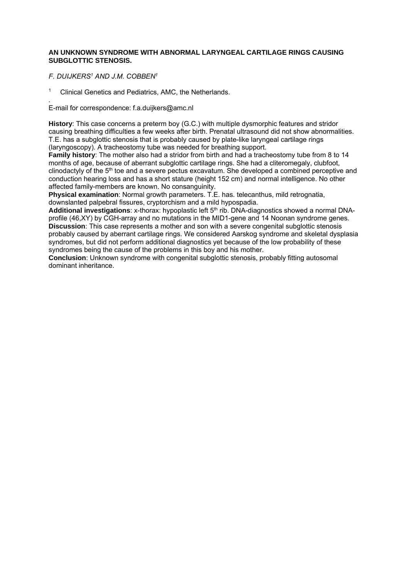#### **AN UNKNOWN SYNDROME WITH ABNORMAL LARYNGEAL CARTILAGE RINGS CAUSING SUBGLOTTIC STENOSIS.**

*F. DUIJKERS1 AND J.M. COBBEN1*

<sup>1</sup> Clinical Genetics and Pediatrics, AMC, the Netherlands.

*.*  E-mail for correspondence: f.a.duijkers@amc.nl

**History**: This case concerns a preterm boy (G.C.) with multiple dysmorphic features and stridor causing breathing difficulties a few weeks after birth. Prenatal ultrasound did not show abnormalities. T.E. has a subglottic stenosis that is probably caused by plate-like laryngeal cartilage rings (laryngoscopy). A tracheostomy tube was needed for breathing support.

**Family history**: The mother also had a stridor from birth and had a tracheostomy tube from 8 to 14 months of age, because of aberrant subglottic cartilage rings. She had a cliteromegaly, clubfoot, clinodactyly of the 5<sup>th</sup> toe and a severe pectus excavatum. She developed a combined perceptive and conduction hearing loss and has a short stature (height 152 cm) and normal intelligence. No other affected family-members are known. No consanguinity.

**Physical examination**: Normal growth parameters. T.E. has. telecanthus, mild retrognatia, downslanted palpebral fissures, cryptorchism and a mild hypospadia.

Additional investigations: x-thorax: hypoplastic left 5<sup>th</sup> rib. DNA-diagnostics showed a normal DNAprofile (46,XY) by CGH-array and no mutations in the MID1-gene and 14 Noonan syndrome genes. **Discussion**: This case represents a mother and son with a severe congenital subglottic stenosis probably caused by aberrant cartilage rings. We considered Aarskog syndrome and skeletal dysplasia syndromes, but did not perform additional diagnostics yet because of the low probability of these syndromes being the cause of the problems in this boy and his mother.

**Conclusion**: Unknown syndrome with congenital subglottic stenosis, probably fitting autosomal dominant inheritance.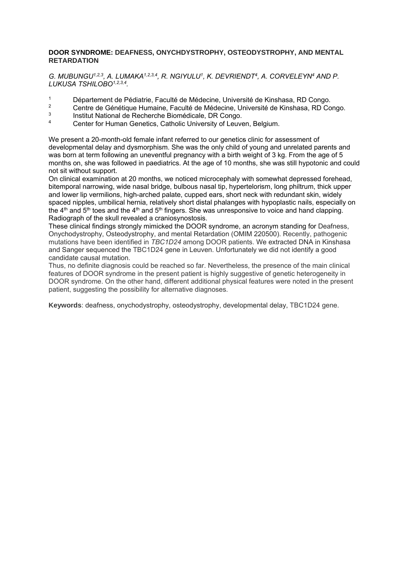#### **DOOR SYNDROME: DEAFNESS, ONYCHDYSTROPHY, OSTEODYSTROPHY, AND MENTAL RETARDATION**

*G. MUBUNGU1,2,3, A. LUMAKA1,2,3,4, R. NGIYULU1, K. DEVRIENDT4, A. CORVELEYN4 AND P. LUKUSA TSHILOBO1,2,3,4.* 

- 1 Département de Pédiatrie, Faculté de Médecine, Université de Kinshasa, RD Congo.<br>2 Centre de Cénétique Humaine, Faculté de Médecine, Université de Kinshasa, RD Ce
- <sup>2</sup> Centre de Génétique Humaine, Faculté de Médecine, Université de Kinshasa, RD Congo.
- 3 Institut National de Recherche Biomédicale, DR Congo.
- Center for Human Genetics, Catholic University of Leuven, Belgium.

We present a 20-month-old female infant referred to our genetics clinic for assessment of developmental delay and dysmorphism. She was the only child of young and unrelated parents and was born at term following an uneventful pregnancy with a birth weight of 3 kg. From the age of 5 months on, she was followed in paediatrics. At the age of 10 months, she was still hypotonic and could not sit without support.

On clinical examination at 20 months, we noticed microcephaly with somewhat depressed forehead, bitemporal narrowing, wide nasal bridge, bulbous nasal tip, hypertelorism, long philtrum, thick upper and lower lip vermilions, high-arched palate, cupped ears, short neck with redundant skin, widely spaced nipples, umbilical hernia, relatively short distal phalanges with hypoplastic nails, especially on the  $4<sup>th</sup>$  and  $5<sup>th</sup>$  toes and the  $4<sup>th</sup>$  and  $5<sup>th</sup>$  fingers. She was unresponsive to voice and hand clapping. Radiograph of the skull revealed a craniosynostosis.

These clinical findings strongly mimicked the DOOR syndrome, an acronym standing for Deafness, Onychodystrophy, Osteodystrophy, and mental Retardation (OMIM 220500). Recently, pathogenic mutations have been identified in *TBC1D24* among DOOR patients. We extracted DNA in Kinshasa and Sanger sequenced the TBC1D24 gene in Leuven. Unfortunately we did not identify a good candidate causal mutation.

Thus, no definite diagnosis could be reached so far. Nevertheless, the presence of the main clinical features of DOOR syndrome in the present patient is highly suggestive of genetic heterogeneity in DOOR syndrome. On the other hand, different additional physical features were noted in the present patient, suggesting the possibility for alternative diagnoses.

**Keywords**: deafness, onychodystrophy, osteodystrophy, developmental delay, TBC1D24 gene.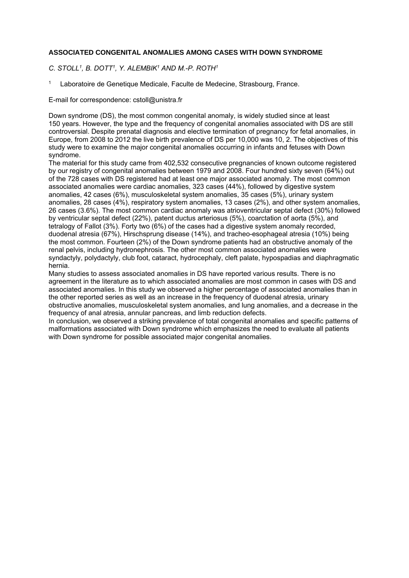#### **ASSOCIATED CONGENITAL ANOMALIES AMONG CASES WITH DOWN SYNDROME**

*C. STOLL1, B. DOTT1, Y. ALEMBIK1 AND M.-P. ROTH1*

Laboratoire de Genetique Medicale, Faculte de Medecine, Strasbourg, France.

E-mail for correspondence: cstoll@unistra.fr

Down syndrome (DS), the most common congenital anomaly, is widely studied since at least 150 years. However, the type and the frequency of congenital anomalies associated with DS are still controversial. Despite prenatal diagnosis and elective termination of pregnancy for fetal anomalies, in Europe, from 2008 to 2012 the live birth prevalence of DS per 10,000 was 10, 2. The objectives of this study were to examine the major congenital anomalies occurring in infants and fetuses with Down syndrome.

The material for this study came from 402,532 consecutive pregnancies of known outcome registered by our registry of congenital anomalies between 1979 and 2008. Four hundred sixty seven (64%) out of the 728 cases with DS registered had at least one major associated anomaly. The most common associated anomalies were cardiac anomalies, 323 cases (44%), followed by digestive system anomalies, 42 cases (6%), musculoskeletal system anomalies, 35 cases (5%), urinary system anomalies, 28 cases (4%), respiratory system anomalies, 13 cases (2%), and other system anomalies, 26 cases (3.6%). The most common cardiac anomaly was atrioventricular septal defect (30%) followed by ventricular septal defect (22%), patent ductus arteriosus (5%), coarctation of aorta (5%), and tetralogy of Fallot (3%). Forty two (6%) of the cases had a digestive system anomaly recorded, duodenal atresia (67%), Hirschsprung disease (14%), and tracheo-esophageal atresia (10%) being the most common. Fourteen (2%) of the Down syndrome patients had an obstructive anomaly of the renal pelvis, including hydronephrosis. The other most common associated anomalies were syndactyly, polydactyly, club foot, cataract, hydrocephaly, cleft palate, hypospadias and diaphragmatic hernia.

Many studies to assess associated anomalies in DS have reported various results. There is no agreement in the literature as to which associated anomalies are most common in cases with DS and associated anomalies. In this study we observed a higher percentage of associated anomalies than in the other reported series as well as an increase in the frequency of duodenal atresia, urinary obstructive anomalies, musculoskeletal system anomalies, and lung anomalies, and a decrease in the frequency of anal atresia, annular pancreas, and limb reduction defects.

In conclusion, we observed a striking prevalence of total congenital anomalies and specific patterns of malformations associated with Down syndrome which emphasizes the need to evaluate all patients with Down syndrome for possible associated major congenital anomalies.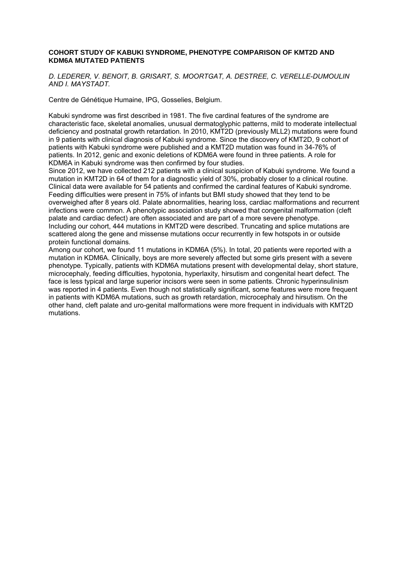#### **COHORT STUDY OF KABUKI SYNDROME, PHENOTYPE COMPARISON OF KMT2D AND KDM6A MUTATED PATIENTS**

*D. LEDERER, V. BENOIT, B. GRISART, S. MOORTGAT, A. DESTREE, C. VERELLE-DUMOULIN AND I. MAYSTADT.* 

Centre de Génétique Humaine, IPG, Gosselies, Belgium.

Kabuki syndrome was first described in 1981. The five cardinal features of the syndrome are characteristic face, skeletal anomalies, unusual dermatoglyphic patterns, mild to moderate intellectual deficiency and postnatal growth retardation. In 2010, KMT2D (previously MLL2) mutations were found in 9 patients with clinical diagnosis of Kabuki syndrome. Since the discovery of KMT2D, 9 cohort of patients with Kabuki syndrome were published and a KMT2D mutation was found in 34-76% of patients. In 2012, genic and exonic deletions of KDM6A were found in three patients. A role for KDM6A in Kabuki syndrome was then confirmed by four studies.

Since 2012, we have collected 212 patients with a clinical suspicion of Kabuki syndrome. We found a mutation in KMT2D in 64 of them for a diagnostic yield of 30%, probably closer to a clinical routine. Clinical data were available for 54 patients and confirmed the cardinal features of Kabuki syndrome. Feeding difficulties were present in 75% of infants but BMI study showed that they tend to be overweighed after 8 years old. Palate abnormalities, hearing loss, cardiac malformations and recurrent infections were common. A phenotypic association study showed that congenital malformation (cleft palate and cardiac defect) are often associated and are part of a more severe phenotype. Including our cohort, 444 mutations in KMT2D were described. Truncating and splice mutations are scattered along the gene and missense mutations occur recurrently in few hotspots in or outside protein functional domains.

Among our cohort, we found 11 mutations in KDM6A (5%). In total, 20 patients were reported with a mutation in KDM6A. Clinically, boys are more severely affected but some girls present with a severe phenotype. Typically, patients with KDM6A mutations present with developmental delay, short stature, microcephaly, feeding difficulties, hypotonia, hyperlaxity, hirsutism and congenital heart defect. The face is less typical and large superior incisors were seen in some patients. Chronic hyperinsulinism was reported in 4 patients. Even though not statistically significant, some features were more frequent in patients with KDM6A mutations, such as growth retardation, microcephaly and hirsutism. On the other hand, cleft palate and uro-genital malformations were more frequent in individuals with KMT2D mutations.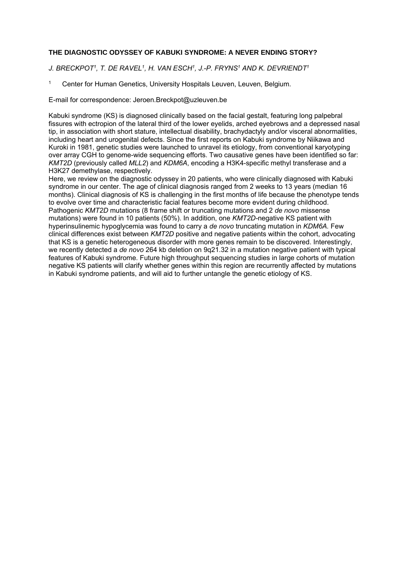#### **THE DIAGNOSTIC ODYSSEY OF KABUKI SYNDROME: A NEVER ENDING STORY?**

*J. BRECKPOT1, T. DE RAVEL1, H. VAN ESCH1, J.-P. FRYNS1 AND K. DEVRIENDT1*

1 Center for Human Genetics, University Hospitals Leuven, Leuven, Belgium.

E-mail for correspondence: Jeroen.Breckpot@uzleuven.be

Kabuki syndrome (KS) is diagnosed clinically based on the facial gestalt, featuring long palpebral fissures with ectropion of the lateral third of the lower eyelids, arched eyebrows and a depressed nasal tip, in association with short stature, intellectual disability, brachydactyly and/or visceral abnormalities, including heart and urogenital defects. Since the first reports on Kabuki syndrome by Niikawa and Kuroki in 1981, genetic studies were launched to unravel its etiology, from conventional karyotyping over array CGH to genome-wide sequencing efforts. Two causative genes have been identified so far: *KMT2D* (previously called *MLL2*) and *KDM6A*, encoding a H3K4-specific methyl transferase and a H3K27 demethylase, respectively.

Here, we review on the diagnostic odyssey in 20 patients, who were clinically diagnosed with Kabuki syndrome in our center. The age of clinical diagnosis ranged from 2 weeks to 13 years (median 16 months). Clinical diagnosis of KS is challenging in the first months of life because the phenotype tends to evolve over time and characteristic facial features become more evident during childhood. Pathogenic *KMT2D* mutations (8 frame shift or truncating mutations and 2 *de novo* missense mutations) were found in 10 patients (50%). In addition, one *KMT2D-*negative KS patient with hyperinsulinemic hypoglycemia was found to carry a *de novo* truncating mutation in *KDM6A.* Few clinical differences exist between *KMT2D* positive and negative patients within the cohort, advocating that KS is a genetic heterogeneous disorder with more genes remain to be discovered. Interestingly, we recently detected a *de novo* 264 kb deletion on 9q21.32 in a mutation negative patient with typical features of Kabuki syndrome. Future high throughput sequencing studies in large cohorts of mutation negative KS patients will clarify whether genes within this region are recurrently affected by mutations in Kabuki syndrome patients, and will aid to further untangle the genetic etiology of KS.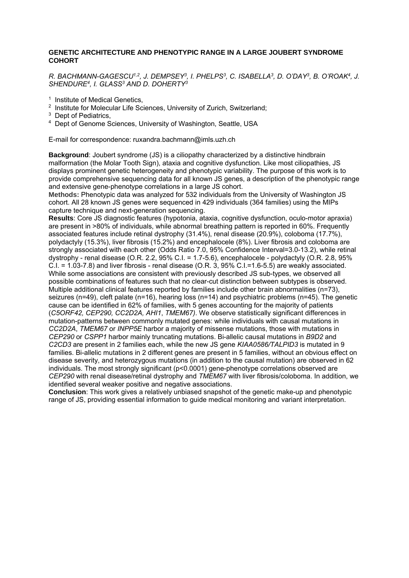#### **GENETIC ARCHITECTURE AND PHENOTYPIC RANGE IN A LARGE JOUBERT SYNDROME COHORT**

*R. BACHMANN-GAGESCU1,2, J. DEMPSEY3, I. PHELPS3, C. ISABELLA3, D. O'DAY3, B. O'ROAK4, J. SHENDURE4, I. GLASS3 AND D. DOHERTY3*

- <sup>1</sup> Institute of Medical Genetics.
- <sup>2</sup> Institute for Molecular Life Sciences, University of Zurich, Switzerland;
- <sup>3</sup> Dept of Pediatrics.
- 4 Dept of Genome Sciences, University of Washington, Seattle, USA

E-mail for correspondence: ruxandra.bachmann@imls.uzh.ch

**Background**: Joubert syndrome (JS) is a ciliopathy characterized by a distinctive hindbrain malformation (the Molar Tooth Sign), ataxia and cognitive dysfunction. Like most ciliopathies, JS displays prominent genetic heterogeneity and phenotypic variability. The purpose of this work is to provide comprehensive sequencing data for all known JS genes, a description of the phenotypic range and extensive gene-phenotype correlations in a large JS cohort.

**Methods:** Phenotypic data was analyzed for 532 individuals from the University of Washington JS cohort. All 28 known JS genes were sequenced in 429 individuals (364 families) using the MIPs capture technique and next-generation sequencing.

**Results**: Core JS diagnostic features (hypotonia, ataxia, cognitive dysfunction, oculo-motor apraxia) are present in >80% of individuals, while abnormal breathing pattern is reported in 60%. Frequently associated features include retinal dystrophy (31.4%), renal disease (20.9%), coloboma (17.7%), polydactyly (15.3%), liver fibrosis (15.2%) and encephalocele (8%). Liver fibrosis and coloboma are strongly associated with each other (Odds Ratio 7.0, 95% Confidence Interval=3.0-13.2), while retinal dystrophy - renal disease (O.R. 2.2, 95% C.I. = 1.7-5.6), encephalocele - polydactyly (O.R. 2.8, 95% C.I. =  $1.03$ -7.8) and liver fibrosis - renal disease (O.R. 3, 95% C.I.= $1.6$ -5.5) are weakly associated. While some associations are consistent with previously described JS sub-types, we observed all possible combinations of features such that no clear-cut distinction between subtypes is observed. Multiple additional clinical features reported by families include other brain abnormalities (n=73), seizures (n=49), cleft palate (n=16), hearing loss (n=14) and psychiatric problems (n=45). The genetic cause can be identified in 62% of families, with 5 genes accounting for the majority of patients (*C5ORF42, CEP290, CC2D2A, AHI1*, *TMEM67)*. We observe statistically significant differences in mutation-patterns between commonly mutated genes: while individuals with causal mutations in *CC2D2A*, *TMEM67* or *INPP5E* harbor a majority of missense mutations, those with mutations in *CEP290* or *CSPP1* harbor mainly truncating mutations. Bi-allelic causal mutations in *B9D2* and *C2CD3* are present in 2 families each, while the new JS gene *KIAA0586/TALPID3* is mutated in 9 families. Bi-allelic mutations in 2 different genes are present in 5 families, without an obvious effect on disease severity, and heterozygous mutations (in addition to the causal mutation) are observed in 62 individuals. The most strongly significant (p<0.0001) gene-phenotype correlations observed are *CEP290* with renal disease/retinal dystrophy and *TMEM67* with liver fibrosis/coloboma. In addition, we identified several weaker positive and negative associations.

**Conclusion**: This work gives a relatively unbiased snapshot of the genetic make-up and phenotypic range of JS, providing essential information to guide medical monitoring and variant interpretation.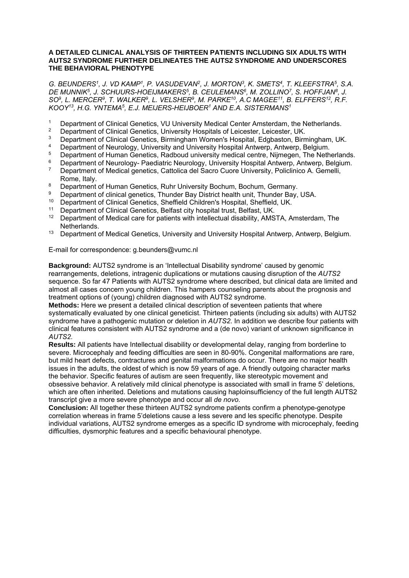#### **A DETAILED CLINICAL ANALYSIS OF THIRTEEN PATIENTS INCLUDING SIX ADULTS WITH AUTS2 SYNDROME FURTHER DELINEATES THE AUTS2 SYNDROME AND UNDERSCORES THE BEHAVIORAL PHENOTYPE**

*G. BEUNDERS1, J. VD KAMP1, P. VASUDEVAN2, J. MORTON3, K. SMETS4, T. KLEEFSTRA5, S.A. DE MUNNIK5, J. SCHUURS-HOEIJMAKERS5, B. CEULEMANS6, M. ZOLLINO7, S. HOFFJAN8, J. SO9, L. MERCER9, T. WALKER9, L. VELSHER9, M. PARKE10, A.C MAGEE11, B. ELFFERS12, R.F. KOOY13, H.G. YNTEMA5, E.J. MEIJERS-HEIJBOER1 AND E.A. SISTERMANS1*

- <sup>1</sup> Department of Clinical Genetics, VU University Medical Center Amsterdam, the Netherlands.<br><sup>2</sup> Department of Clinical Genetics, University Hespitals of Leigester, Leigester, UK
- <sup>2</sup> Department of Clinical Genetics, University Hospitals of Leicester, Leicester, UK.
- <sup>3</sup> Department of Clinical Genetics, Birmingham Women's Hospital, Edgbaston, Birmingham, UK.
- <sup>4</sup> Department of Neurology, University and University Hospital Antwerp, Antwerp, Belgium.<br><sup>5</sup> Department of Human Conotics, Badboud university modical control Nijmogen. The Noth
- <sup>5</sup> Department of Human Genetics, Radboud university medical centre, Nijmegen, The Netherlands.<br><sup>6</sup> Department of Neurolagy, Raedistric Neurolagy, University Heapital Antwerp, Antwerp, Pelgium
- <sup>6</sup> Department of Neurology- Paediatric Neurology, University Hospital Antwerp, Antwerp, Belgium.<br><sup>7</sup> Department of Mediael geneties, Cettelies del Seere Cuere University, Pelielinies A. Cemelli
- 7 Department of Medical genetics, Cattolica del Sacro Cuore University, Policlinico A. Gemelli, Rome, Italy.
- <sup>8</sup> Department of Human Genetics, Ruhr University Bochum, Bochum, Germany.<br><sup>8</sup> Department of clinical genetics, Thurder Boy District boo<sup>th</sup> unit. Thurder Boy.
- <sup>9</sup> Department of clinical genetics, Thunder Bay District health unit, Thunder Bay, USA.<br><sup>10</sup> Department of Clinical Capatica, Shaffield Children's Heapital, Shaffield, UK
- 10 Department of Clinical Genetics, Sheffield Children's Hospital, Sheffield, UK.
- <sup>11</sup> Department of Clinical Genetics, Belfast city hospital trust, Belfast, UK.<br><sup>12</sup> Department of Madisel segs for potients with intellectual discluity. AMG
- 12 Department of Medical care for patients with intellectual disability, AMSTA, Amsterdam, The Netherlands.
- <sup>13</sup> Department of Medical Genetics, University and University Hospital Antwerp, Antwerp, Belgium.

E-mail for correspondence: g.beunders@vumc.nl

**Background:** AUTS2 syndrome is an 'Intellectual Disability syndrome' caused by genomic rearrangements, deletions, intragenic duplications or mutations causing disruption of the *AUTS2*  sequence. So far 47 Patients with AUTS2 syndrome where described, but clinical data are limited and almost all cases concern young children. This hampers counseling parents about the prognosis and treatment options of (young) children diagnosed with AUTS2 syndrome.

**Methods:** Here we present a detailed clinical description of seventeen patients that where systematically evaluated by one clinical geneticist. Thirteen patients (including six adults) with AUTS2 syndrome have a pathogenic mutation or deletion in *AUTS2*. In addition we describe four patients with clinical features consistent with AUTS2 syndrome and a (de novo) variant of unknown significance in *AUTS2*.

**Results:** All patients have Intellectual disability or developmental delay, ranging from borderline to severe. Microcephaly and feeding difficulties are seen in 80-90%. Congenital malformations are rare, but mild heart defects, contractures and genital malformations do occur. There are no major health issues in the adults, the oldest of which is now 59 years of age. A friendly outgoing character marks the behavior. Specific features of autism are seen frequently, like stereotypic movement and obsessive behavior. A relatively mild clinical phenotype is associated with small in frame 5' deletions, which are often inherited. Deletions and mutations causing haploinsufficiency of the full length AUTS2 transcript give a more severe phenotype and occur all *de novo*.

**Conclusion:** All together these thirteen AUTS2 syndrome patients confirm a phenotype-genotype correlation whereas in frame 5'deletions cause a less severe and les specific phenotype. Despite individual variations, AUTS2 syndrome emerges as a specific ID syndrome with microcephaly, feeding difficulties, dysmorphic features and a specific behavioural phenotype.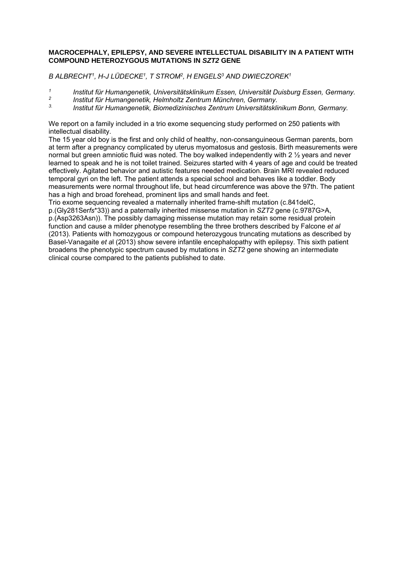#### **MACROCEPHALY, EPILEPSY, AND SEVERE INTELLECTUAL DISABILITY IN A PATIENT WITH COMPOUND HETEROZYGOUS MUTATIONS IN** *SZT2* **GENE**

*B ALBRECHT1, H-J LÜDECKE1, T STROM2, H ENGELS3 AND DWIECZOREK1*

- *1 Institut für Humangenetik, Universitätsklinikum Essen, Universität Duisburg Essen, Germany.*
- *2 Institut für Humangenetik, Helmholtz Zentrum Münchren, Germany.*
- *3. Institut für Humangenetik, Biomedizinisches Zentrum Universitätsklinikum Bonn, Germany.*

We report on a family included in a trio exome sequencing study performed on 250 patients with intellectual disability.

The 15 year old boy is the first and only child of healthy, non-consanguineous German parents, born at term after a pregnancy complicated by uterus myomatosus and gestosis. Birth measurements were normal but green amniotic fluid was noted. The boy walked independently with 2 ½ years and never learned to speak and he is not toilet trained. Seizures started with 4 years of age and could be treated effectively. Agitated behavior and autistic features needed medication. Brain MRI revealed reduced temporal gyri on the left. The patient attends a special school and behaves like a toddler. Body measurements were normal throughout life, but head circumference was above the 97th. The patient has a high and broad forehead, prominent lips and small hands and feet.

Trio exome sequencing revealed a maternally inherited frame-shift mutation (c.841delC,

p.(Gly281Ser*fs*\*33)) and a paternally inherited missense mutation in *SZT2* gene (c.9787G>A, p.(Asp3263Asn)). The possibly damaging missense mutation may retain some residual protein function and cause a milder phenotype resembling the three brothers described by Falcone *et al* (2013). Patients with homozygous or compound heterozygous truncating mutations as described by Basel-Vanagaite *et a*l (2013) show severe infantile encephalopathy with epilepsy. This sixth patient broadens the phenotypic spectrum caused by mutations in *SZT2* gene showing an intermediate clinical course compared to the patients published to date.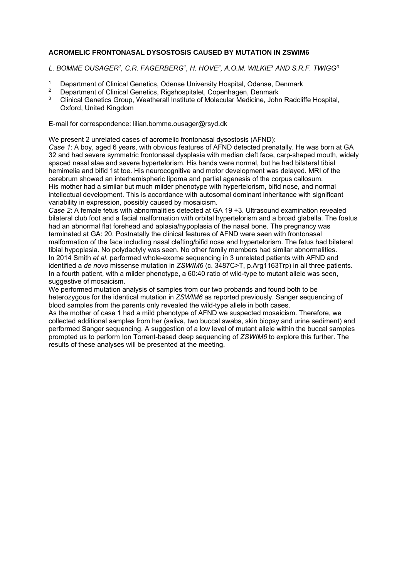#### **ACROMELIC FRONTONASAL DYSOSTOSIS CAUSED BY MUTATION IN ZSWIM6**

*L. BOMME OUSAGER1, C.R. FAGERBERG1, H. HOVE2, A.O.M. WILKIE3 AND S.R.F. TWIGG3*

- <sup>1</sup> Department of Clinical Genetics, Odense University Hospital, Odense, Denmark<br><sup>2</sup> Department of Clinical Ceneties, Bigsbespitalet, Cenephagen, Denmark
- 2 Department of Clinical Genetics, Rigshospitalet, Copenhagen, Denmark
- 3 Clinical Genetics Group, Weatherall Institute of Molecular Medicine, John Radcliffe Hospital, Oxford, United Kingdom

E-mail for correspondence: lilian.bomme.ousager@rsyd.dk

We present 2 unrelated cases of acromelic frontonasal dysostosis (AFND):

*Case 1*: A boy, aged 6 years, with obvious features of AFND detected prenatally. He was born at GA 32 and had severe symmetric frontonasal dysplasia with median cleft face, carp-shaped mouth, widely spaced nasal alae and severe hypertelorism. His hands were normal, but he had bilateral tibial hemimelia and bifid 1st toe. His neurocognitive and motor development was delayed. MRI of the cerebrum showed an interhemispheric lipoma and partial agenesis of the corpus callosum. His mother had a similar but much milder phenotype with hypertelorism, bifid nose, and normal intellectual development. This is accordance with autosomal dominant inheritance with significant variability in expression, possibly caused by mosaicism.

*Case 2*: A female fetus with abnormalities detected at GA 19 +3. Ultrasound examination revealed bilateral club foot and a facial malformation with orbital hypertelorism and a broad glabella. The foetus had an abnormal flat forehead and aplasia/hypoplasia of the nasal bone. The pregnancy was terminated at GA: 20. Postnatally the clinical features of AFND were seen with frontonasal malformation of the face including nasal clefting/bifid nose and hypertelorism. The fetus had bilateral tibial hypoplasia. No polydactyly was seen. No other family members had similar abnormalities. In 2014 Smith *et al*. performed whole-exome sequencing in 3 unrelated patients with AFND and identified a *de novo* missense mutation in *ZSWIM6* (c. 3487C>T, p.Arg1163Trp) in all three patients. In a fourth patient, with a milder phenotype, a 60:40 ratio of wild-type to mutant allele was seen, suggestive of mosaicism.

We performed mutation analysis of samples from our two probands and found both to be heterozygous for the identical mutation in *ZSWIM6* as reported previously. Sanger sequencing of blood samples from the parents only revealed the wild-type allele in both cases.

As the mother of case 1 had a mild phenotype of AFND we suspected mosaicism. Therefore, we collected additional samples from her (saliva, two buccal swabs, skin biopsy and urine sediment) and performed Sanger sequencing. A suggestion of a low level of mutant allele within the buccal samples prompted us to perform Ion Torrent-based deep sequencing of *ZSWIM6* to explore this further. The results of these analyses will be presented at the meeting.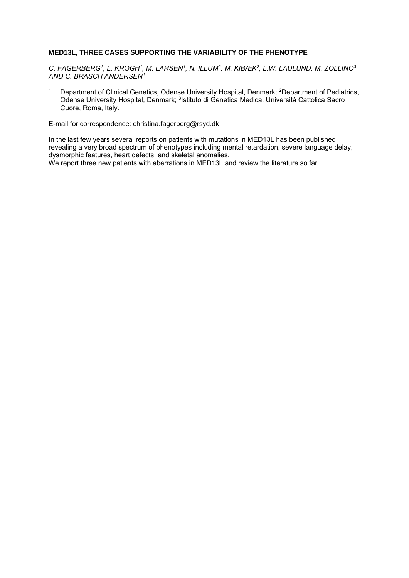#### **MED13L, THREE CASES SUPPORTING THE VARIABILITY OF THE PHENOTYPE**

*C. FAGERBERG1, L. KROGH1, M. LARSEN1, N. ILLUM2, M. KIBÆK2, L.W. LAULUND, M. ZOLLINO3 AND C. BRASCH ANDERSEN1* 

<sup>1</sup> Department of Clinical Genetics, Odense University Hospital, Denmark; <sup>2</sup>Department of Pediatrics, Odense University Hospital, Denmark; <sup>3</sup>Istituto di Genetica Medica, Università Cattolica Sacro Cuore, Roma, Italy.

E-mail for correspondence: christina.fagerberg@rsyd.dk

In the last few years several reports on patients with mutations in MED13L has been published revealing a very broad spectrum of phenotypes including mental retardation, severe language delay, dysmorphic features, heart defects, and skeletal anomalies.

We report three new patients with aberrations in MED13L and review the literature so far.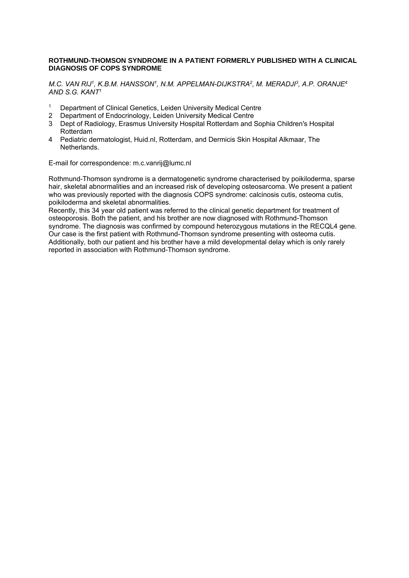#### **ROTHMUND-THOMSON SYNDROME IN A PATIENT FORMERLY PUBLISHED WITH A CLINICAL DIAGNOSIS OF COPS SYNDROME**

*M.C. VAN RIJ1, K.B.M. HANSSON1, N.M. APPELMAN-DIJKSTRA2, M. MERADJI3, A.P. ORANJE4 AND S.G. KANT1* 

- 1 Department of Clinical Genetics, Leiden University Medical Centre
- 2 Department of Endocrinology, Leiden University Medical Centre
- 3 Dept of Radiology, Erasmus University Hospital Rotterdam and Sophia Children's Hospital Rotterdam
- 4 Pediatric dermatologist, Huid.nl, Rotterdam, and Dermicis Skin Hospital Alkmaar, The Netherlands.

E-mail for correspondence: m.c.vanrij@lumc.nl

Rothmund-Thomson syndrome is a dermatogenetic syndrome characterised by poikiloderma, sparse hair, skeletal abnormalities and an increased risk of developing osteosarcoma. We present a patient who was previously reported with the diagnosis COPS syndrome: calcinosis cutis, osteoma cutis, poikiloderma and skeletal abnormalities.

Recently, this 34 year old patient was referred to the clinical genetic department for treatment of osteoporosis. Both the patient, and his brother are now diagnosed with Rothmund-Thomson syndrome. The diagnosis was confirmed by compound heterozygous mutations in the RECQL4 gene. Our case is the first patient with Rothmund-Thomson syndrome presenting with osteoma cutis. Additionally, both our patient and his brother have a mild developmental delay which is only rarely reported in association with Rothmund-Thomson syndrome.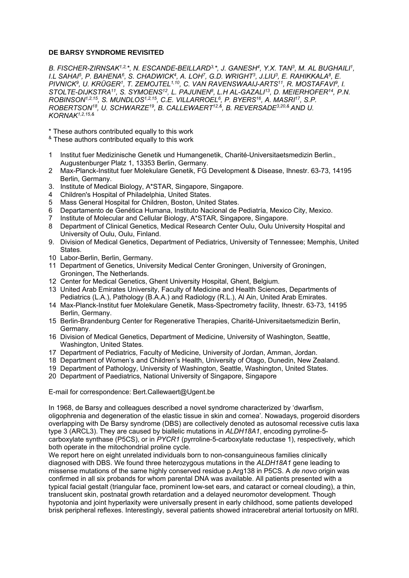#### **DE BARSY SYNDROME REVISITED**

*B. FISCHER-ZIRNSAK1,2,\*, N. ESCANDE-BEILLARD3,\*, J. GANESH4, Y.X. TAN3, M. AL BUGHAILI1, I.L SAHAI5, P. BAHENA6, S. CHADWICK4, A. LOH7, G.D. WRIGHT3, J.LIU3, E. RAHIKKALA8, E. PIVNICK9, U. KRÜGER1, T. ZEMOJTEL1,10, C. VAN RAVENSWAAIJ-ARTS11, R. MOSTAFAVI9, I. STOLTE-DIJKSTRA11, S. SYMOENS12, L. PAJUNEN8, L.H AL-GAZALI13, D. MEIERHOFER14, P.N. ROBINSON1,2,15, S. MUNDLOS1,2,15, C.E. VILLARROEL6, P. BYERS16, A. MASRI17, S.P. ROBERTSON18, U. SCHWARZE19, B. CALLEWAERT12,&, B. REVERSADE3,20,& AND U. KORNAK1,2,15,&*

\* These authors contributed equally to this work

- & These authors contributed equally to this work
- 1 Institut fuer Medizinische Genetik und Humangenetik, Charité-Universitaetsmedizin Berlin., Augustenburger Platz 1, 13353 Berlin, Germany.
- 2 Max-Planck-Institut fuer Molekulare Genetik, FG Development & Disease, Ihnestr. 63-73, 14195 Berlin, Germany.
- 3. Institute of Medical Biology, A\*STAR, Singapore, Singapore.
- 4 Children's Hospital of Philadelphia, United States.
- 5 Mass General Hospital for Children, Boston, United States.
- 6 Departamento de Genética Humana, Instituto Nacional de Pediatría, Mexico City, Mexico.
- 7 Institute of Molecular and Cellular Biology, A\*STAR, Singapore, Singapore.
- 8 Department of Clinical Genetics, Medical Research Center Oulu, Oulu University Hospital and University of Oulu, Oulu, Finland.
- 9. Division of Medical Genetics, Department of Pediatrics, University of Tennessee; Memphis, United States.
- 10 Labor-Berlin, Berlin, Germany.
- 11 Department of Genetics, University Medical Center Groningen, University of Groningen, Groningen, The Netherlands.
- 12 Center for Medical Genetics, Ghent University Hospital, Ghent, Belgium.
- 13 United Arab Emirates University, Faculty of Medicine and Health Sciences, Departments of Pediatrics (L.A.), Pathology (B.A.A.) and Radiology (R.L.), Al Ain, United Arab Emirates.
- 14 Max-Planck-Institut fuer Molekulare Genetik, Mass-Spectrometry facility, Ihnestr. 63-73, 14195 Berlin, Germany.
- 15 Berlin-Brandenburg Center for Regenerative Therapies, Charité-Universitaetsmedizin Berlin, Germany.
- 16 Division of Medical Genetics, Department of Medicine, University of Washington, Seattle, Washington, United States.
- 17 Department of Pediatrics, Faculty of Medicine, University of Jordan, Amman, Jordan.
- 18 Department of Women's and Children's Health, University of Otago, Dunedin, New Zealand.
- 19 Department of Pathology, University of Washington, Seattle, Washington, United States.
- 20 Department of Paediatrics, National University of Singapore, Singapore

#### E-mail for correspondence: Bert.Callewaert@Ugent.be

In 1968, de Barsy and colleagues described a novel syndrome characterized by 'dwarfism, oligophrenia and degeneration of the elastic tissue in skin and cornea'. Nowadays, progeroid disorders overlapping with De Barsy syndrome (DBS) are collectively denoted as autosomal recessive cutis laxa type 3 (ARCL3). They are caused by biallelic mutations in *ALDH18A1*, encoding pyrroline-5 carboxylate synthase (P5CS), or in *PYCR1* (pyrroline-5-carboxylate reductase 1), respectively, which both operate in the mitochondrial proline cycle.

We report here on eight unrelated individuals born to non-consanguineous families clinically diagnosed with DBS. We found three heterozygous mutations in the *ALDH18A1* gene leading to missense mutations of the same highly conserved residue p.Arg138 in P5CS. A *de novo* origin was confirmed in all six probands for whom parental DNA was available. All patients presented with a typical facial gestalt (triangular face, prominent low-set ears, and cataract or corneal clouding), a thin, translucent skin, postnatal growth retardation and a delayed neuromotor development. Though hypotonia and joint hyperlaxity were universally present in early childhood, some patients developed brisk peripheral reflexes. Interestingly, several patients showed intracerebral arterial tortuosity on MRI.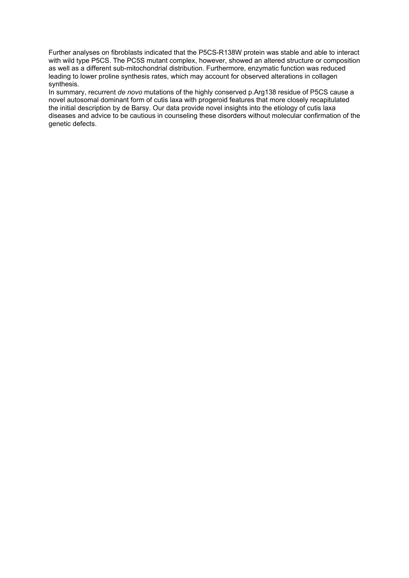Further analyses on fibroblasts indicated that the P5CS-R138W protein was stable and able to interact with wild type P5CS. The PC5S mutant complex, however, showed an altered structure or composition as well as a different sub-mitochondrial distribution. Furthermore, enzymatic function was reduced leading to lower proline synthesis rates, which may account for observed alterations in collagen synthesis.

In summary, recurrent *de novo* mutations of the highly conserved p.Arg138 residue of P5CS cause a novel autosomal dominant form of cutis laxa with progeroid features that more closely recapitulated the initial description by de Barsy. Our data provide novel insights into the etiology of cutis laxa diseases and advice to be cautious in counseling these disorders without molecular confirmation of the genetic defects.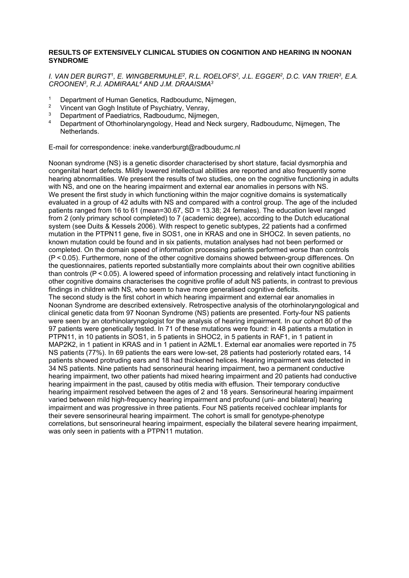#### **RESULTS OF EXTENSIVELY CLINICAL STUDIES ON COGNITION AND HEARING IN NOONAN SYNDROME**

*I. VAN DER BURGT1, E. WINGBERMUHLE2, R.L. ROELOFS2, J.L. EGGER2, D.C. VAN TRIER3, E.A. CROONEN3, R.J. ADMIRAAL4 AND J.M. DRAAISMA3* 

- <sup>1</sup> Department of Human Genetics, Radboudumc, Nijmegen,<br><sup>2</sup> Vincent van Gogh Institute of Psychiatry, Venray
- <sup>2</sup> Vincent van Gogh Institute of Psychiatry, Venray,
- <sup>3</sup> Department of Paediatrics, Radboudumc, Nijmegen,
- 4 Department of Othorhinolaryngology, Head and Neck surgery, Radboudumc, Nijmegen, The Netherlands.

E-mail for correspondence: ineke.vanderburgt@radboudumc.nl

Noonan syndrome (NS) is a genetic disorder characterised by short stature, facial dysmorphia and congenital heart defects. Mildly lowered intellectual abilities are reported and also frequently some hearing abnormalities. We present the results of two studies, one on the cognitive functioning in adults with NS, and one on the hearing impairment and external ear anomalies in persons with NS. We present the first study in which functioning within the major cognitive domains is systematically evaluated in a group of 42 adults with NS and compared with a control group. The age of the included patients ranged from 16 to 61 (mean=30.67, SD = 13.38; 24 females). The education level ranged from 2 (only primary school completed) to 7 (academic degree), according to the Dutch educational system (see Duits & Kessels 2006). With respect to genetic subtypes, 22 patients had a confirmed mutation in the PTPN11 gene, five in SOS1, one in KRAS and one in SHOC2. In seven patients, no known mutation could be found and in six patients, mutation analyses had not been performed or completed. On the domain speed of information processing patients performed worse than controls (P < 0.05). Furthermore, none of the other cognitive domains showed between-group differences. On the questionnaires, patients reported substantially more complaints about their own cognitive abilities than controls (P < 0.05). A lowered speed of information processing and relatively intact functioning in other cognitive domains characterises the cognitive profile of adult NS patients, in contrast to previous findings in children with NS, who seem to have more generalised cognitive deficits. The second study is the first cohort in which hearing impairment and external ear anomalies in Noonan Syndrome are described extensively. Retrospective analysis of the otorhinolaryngological and clinical genetic data from 97 Noonan Syndrome (NS) patients are presented. Forty-four NS patients were seen by an otorhinolaryngologist for the analysis of hearing impairment. In our cohort 80 of the 97 patients were genetically tested. In 71 of these mutations were found: in 48 patients a mutation in PTPN11, in 10 patients in SOS1, in 5 patients in SHOC2, in 5 patients in RAF1, in 1 patient in MAP2K2, in 1 patient in KRAS and in 1 patient in A2ML1. External ear anomalies were reported in 75 NS patients (77%). In 69 patients the ears were low-set, 28 patients had posteriorly rotated ears, 14 patients showed protruding ears and 18 had thickened helices. Hearing impairment was detected in 34 NS patients. Nine patients had sensorineural hearing impairment, two a permanent conductive hearing impairment, two other patients had mixed hearing impairment and 20 patients had conductive hearing impairment in the past, caused by otitis media with effusion. Their temporary conductive hearing impairment resolved between the ages of 2 and 18 years. Sensorineural hearing impairment varied between mild high-frequency hearing impairment and profound (uni- and bilateral) hearing impairment and was progressive in three patients. Four NS patients received cochlear implants for their severe sensorineural hearing impairment. The cohort is small for genotype-phenotype correlations, but sensorineural hearing impairment, especially the bilateral severe hearing impairment, was only seen in patients with a PTPN11 mutation.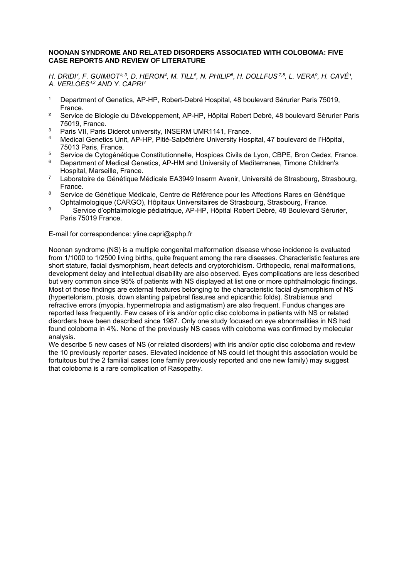#### **NOONAN SYNDROME AND RELATED DISORDERS ASSOCIATED WITH COLOBOMA: FIVE CASE REPORTS AND REVIEW OF LITERATURE**

*H. DRIDI<sup>1</sup>, F. GUIMIOT<sup>23</sup>, D. HERON<sup>4</sup>, M. TILL<sup>5</sup>, N. PHILIP<sup>6</sup>, H. DOLLFUS<sup>7,8</sup>, L. VERA<sup>9</sup>, H. CAVÉ<sup>1</sup>,* A. VERLOES<sup>1,3</sup> AND Y. CAPRI<sup>1</sup>

- Department of Genetics, AP-HP, Robert-Debré Hospital, 48 boulevard Sérurier Paris 75019, France.
- <sup>2</sup> Service de Biologie du Développement, AP-HP, Hôpital Robert Debré, 48 boulevard Sérurier Paris 75019, France.
- <sup>3</sup> Paris VII, Paris Diderot university, INSERM UMR1141, France.<br>4 Mediesl Censtise Unit, AD HD, Pitié Selpâtrière University Hear
- 4 Medical Genetics Unit, AP-HP, Pitié-Salpêtrière University Hospital, 47 boulevard de l'Hôpital, 75013 Paris, France.
- <sup>5</sup> Service de Cytogénétique Constitutionnelle, Hospices Civils de Lyon, CBPE, Bron Cedex, France.<br><sup>6</sup> Department of Modical Constitution de HM and University of Moditarrance, Timene Children's
- 6 Department of Medical Genetics, AP-HM and University of Mediterranee, Timone Children's Hospital, Marseille, France.
- 7 Laboratoire de Génétique Médicale EA3949 Inserm Avenir, Université de Strasbourg, Strasbourg, France.
- 8 Service de Génétique Médicale, Centre de Référence pour les Affections Rares en Génétique Ophtalmologique (CARGO), Hôpitaux Universitaires de Strasbourg, Strasbourg, France.
- 9 Service d'ophtalmologie pédiatrique, AP-HP, Hôpital Robert Debré, 48 Boulevard Sérurier, Paris 75019 France.

E-mail for correspondence: yline.capri@aphp.fr

Noonan syndrome (NS) is a multiple congenital malformation disease whose incidence is evaluated from 1/1000 to 1/2500 living births, quite frequent among the rare diseases. Characteristic features are short stature, facial dysmorphism, heart defects and cryptorchidism. Orthopedic, renal malformations, development delay and intellectual disability are also observed. Eyes complications are less described but very common since 95% of patients with NS displayed at list one or more ophthalmologic findings. Most of those findings are external features belonging to the characteristic facial dysmorphism of NS (hypertelorism, ptosis, down slanting palpebral fissures and epicanthic folds). Strabismus and refractive errors (myopia, hypermetropia and astigmatism) are also frequent. Fundus changes are reported less frequently. Few cases of iris and/or optic disc coloboma in patients with NS or related disorders have been described since 1987. Only one study focused on eye abnormalities in NS had found coloboma in 4%. None of the previously NS cases with coloboma was confirmed by molecular analysis.

We describe 5 new cases of NS (or related disorders) with iris and/or optic disc coloboma and review the 10 previously reporter cases. Elevated incidence of NS could let thought this association would be fortuitous but the 2 familial cases (one family previously reported and one new family) may suggest that coloboma is a rare complication of Rasopathy.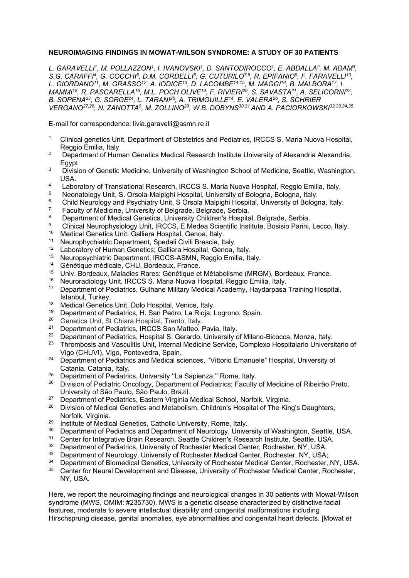#### **NEUROIMAGING FINDINGS IN MOWAT-WILSON SYNDROME: A STUDY OF 30 PATIENTS**

*L. GARAVELLI1, M. POLLAZZON1, I. IVANOVSKI1, D. SANTODIROCCO1, E. ABDALLA2, M. ADAM3,*  S.G. CARAFFI<sup>4</sup>, G. COCCHI<sup>5</sup>, D.M. CORDELLI<sup>6</sup>, G. CUTURILO<sup>7,8</sup>, R. EPIFANIO<sup>9</sup>, F. FARAVELLI<sup>10</sup>, *L. GIORDANO11, M. GRASSO12, A. IODICE13, D. LACOMBE14,15, M. MAGGI16, B. MALBORA17, I. MAMMI18, R. PASCARELLA16, M.L. POCH OLIVE19, F. RIVIERI20, S. SAVASTA21, A. SELICORNI22, B. SOPENA23, G. SORGE24, L. TARANI25, A. TRIMOUILLE14, E. VALERA26, S. SCHRIER VERGANO27,28, N. ZANOTTA9, M. ZOLLINO29, W.B. DOBYNS30,31 AND A. PACIORKOWSKI32,33,34,35*

E-mail for correspondence: livia.garavelli@asmn.re.it

- <sup>1</sup> Clinical genetics Unit, Department of Obstetrics and Pediatrics, IRCCS S. Maria Nuova Hospital, Reggio Emilia, Italy.
- <sup>2</sup> Department of Human Genetics Medical Research Institute University of Alexandria Alexandria, Egypt
- <sup>3</sup> Division of Genetic Medicine, University of Washington School of Medicine, Seattle, Washington, USA.
- 4 Laboratory of Translational Research, IRCCS S. Maria Nuova Hospital, Reggio Emilia, Italy.<br>5 Negestelegy Unit, S. Orsela Malpishi Hospital, University of Relegge Relegge Italy.
- <sup>5</sup> Neonatology Unit, S. Orsola-Malpighi Hospital, University of Bologna, Bologna, Italy.<br><sup>6</sup> Child Neurology and Bouchigta Unit, S. Orsola Malpighi Hospital, University of Bologn
- <sup>6</sup> Child Neurology and Psychiatry Unit, S Orsola Malpighi Hospital, University of Bologna, Italy.
- 7 Faculty of Medicine, University of Belgrade, Belgrade, Serbia.
- <sup>8</sup> Department of Medical Genetics, University Children's Hospital, Belgrade, Serbia.<br><sup>8</sup> Clinical Nauranhysiology Unit, IBCCS, E Medeo Sejentific Ipotitute, Besicie Berini.
- <sup>9</sup> Clinical Neurophysiology Unit, IRCCS, E Medea Scientific Institute, Bosisio Parini, Lecco, Italy.<br><sup>10</sup> Mediael Constige Unit, Celliere Hespital, Cenese Italy.
- 10 Medical Genetics Unit, Galliera Hospital, Genoa, Italy.
- <sup>11</sup> Neurophychiatric Department, Spedali Civili Brescia, Italy.<br><sup>12</sup> Laboratory of Human Cenetics: Galliera Hospital, Genea.
- 12 Laboratory of Human Genetics; Galliera Hospital, Genoa, Italy.
- 13 Neuropsychiatric Department, IRCCS-ASMN, Reggio Emilia, Italy.
- <sup>14</sup> Génétique médicale, CHU, Bordeaux, France.<br><sup>15</sup> Llniv, Bordeaux, Maladies Pares: Cénétique et
- 15 Univ. Bordeaux, Maladies Rares: Génétique et Métabolisme (MRGM), Bordeaux, France.
- 16 Neuroradiology Unit, IRCCS S. Maria Nuova Hospital, Reggio Emilia, Italy.
- 17 Department of Pediatrics, Gulhane Military Medical Academy, Haydarpasa Training Hospital, Istanbul, Turkey.
- <sup>18</sup> Medical Genetics Unit, Dolo Hospital, Venice, Italy.<br><sup>19</sup> Department of Podiatrics, H. San Podro, La Pieja, I
- <sup>19</sup> Department of Pediatrics, H. San Pedro, La Rioja, Logrono, Spain.<br><sup>20</sup> Genetics Unit, St Chiara Hospital, Trento, Italy
- <sup>20</sup> Genetics Unit, St Chiara Hospital, Trento, Italy.<br><sup>21</sup> Department of Pediatrics, IPCCS San Matteo, I
- <sup>21</sup> Department of Pediatrics, IRCCS San Matteo, Pavia, Italy.<br><sup>22</sup> Department of Pediatrics, Hespital S. Gerardo, University of
- <sup>22</sup> Department of Pediatrics, Hospital S. Gerardo, University of Milano-Bicocca, Monza, Italy.<br><sup>23</sup> Thrombosis and Vasculitie Unit, Internal Medicine Service, Complexe Hespitalarie Univers
- 23 Thrombosis and Vasculitis Unit, Internal Medicine Service, Complexo Hospitalario Universitario of Vigo (CHUVI), Vigo, Pontevedra, Spain.
- <sup>24</sup> Department of Pediatrics and Medical sciences, "Vittorio Emanuele" Hospital, University of Catania, Catania, Italy.
- <sup>25</sup> Department of Pediatrics, University "La Sapienza," Rome, Italy.<br><sup>26</sup> Philippe of Pediatric Casalamy Repeatment of Pediatrics, Faculty.
- 26 Division of Pediatric Oncology, Department of Pediatrics; Faculty of Medicine of Ribeirão Preto,
- University of São Paulo, São Paulo, Brazil.<br><sup>27</sup> Department of Pediatrics, Eastern Virginia Medical School, Norfolk, Virginia.<br><sup>28</sup> Division of Modical Genetics and Metabolism, Children's Hespital of The Kin.
- 28 Division of Medical Genetics and Metabolism, Children's Hospital of The King's Daughters, Norfolk, Virginia.
- <sup>29</sup> Institute of Medical Genetics, Catholic University, Rome, Italy.<br><sup>30</sup> Department of Podiatries and Department of Nauralagy, Unive
- <sup>30</sup> Department of Pediatrics and Department of Neurology, University of Washington, Seattle, USA.<br><sup>31</sup> Contection Integrative Brain Bessersh, Seattle Children's Bessersh Institute, Seattle, USA.
- <sup>31</sup> Center for Integrative Brain Research, Seattle Children's Research Institute, Seattle, USA.<br><sup>32</sup> Department of Bodigtries, University of Booboater Medical Center, Booboater, NY USA.
- <sup>32</sup> Department of Pediatrics, University of Rochester Medical Center, Rochester, NY, USA.<br><sup>33</sup> Department of Neurolagy, University of Rephaster Medical Center, Rephaster, NY, USA.
- <sup>33</sup> Department of Neurology, University of Rochester Medical Center, Rochester, NY, USA;<br><sup>34</sup> Department of Riomedical Genetics, University of Rochester Medical Center, Rochester
- <sup>34</sup> Department of Biomedical Genetics, University of Rochester Medical Center, Rochester, NY, USA.<br><sup>35</sup> Center for Neural Development and Disease, University of Pochester Medical Center, Pochester.
- 35 Center for Neural Development and Disease, University of Rochester Medical Center, Rochester, NY, USA.

Here, we report the neuroimaging findings and neurological changes in 30 patients with Mowat-Wilson syndrome (MWS, OMIM: #235730). MWS is a genetic disease characterized by distinctive facial features, moderate to severe intellectual disability and congenital malformations including Hirschsprung disease, genital anomalies, eye abnormalities and congenital heart defects. [Mowat *et*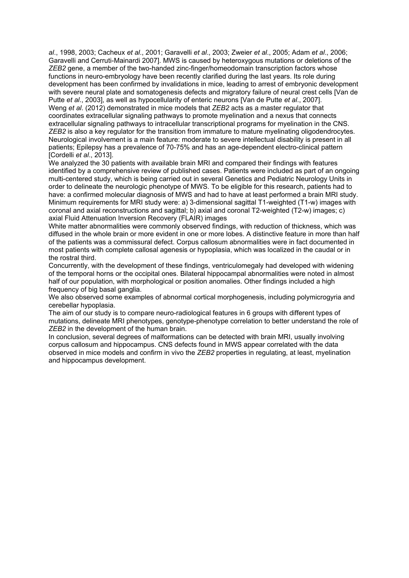*al*., 1998, 2003; Cacheux *et al*., 2001; Garavelli *et al*., 2003; Zweier *et al*., 2005; Adam *et al*., 2006; Garavelli and Cerruti-Mainardi 2007]. MWS is caused by heteroxygous mutations or deletions of the *ZEB2* gene, a member of the two-handed zinc-finger/homeodomain transcription factors whose functions in neuro-embryology have been recently clarified during the last years. Its role during development has been confirmed by invalidations in mice, leading to arrest of embryonic development with severe neural plate and somatogenesis defects and migratory failure of neural crest cells [Van de Putte *et al*., 2003], as well as hypocellularity of enteric neurons [Van de Putte *et al*., 2007]. Weng *et al*. (2012) demonstrated in mice models that *ZEB2* acts as a master regulator that coordinates extracellular signaling pathways to promote myelination and a nexus that connects extracellular signaling pathways to intracellular transcriptional programs for myelination in the CNS. *ZEB2* is also a key regulator for the transition from immature to mature myelinating oligodendrocytes. Neurological involvement is a main feature: moderate to severe intellectual disability is present in all patients; Epilepsy has a prevalence of 70-75% and has an age-dependent electro-clinical pattern [Cordelli *et al*., 2013].

We analyzed the 30 patients with available brain MRI and compared their findings with features identified by a comprehensive review of published cases. Patients were included as part of an ongoing multi-centered study, which is being carried out in several Genetics and Pediatric Neurology Units in order to delineate the neurologic phenotype of MWS. To be eligible for this research, patients had to have: a confirmed molecular diagnosis of MWS and had to have at least performed a brain MRI study. Minimum requirements for MRI study were: a) 3-dimensional sagittal T1-weighted (T1-w) images with coronal and axial reconstructions and sagittal; b) axial and coronal T2-weighted (T2-w) images; c) axial Fluid Attenuation Inversion Recovery (FLAIR) images

White matter abnormalities were commonly observed findings, with reduction of thickness, which was diffused in the whole brain or more evident in one or more lobes. A distinctive feature in more than half of the patients was a commissural defect. Corpus callosum abnormalities were in fact documented in most patients with complete callosal agenesis or hypoplasia, which was localized in the caudal or in the rostral third.

Concurrently, with the development of these findings, ventriculomegaly had developed with widening of the temporal horns or the occipital ones. Bilateral hippocampal abnormalities were noted in almost half of our population, with morphological or position anomalies. Other findings included a high frequency of big basal ganglia.

We also observed some examples of abnormal cortical morphogenesis, including polymicrogyria and cerebellar hypoplasia.

The aim of our study is to compare neuro-radiological features in 6 groups with different types of mutations, delineate MRI phenotypes, genotype-phenotype correlation to better understand the role of *ZEB2* in the development of the human brain.

In conclusion, several degrees of malformations can be detected with brain MRI, usually involving corpus callosum and hippocampus. CNS defects found in MWS appear correlated with the data observed in mice models and confirm in vivo the *ZEB2* properties in regulating, at least, myelination and hippocampus development.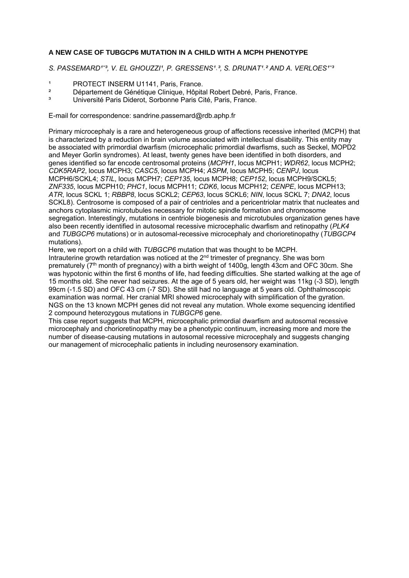#### **A NEW CASE OF TUBGCP6 MUTATION IN A CHILD WITH A MCPH PHENOTYPE**

S. PASSEMARD<sup>1-3</sup>, V. EL GHOUZZI<sup>1</sup>, P. GRESSENS<sup>1</sup><sup>, 3</sup>, S. DRUNAT<sup>1</sup>,<sup>2</sup> AND A. VERLOES<sup>1-3</sup>

- <sup>1</sup> PROTECT INSERM U1141, Paris, France.<br>
2 Pápartement de Cápátique Clinique, Utânita
- <sup>2</sup> Département de Génétique Clinique, Hôpital Robert Debré, Paris, France.<br>19 Département à Paris Dideret, Serbonne Paris, Cité, Paris, France.
- ³ Université Paris Diderot, Sorbonne Paris Cité, Paris, France.

E-mail for correspondence: sandrine.passemard@rdb.aphp.fr

Primary microcephaly is a rare and heterogeneous group of affections recessive inherited (MCPH) that is characterized by a reduction in brain volume associated with intellectual disability. This entity may be associated with primordial dwarfism (microcephalic primordial dwarfisms, such as Seckel, MOPD2 and Meyer Gorlin syndromes). At least, twenty genes have been identified in both disorders, and genes identified so far encode centrosomal proteins (*MCPH1*, locus MCPH1; *WDR62*, locus MCPH2; *CDK5RAP2*, locus MCPH3; *CASC5*, locus MCPH4; *ASPM*, locus MCPH5; *CENPJ*, locus MCPH6/SCKL4; *STIL*, locus MCPH7; *CEP135*, locus MCPH8; *CEP152*, locus MCPH9/SCKL5; *ZNF335*, locus MCPH10; *PHC1*, locus MCPH11; *CDK6*, locus MCPH12; *CENPE*, locus MCPH13; *ATR*, locus SCKL 1; *RBBP8*, locus SCKL2; *CEP63*, locus SCKL6; *NIN*, locus SCKL 7; *DNA2*, locus SCKL8). Centrosome is composed of a pair of centrioles and a pericentriolar matrix that nucleates and anchors cytoplasmic microtubules necessary for mitotic spindle formation and chromosome segregation. Interestingly, mutations in centriole biogenesis and microtubules organization genes have also been recently identified in autosomal recessive microcephalic dwarfism and retinopathy (*PLK4* and *TUBGCP6* mutations) or in autosomal-recessive microcephaly and chorioretinopathy (*TUBGCP4* mutations).

Here, we report on a child with *TUBGCP6* mutation that was thought to be MCPH.

Intrauterine growth retardation was noticed at the  $2<sup>nd</sup>$  trimester of pregnancy. She was born prematurely  $(7<sup>th</sup>$  month of pregnancy) with a birth weight of 1400g, length 43cm and OFC 30cm. She was hypotonic within the first 6 months of life, had feeding difficulties. She started walking at the age of 15 months old. She never had seizures. At the age of 5 years old, her weight was 11kg (-3 SD), length 99cm (-1.5 SD) and OFC 43 cm (-7 SD). She still had no language at 5 years old. Ophthalmoscopic examination was normal. Her cranial MRI showed microcephaly with simplification of the gyration. NGS on the 13 known MCPH genes did not reveal any mutation. Whole exome sequencing identified 2 compound heterozygous mutations in *TUBGCP6* gene.

This case report suggests that MCPH, microcephalic primordial dwarfism and autosomal recessive microcephaly and chorioretinopathy may be a phenotypic continuum, increasing more and more the number of disease-causing mutations in autosomal recessive microcephaly and suggests changing our management of microcephalic patients in including neurosensory examination.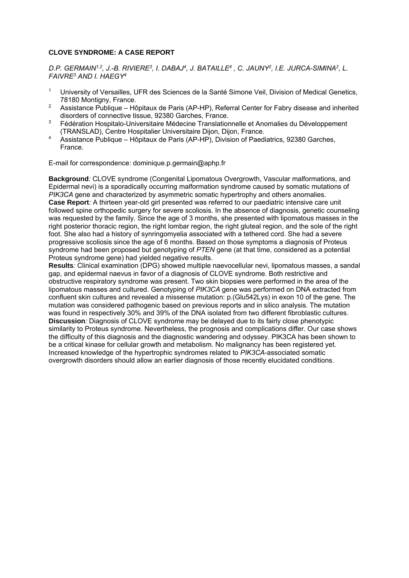#### **CLOVE SYNDROME: A CASE REPORT**

D.P. GERMAIN<sup>1,2</sup>, J.-B. RIVIERE<sup>3</sup>, I. DABAJ<sup>4</sup>, J. BATAILLE<sup>4</sup>, C. JAUNY<sup>2</sup>, I.E. JURCA-SIMINA<sup>2</sup>, L. *FAIVRE3 AND I. HAEGY4*

- 1 University of Versailles, UFR des Sciences de la Santé Simone Veil, Division of Medical Genetics, 78180 Montigny, France.
- <sup>2</sup> Assistance Publique Hôpitaux de Paris (AP-HP), Referral Center for Fabry disease and inherited disorders of connective tissue, 92380 Garches, France.
- <sup>3</sup> Fédération Hospitalo-Universitaire Médecine Translationnelle et Anomalies du Développement (TRANSLAD), Centre Hospitalier Universitaire Dijon, Dijon, France.
- 4 Assistance Publique Hôpitaux de Paris (AP-HP), Division of Paediatrics, 92380 Garches, France.

E-mail for correspondence: dominique.p.germain@aphp.fr

**Background***:* CLOVE syndrome (Congenital Lipomatous Overgrowth, Vascular malformations, and Epidermal nevi) is a sporadically occurring malformation syndrome caused by somatic mutations of *PIK3CA* gene and characterized by asymmetric somatic hypertrophy and others anomalies. **Case Report***:* A thirteen year-old girl presented was referred to our paediatric intensive care unit followed spine orthopedic surgery for severe scoliosis. In the absence of diagnosis, genetic counseling was requested by the family. Since the age of 3 months, she presented with lipomatous masses in the right posterior thoracic region, the right lombar region, the right gluteal region, and the sole of the right foot. She also had a history of synringomyelia associated with a tethered cord. She had a severe progressive scoliosis since the age of 6 months. Based on those symptoms a diagnosis of Proteus syndrome had been proposed but genotyping of *PTEN* gene (at that time, considered as a potential Proteus syndrome gene) had yielded negative results.

**Results***:* Clinical examination (DPG) showed multiple naevocellular nevi, lipomatous masses, a sandal gap, and epidermal naevus in favor of a diagnosis of CLOVE syndrome. Both restrictive and obstructive respiratory syndrome was present. Two skin biopsies were performed in the area of the lipomatous masses and cultured. Genotyping of *PIK3CA* gene was performed on DNA extracted from confluent skin cultures and revealed a missense mutation: p.(Glu542Lys) in exon 10 of the gene. The mutation was considered pathogenic based on previous reports and in silico analysis. The mutation was found in respectively 30% and 39% of the DNA isolated from two different fibroblastic cultures. **Discussion***:* Diagnosis of CLOVE syndrome may be delayed due to its fairly close phenotypic similarity to Proteus syndrome. Nevertheless, the prognosis and complications differ. Our case shows the difficulty of this diagnosis and the diagnostic wandering and odyssey. PIK3CA has been shown to be a critical kinase for cellular growth and metabolism. No malignancy has been registered yet. Increased knowledge of the hypertrophic syndromes related to *PIK3CA*-associated somatic overgrowth disorders should allow an earlier diagnosis of those recently elucidated conditions.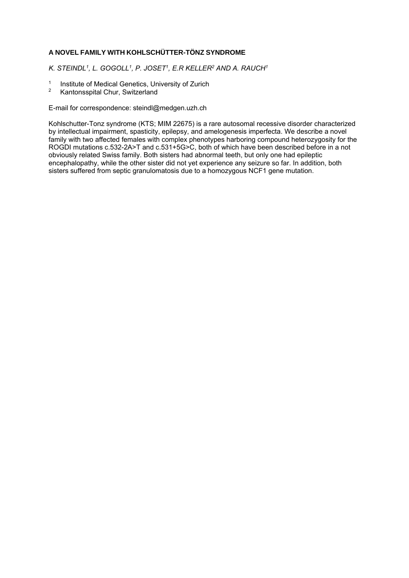#### **A NOVEL FAMILY WITH KOHLSCHÜTTER-TÖNZ SYNDROME**

*K. STEINDL1, L. GOGOLL1, P. JOSET1, E.R KELLER2 AND A. RAUCH1* 

- <sup>1</sup> Institute of Medical Genetics, University of Zurich<br><sup>2</sup> Kantonsspital Chur, Switzerland
- Kantonsspital Chur, Switzerland

E-mail for correspondence: steindl@medgen.uzh.ch

Kohlschutter-Tonz syndrome (KTS; MIM 22675) is a rare autosomal recessive disorder characterized by intellectual impairment, spasticity, epilepsy, and amelogenesis imperfecta. We describe a novel family with two affected females with complex phenotypes harboring compound heterozygosity for the ROGDI mutations c.532-2A>T and c.531+5G>C, both of which have been described before in a not obviously related Swiss family. Both sisters had abnormal teeth, but only one had epileptic encephalopathy, while the other sister did not yet experience any seizure so far. In addition, both sisters suffered from septic granulomatosis due to a homozygous NCF1 gene mutation.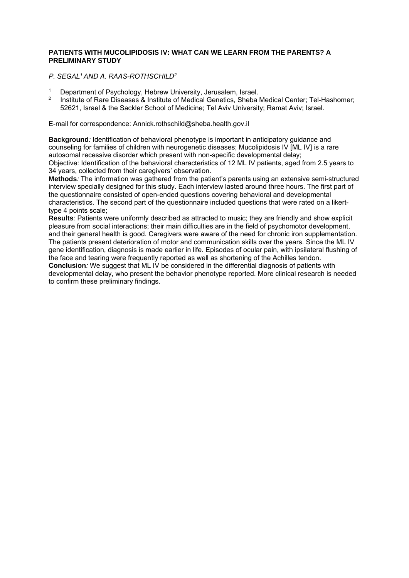#### **PATIENTS WITH MUCOLIPIDOSIS IV: WHAT CAN WE LEARN FROM THE PARENTS? A PRELIMINARY STUDY**

*P. SEGAL1 AND A. RAAS-ROTHSCHILD2*

- <sup>1</sup> Department of Psychology, Hebrew University, Jerusalem, Israel.<br><sup>2</sup> Pertitute of Pere Discosses 8 Institute of Medical Ceneties, Shebe
- 2 Institute of Rare Diseases & Institute of Medical Genetics, Sheba Medical Center; Tel-Hashomer; 52621, Israel & the Sackler School of Medicine; Tel Aviv University; Ramat Aviv; Israel.

E-mail for correspondence: Annick.rothschild@sheba.health.gov.il

**Background***:* Identification of behavioral phenotype is important in anticipatory guidance and counseling for families of children with neurogenetic diseases; Mucolipidosis IV [ML IV] is a rare autosomal recessive disorder which present with non-specific developmental delay; Objective: Identification of the behavioral characteristics of 12 ML IV patients, aged from 2.5 years to 34 years, collected from their caregivers' observation.

**Methods***:* The information was gathered from the patient's parents using an extensive semi-structured interview specially designed for this study. Each interview lasted around three hours. The first part of the questionnaire consisted of open-ended questions covering behavioral and developmental characteristics. The second part of the questionnaire included questions that were rated on a likerttype 4 points scale;

**Results***:* Patients were uniformly described as attracted to music; they are friendly and show explicit pleasure from social interactions; their main difficulties are in the field of psychomotor development, and their general health is good. Caregivers were aware of the need for chronic iron supplementation. The patients present deterioration of motor and communication skills over the years. Since the ML IV gene identification, diagnosis is made earlier in life. Episodes of ocular pain, with ipsilateral flushing of the face and tearing were frequently reported as well as shortening of the Achilles tendon. **Conclusion***:* We suggest that ML IV be considered in the differential diagnosis of patients with developmental delay, who present the behavior phenotype reported. More clinical research is needed

to confirm these preliminary findings.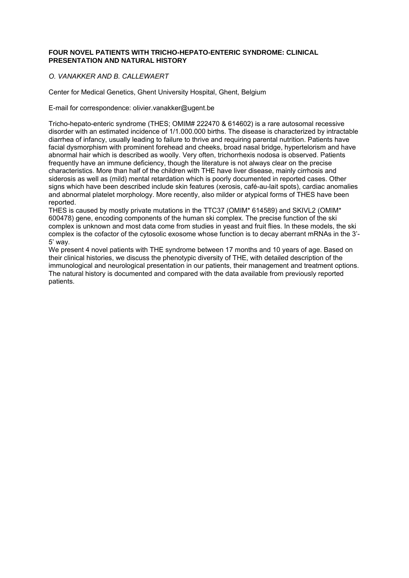#### **FOUR NOVEL PATIENTS WITH TRICHO-HEPATO-ENTERIC SYNDROME: CLINICAL PRESENTATION AND NATURAL HISTORY**

#### *O. VANAKKER AND B. CALLEWAERT*

Center for Medical Genetics, Ghent University Hospital, Ghent, Belgium

E-mail for correspondence: olivier.vanakker@ugent.be

Tricho-hepato-enteric syndrome (THES; OMIM# 222470 & 614602) is a rare autosomal recessive disorder with an estimated incidence of 1/1.000.000 births. The disease is characterized by intractable diarrhea of infancy, usually leading to failure to thrive and requiring parental nutrition. Patients have facial dysmorphism with prominent forehead and cheeks, broad nasal bridge, hypertelorism and have abnormal hair which is described as woolly. Very often, trichorrhexis nodosa is observed. Patients frequently have an immune deficiency, though the literature is not always clear on the precise characteristics. More than half of the children with THE have liver disease, mainly cirrhosis and siderosis as well as (mild) mental retardation which is poorly documented in reported cases. Other signs which have been described include skin features (xerosis, café-au-lait spots), cardiac anomalies and abnormal platelet morphology. More recently, also milder or atypical forms of THES have been reported.

THES is caused by mostly private mutations in the TTC37 (OMIM\* 614589) and SKIVL2 (OMIM\* 600478) gene, encoding components of the human ski complex. The precise function of the ski complex is unknown and most data come from studies in yeast and fruit flies. In these models, the ski complex is the cofactor of the cytosolic exosome whose function is to decay aberrant mRNAs in the 3'- 5' way.

We present 4 novel patients with THE syndrome between 17 months and 10 years of age. Based on their clinical histories, we discuss the phenotypic diversity of THE, with detailed description of the immunological and neurological presentation in our patients, their management and treatment options. The natural history is documented and compared with the data available from previously reported patients.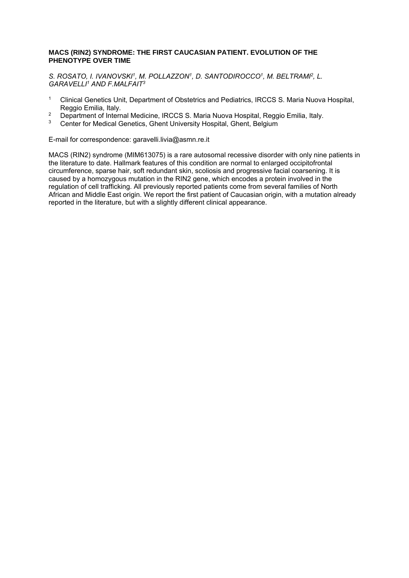#### **MACS (RIN2) SYNDROME: THE FIRST CAUCASIAN PATIENT. EVOLUTION OF THE PHENOTYPE OVER TIME**

S. ROSATO, I. IVANOVSKI<sup>1</sup>, M. POLLAZZON<sup>1</sup>, D. SANTODIROCCO<sup>1</sup>, M. BELTRAMI<sup>2</sup>, L. *GARAVELLI1 AND F.MALFAIT3*

- <sup>1</sup> Clinical Genetics Unit, Department of Obstetrics and Pediatrics, IRCCS S. Maria Nuova Hospital, Reggio Emilia, Italy.
- <sup>2</sup> Department of Internal Medicine, IRCCS S. Maria Nuova Hospital, Reggio Emilia, Italy.<br><sup>3</sup> Conter for Medical Constine, Chapt University Hospital, Chapt, Belgium.
- 3 Center for Medical Genetics, Ghent University Hospital, Ghent, Belgium

E-mail for correspondence: garavelli.livia@asmn.re.it

MACS (RIN2) syndrome (MIM613075) is a rare autosomal recessive disorder with only nine patients in the literature to date. Hallmark features of this condition are normal to enlarged occipitofrontal circumference, sparse hair, soft redundant skin, scoliosis and progressive facial coarsening. It is caused by a homozygous mutation in the RIN2 gene, which encodes a protein involved in the regulation of cell trafficking. All previously reported patients come from several families of North African and Middle East origin. We report the first patient of Caucasian origin, with a mutation already reported in the literature, but with a slightly different clinical appearance.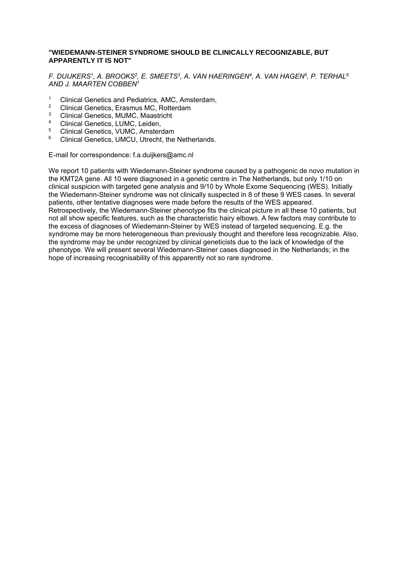#### **"WIEDEMANN-STEINER SYNDROME SHOULD BE CLINICALLY RECOGNIZABLE, BUT APPARENTLY IT IS NOT"**

*F. DUIJKERS1, A. BROOKS2, E. SMEETS3, A. VAN HAERINGEN4, A. VAN HAGEN5, P. TERHAL6 AND J. MAARTEN COBBEN1*

- <sup>1</sup> Clinical Genetics and Pediatrics, AMC, Amsterdam,
- <sup>2</sup> Clinical Genetics, Erasmus MC, Rotterdam<br><sup>3</sup> Clinical Constige, MLIMC, Magetriaht
- <sup>3</sup> Clinical Genetics, MUMC, Maastricht
- <sup>4</sup> Clinical Genetics, LUMC, Leiden,
- <sup>5</sup> Clinical Genetics, VUMC, Amsterdam
- Clinical Genetics, UMCU, Utrecht, the Netherlands.

E-mail for correspondence: f.a.duijkers@amc.nl

We report 10 patients with Wiedemann-Steiner syndrome caused by a pathogenic de novo mutation in the KMT2A gene. All 10 were diagnosed in a genetic centre in The Netherlands, but only 1/10 on clinical suspicion with targeted gene analysis and 9/10 by Whole Exome Sequencing (WES). Initially the Wiedemann-Steiner syndrome was not clinically suspected in 8 of these 9 WES cases. In several patients, other tentative diagnoses were made before the results of the WES appeared. Retrospectively, the Wiedemann-Steiner phenotype fits the clinical picture in all these 10 patients, but not all show specific features, such as the characteristic hairy elbows. A few factors may contribute to the excess of diagnoses of Wiedemann-Steiner by WES instead of targeted sequencing. E.g. the syndrome may be more heterogeneous than previously thought and therefore less recognizable. Also, the syndrome may be under recognized by clinical geneticists due to the lack of knowledge of the phenotype. We will present several Wiedemann-Steiner cases diagnosed in the Netherlands; in the hope of increasing recognisability of this apparently not so rare syndrome.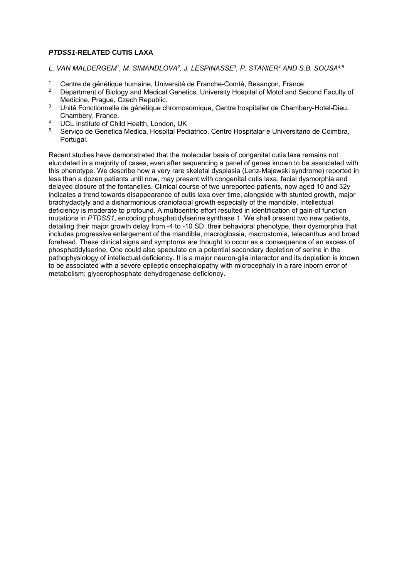#### *PTDSS1***-RELATED CUTIS LAXA**

- *L. VAN MALDERGEM1, M. SIMANDLOVA2, J. LESPINASSE3, P. STANIER4 AND S.B. SOUSA4,5*
- 1 Centre de génétique humaine, Université de Franche-Comté, Besançon, France.<br>2 Department of Biology and Modiael Constige, University Heapital of Motel and Soc
- 2 Department of Biology and Medical Genetics, University Hospital of Motol and Second Faculty of Medicine, Prague, Czech Republic.
- 3 Unité Fonctionnelle de génétique chromosomique, Centre hospitalier de Chambery-Hotel-Dieu, Chambery, France.
- <sup>4</sup> UCL Institute of Child Health, London, UK<br>
<sup>5</sup> Songico do Conotica Modica, Hospital Bod
- 5 Serviço de Genetica Medica, Hospital Pediatrico, Centro Hospitalar e Universitario de Coimbra, Portugal.

Recent studies have demonstrated that the molecular basis of congenital cutis laxa remains not elucidated in a majority of cases, even after sequencing a panel of genes known to be associated with this phenotype. We describe how a very rare skeletal dysplasia (Lenz-Majewski syndrome) reported in less than a dozen patients until now, may present with congenital cutis laxa, facial dysmorphia and delayed closure of the fontanelles. Clinical course of two unreported patients, now aged 10 and 32y indicates a trend towards disappearance of cutis laxa over time, alongside with stunted growth, major brachydactyly and a disharmonious craniofacial growth especially of the mandible. Intellectual deficiency is moderate to profound. A multicentric effort resulted in identification of gain-of function mutations in *PTDSS1*, encoding phosphatidylserine synthase 1. We shall present two new patients, detailing their major growth delay from -4 to -10 SD, their behavioral phenotype, their dysmorphia that includes progressive enlargement of the mandible, macroglossia, macrostomia, telecanthus and broad forehead. These clinical signs and symptoms are thought to occur as a consequence of an excess of phosphatidylserine. One could also speculate on a potential secondary depletion of serine in the pathophysiology of intellectual deficiency. It is a major neuron-glia interactor and its depletion is known to be associated with a severe epileptic encephalopathy with microcephaly in a rare inborn error of metabolism: glycerophosphate dehydrogenase deficiency.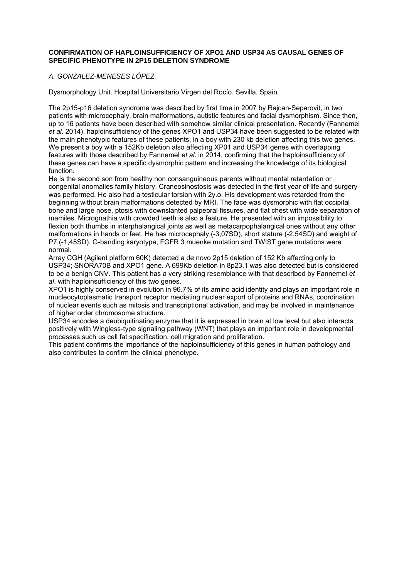#### **CONFIRMATION OF HAPLOINSUFFICIENCY OF XPO1 AND USP34 AS CAUSAL GENES OF SPECIFIC PHENOTYPE IN 2P15 DELETION SYNDROME**

#### *A. GONZALEZ-MENESES LÓPEZ.*

Dysmorphology Unit. Hospital Universitario Virgen del Rocío. Sevilla. Spain.

The 2p15-p16 deletion syndrome was described by first time in 2007 by Rajcan-Separovit, in two patients with microcephaly, brain malformations, autistic features and facial dysmorphism. Since then, up to 16 patients have been described with somehow similar clinical presentation. Recently (Fannemel *et al*. 2014), haploinsufficiency of the genes XPO1 and USP34 have been suggested to be related with the main phenotypic features of these patients, in a boy with 230 kb deletion affecting this two genes. We present a boy with a 152Kb deletion also affecting XP01 and USP34 genes with overlapping features with those described by Fannemel *et al*. in 2014, confirming that the haploinsufficiency of these genes can have a specific dysmorphic pattern and increasing the knowledge of its biological function.

He is the second son from healthy non consanguineous parents without mental retardation or congenital anomalies family history. Craneosinostosis was detected in the first year of life and surgery was performed. He also had a testicular torsion with 2y.o. His development was retarded from the beginning without brain malformations detected by MRI. The face was dysmorphic with flat occipital bone and large nose, ptosis with downslanted palpebral fissures, and flat chest with wide separation of mamiles. Micrognathia with crowded teeth is also a feature. He presented with an impossibility to flexion both thumbs in interphalangical joints as well as metacarpophalangical ones without any other malformations in hands or feet. He has microcephaly (-3,07SD), short stature (-2,54SD) and weight of P7 (-1,45SD). G-banding karyotype, FGFR 3 muenke mutation and TWIST gene mutations were normal.

Array CGH (Agilent platform 60K) detected a de novo 2p15 deletion of 152 Kb affecting only to USP34; SNORA70B and XPO1 gene. A 699Kb deletion in 8p23.1 was also detected but is considered to be a benign CNV. This patient has a very striking resemblance with that described by Fannemel *et al*. with haploinsufficiency of this two genes.

XPO1 is highly conserved in evolution in 96.7% of its amino acid identity and plays an important role in mucleocytoplasmatic transport receptor mediating nuclear export of proteins and RNAs, coordination of nuclear events such as mitosis and transcriptional activation, and may be involved in maintenance of higher order chromosome structure.

USP34 encodes a deubiquitinating enzyme that it is expressed in brain at low level but also interacts positively with Wingless-type signaling pathway (WNT) that plays an important role in developmental processes such us cell fat specification, cell migration and proliferation.

This patient confirms the importance of the haploinsufficiency of this genes in human pathology and also contributes to confirm the clinical phenotype.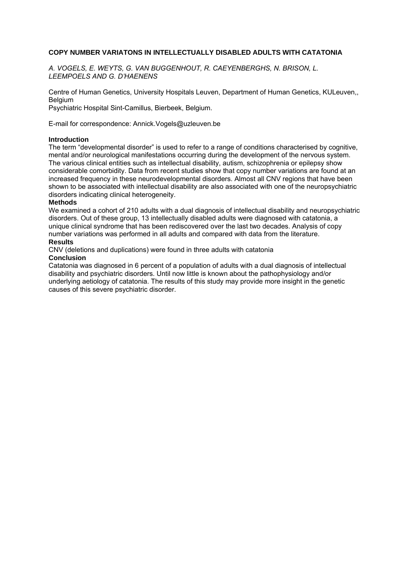#### **COPY NUMBER VARIATONS IN INTELLECTUALLY DISABLED ADULTS WITH CATATONIA**

*A. VOGELS, E. WEYTS, G. VAN BUGGENHOUT, R. CAEYENBERGHS, N. BRISON, L. LEEMPOELS AND G. D'HAENENS* 

Centre of Human Genetics, University Hospitals Leuven, Department of Human Genetics, KULeuven,, Belgium

Psychiatric Hospital Sint-Camillus, Bierbeek, Belgium.

E-mail for correspondence: Annick.Vogels@uzleuven.be

#### **Introduction**

The term "developmental disorder" is used to refer to a range of conditions characterised by cognitive, mental and/or neurological manifestations occurring during the development of the nervous system. The various clinical entities such as intellectual disability, autism, schizophrenia or epilepsy show considerable comorbidity. Data from recent studies show that copy number variations are found at an increased frequency in these neurodevelopmental disorders. Almost all CNV regions that have been shown to be associated with intellectual disability are also associated with one of the neuropsychiatric disorders indicating clinical heterogeneity.

#### **Methods**

We examined a cohort of 210 adults with a dual diagnosis of intellectual disability and neuropsychiatric disorders. Out of these group, 13 intellectually disabled adults were diagnosed with catatonia, a unique clinical syndrome that has been rediscovered over the last two decades. Analysis of copy number variations was performed in all adults and compared with data from the literature. **Results** 

CNV (deletions and duplications) were found in three adults with catatonia

#### **Conclusion**

Catatonia was diagnosed in 6 percent of a population of adults with a dual diagnosis of intellectual disability and psychiatric disorders. Until now little is known about the pathophysiology and/or underlying aetiology of catatonia. The results of this study may provide more insight in the genetic causes of this severe psychiatric disorder.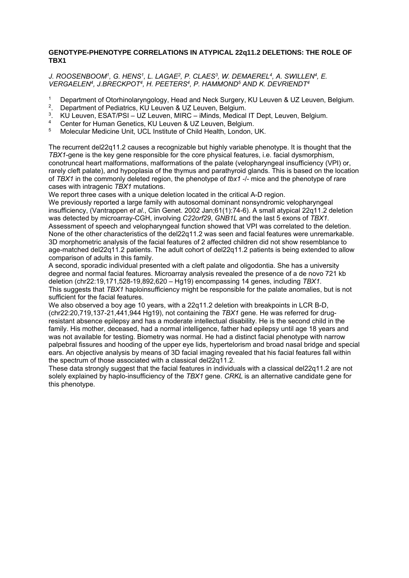#### **GENOTYPE-PHENOTYPE CORRELATIONS IN ATYPICAL 22q11.2 DELETIONS: THE ROLE OF TBX1**

J. ROOSENBOOM<sup>1</sup>, G. HENS<sup>1</sup>, L. LAGAE<sup>2</sup>, P. CLAES<sup>3</sup>, W. DEMAEREL<sup>4</sup>, A. SWILLEN<sup>4</sup>, E. *VERGAELEN4, J.BRECKPOT4, H. PEETERS4, P. HAMMOND5 AND K. DEVRIENDT4*

- <sup>1</sup> Department of Otorhinolaryngology, Head and Neck Surgery, KU Leuven & UZ Leuven, Belgium.
- <sup>2</sup>. Department of Pediatrics, KU Leuven & UZ Leuven, Belgium.<br><sup>3</sup>. KU Leuven, ESAT/PSL UZ Leuven, MIRC iMinds, Medical
- <sup>3</sup>. KU Leuven, ESAT/PSI UZ Leuven, MIRC iMinds, Medical IT Dept, Leuven, Belgium.
- 4 Center for Human Genetics, KU Leuven & UZ Leuven, Belgium.<br>5 Molecular Modicine Unit, UCL Institute of Child Hoalth, London
- 5 Molecular Medicine Unit, UCL Institute of Child Health, London, UK.

The recurrent del22q11.2 causes a recognizable but highly variable phenotype. It is thought that the *TBX1*-gene is the key gene responsible for the core physical features, i.e. facial dysmorphism, conotruncal heart malformations, malformations of the palate (velopharyngeal insufficiency (VPI) or, rarely cleft palate), and hypoplasia of the thymus and parathyroid glands. This is based on the location of *TBX1* in the commonly deleted region, the phenotype of *tbx1* -/- mice and the phenotype of rare cases with intragenic *TBX1* mutations.

We report three cases with a unique deletion located in the critical A-D region.

We previously reported a large family with autosomal dominant nonsyndromic velopharyngeal insufficiency, (Vantrappen *et al*., Clin Genet. 2002 Jan;61(1):74-6). A small atypical 22q11.2 deletion was detected by microarray-CGH, involving *C22orf29*, *GNB1L* and the last 5 exons of *TBX1.* Assessment of speech and velopharyngeal function showed that VPI was correlated to the deletion. None of the other characteristics of the del22q11.2 was seen and facial features were unremarkable. 3D morphometric analysis of the facial features of 2 affected children did not show resemblance to age-matched del22q11.2 patients. The adult cohort of del22q11.2 patients is being extended to allow comparison of adults in this family.

A second, sporadic individual presented with a cleft palate and oligodontia. She has a university degree and normal facial features. Microarray analysis revealed the presence of a de novo 721 kb deletion (chr22:19,171,528-19,892,620 – Hg19) encompassing 14 genes, including *TBX1*. This suggests that *TBX1* haploinsufficiency might be responsible for the palate anomalies, but is not sufficient for the facial features.

We also observed a boy age 10 years, with a 22q11.2 deletion with breakpoints in LCR B-D, (chr22:20,719,137-21,441,944 Hg19), not containing the *TBX1* gene. He was referred for drugresistant absence epilepsy and has a moderate intellectual disability. He is the second child in the family. His mother, deceased, had a normal intelligence, father had epilepsy until age 18 years and was not available for testing. Biometry was normal. He had a distinct facial phenotype with narrow palpebral fissures and hooding of the upper eye lids, hypertelorism and broad nasal bridge and special ears. An objective analysis by means of 3D facial imaging revealed that his facial features fall within the spectrum of those associated with a classical del22q11.2.

These data strongly suggest that the facial features in individuals with a classical del22q11.2 are not solely explained by haplo-insufficiency of the *TBX1* gene. *CRKL* is an alternative candidate gene for this phenotype.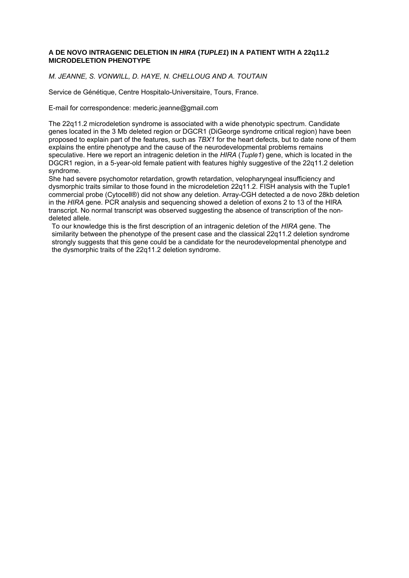#### **A DE NOVO INTRAGENIC DELETION IN** *HIRA* **(***TUPLE1***) IN A PATIENT WITH A 22q11.2 MICRODELETION PHENOTYPE**

*M. JEANNE, S. VONWILL, D. HAYE, N. CHELLOUG AND A. TOUTAIN*

Service de Génétique, Centre Hospitalo-Universitaire, Tours, France.

E-mail for correspondence: mederic.jeanne@gmail.com

The 22q11.2 microdeletion syndrome is associated with a wide phenotypic spectrum. Candidate genes located in the 3 Mb deleted region or DGCR1 (DiGeorge syndrome critical region) have been proposed to explain part of the features, such as *TBX1* for the heart defects, but to date none of them explains the entire phenotype and the cause of the neurodevelopmental problems remains speculative. Here we report an intragenic deletion in the *HIRA* (*Tuple1*) gene, which is located in the DGCR1 region, in a 5-year-old female patient with features highly suggestive of the 22q11.2 deletion syndrome.

She had severe psychomotor retardation, growth retardation, velopharyngeal insufficiency and dysmorphic traits similar to those found in the microdeletion 22q11.2. FISH analysis with the Tuple1 commercial probe (Cytocell®) did not show any deletion. Array-CGH detected a de novo 28kb deletion in the *HIRA* gene. PCR analysis and sequencing showed a deletion of exons 2 to 13 of the HIRA transcript. No normal transcript was observed suggesting the absence of transcription of the nondeleted allele.

To our knowledge this is the first description of an intragenic deletion of the *HIRA* gene. The similarity between the phenotype of the present case and the classical 22q11.2 deletion syndrome strongly suggests that this gene could be a candidate for the neurodevelopmental phenotype and the dysmorphic traits of the 22q11.2 deletion syndrome.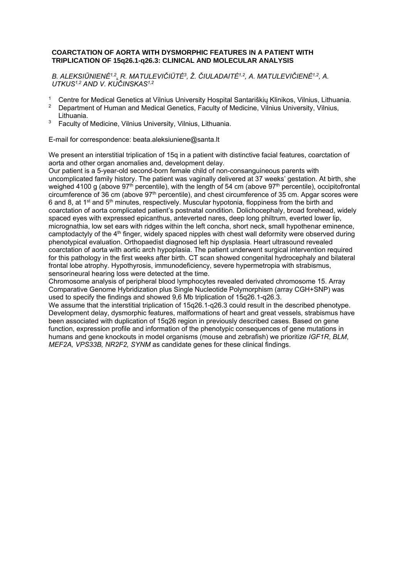#### **COARCTATION OF AORTA WITH DYSMORPHIC FEATURES IN A PATIENT WITH TRIPLICATION OF 15q26.1-q26.3: CLINICAL AND MOLECULAR ANALYSIS**

*B. ALEKSIŪNIENĖ1,2, R. MATULEVIČIŪTĖ3, Ž. ČIULADAITĖ1,2, A. MATULEVIČIENĖ1,2, A. UTKUS1,2 AND V. KUČINSKAS1,2*

- <sup>1</sup> Centre for Medical Genetics at Vilnius University Hospital Santariškių Klinikos, Vilnius, Lithuania.<br><sup>2</sup> Department of Human and Medical Genetics, Faculty of Medicine, Vilnius University, Vilnius.
- 2 Department of Human and Medical Genetics, Faculty of Medicine, Vilnius University, Vilnius, Lithuania.
- 3 Faculty of Medicine, Vilnius University, Vilnius, Lithuania.

E-mail for correspondence: beata.aleksiuniene@santa.lt

We present an interstitial triplication of 15q in a patient with distinctive facial features, coarctation of aorta and other organ anomalies and, development delay.

Our patient is a 5-year-old second-born female child of non-consanguineous parents with uncomplicated family history. The patient was vaginally delivered at 37 weeks' gestation. At birth, she weighed 4100 g (above 97<sup>th</sup> percentile), with the length of 54 cm (above 97<sup>th</sup> percentile), occipitofrontal circumference of 36 cm (above 97<sup>th</sup> percentile), and chest circumference of 35 cm. Apgar scores were 6 and 8, at 1<sup>st</sup> and 5<sup>th</sup> minutes, respectively. Muscular hypotonia, floppiness from the birth and coarctation of aorta complicated patient's postnatal condition. Dolichocephaly, broad forehead, widely spaced eyes with expressed epicanthus, anteverted nares, deep long philtrum, everted lower lip, micrognathia, low set ears with ridges within the left concha, short neck, small hypothenar eminence, camptodactyly of the 4<sup>th</sup> finger, widely spaced nipples with chest wall deformity were observed during phenotypical evaluation. Orthopaedist diagnosed left hip dysplasia. Heart ultrasound revealed coarctation of aorta with aortic arch hypoplasia. The patient underwent surgical intervention required for this pathology in the first weeks after birth. CT scan showed congenital hydrocephaly and bilateral frontal lobe atrophy. Hypothyrosis, immunodeficiency, severe hypermetropia with strabismus, sensorineural hearing loss were detected at the time.

Chromosome analysis of peripheral blood lymphocytes revealed derivated chromosome 15. Array Comparative Genome Hybridization plus Single Nucleotide Polymorphism (array CGH+SNP) was used to specify the findings and showed 9,6 Mb triplication of 15q26.1-q26.3.

We assume that the interstitial triplication of 15q26.1-q26.3 could result in the described phenotype. Development delay, dysmorphic features, malformations of heart and great vessels, strabismus have been associated with duplication of 15q26 region in previously described cases. Based on gene function, expression profile and information of the phenotypic consequences of gene mutations in humans and gene knockouts in model organisms (mouse and zebrafish) we prioritize *IGF1R*, *BLM*, *MEF2A, VPS33B, NR2F2, SYNM* as candidate genes for these clinical findings.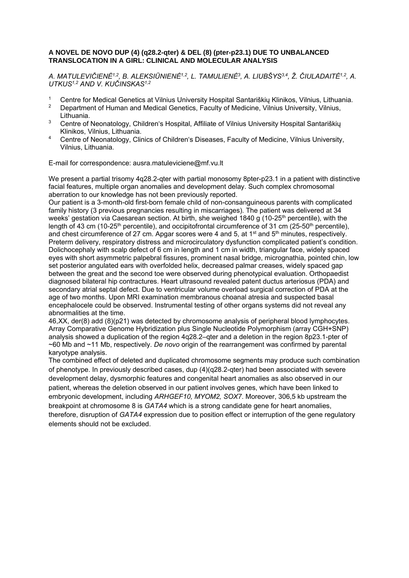#### **A NOVEL DE NOVO DUP (4) (q28.2-qter) & DEL (8) (pter-p23.1) DUE TO UNBALANCED TRANSLOCATION IN A GIRL: CLINICAL AND MOLECULAR ANALYSIS**

*A. MATULEVIČIENĖ1,2, B. ALEKSIŪNIENĖ1,2, L. TAMULIENĖ3, A. LIUBŠYS3,4, Ž. ČIULADAITĖ1,2, A. UTKUS1,2 AND V. KUČINSKAS1,2*

- 1 Centre for Medical Genetics at Vilnius University Hospital Santariškių Klinikos, Vilnius, Lithuania.<br>2 Department of Human and Medical Genetics, Eaculty of Medicine, Vilnius University, Vilnius
- 2 Department of Human and Medical Genetics, Faculty of Medicine, Vilnius University, Vilnius, Lithuania.
- <sup>3</sup> Centre of Neonatology, Children's Hospital, Affiliate of Vilnius University Hospital Santariškių Klinikos, Vilnius, Lithuania.
- 4 Centre of Neonatology, Clinics of Children's Diseases, Faculty of Medicine, Vilnius University, Vilnius, Lithuania.

E-mail for correspondence: ausra.matuleviciene@mf.vu.lt

We present a partial trisomy 4q28.2-qter with partial monosomy 8pter-p23.1 in a patient with distinctive facial features, multiple organ anomalies and development delay. Such complex chromosomal aberration to our knowledge has not been previously reported.

Our patient is a 3-month-old first-born female child of non-consanguineous parents with complicated family history (3 previous pregnancies resulting in miscarriages). The patient was delivered at 34 weeks' gestation via Caesarean section. At birth, she weighed 1840 g (10-25<sup>th</sup> percentile), with the length of 43 cm (10-25<sup>th</sup> percentile), and occipitofrontal circumference of 31 cm (25-50<sup>th</sup> percentile), and chest circumference of 27 cm. Apgar scores were 4 and 5, at 1<sup>st</sup> and 5<sup>th</sup> minutes, respectively. Preterm delivery, respiratory distress and microcirculatory dysfunction complicated patient's condition. Dolichocephaly with scalp defect of 6 cm in length and 1 cm in width, triangular face, widely spaced eyes with short asymmetric palpebral fissures, prominent nasal bridge, micrognathia, pointed chin, low set posterior angulated ears with overfolded helix, decreased palmar creases, widely spaced gap between the great and the second toe were observed during phenotypical evaluation. Orthopaedist diagnosed bilateral hip contractures. Heart ultrasound revealed patent ductus arteriosus (PDA) and secondary atrial septal defect. Due to ventricular volume overload surgical correction of PDA at the age of two months. Upon MRI examination membranous choanal atresia and suspected basal encephalocele could be observed. Instrumental testing of other organs systems did not reveal any abnormalities at the time.

46,XX, der(8) add (8)(p21) was detected by chromosome analysis of peripheral blood lymphocytes. Array Comparative Genome Hybridization plus Single Nucleotide Polymorphism (array CGH+SNP) analysis showed a duplication of the region 4q28.2–qter and a deletion in the region 8p23.1-pter of ~60 Mb and ~11 Mb, respectively. *De novo* origin of the rearrangement was confirmed by parental karyotype analysis.

The combined effect of deleted and duplicated chromosome segments may produce such combination of phenotype. In previously described cases, dup (4)(q28.2-qter) had been associated with severe development delay, dysmorphic features and congenital heart anomalies as also observed in our patient, whereas the deletion observed in our patient involves genes, which have been linked to embryonic development, including *ARHGEF10, MYOM2, SOX7*. Moreover, 306,5 kb upstream the breakpoint at chromosome 8 is *GATA4* which is a strong candidate gene for heart anomalies, therefore, disruption of *GATA4* expression due to position effect or interruption of the gene regulatory elements should not be excluded.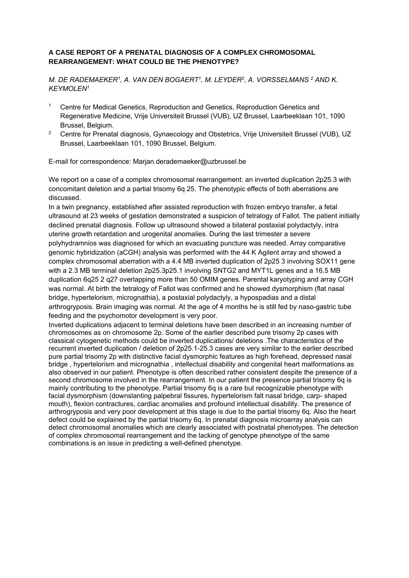#### **A CASE REPORT OF A PRENATAL DIAGNOSIS OF A COMPLEX CHROMOSOMAL REARRANGEMENT: WHAT COULD BE THE PHENOTYPE?**

*M. DE RADEMAEKER1, A. VAN DEN BOGAERT1, M. LEYDER2, A. VORSSELMANS 2 AND K. KEYMOLEN1* 

- 1 Centre for Medical Genetics, Reproduction and Genetics, Reproduction Genetics and Regenerative Medicine, Vrije Universiteit Brussel (VUB), UZ Brussel, Laarbeeklaan 101, 1090 Brussel, Belgium.
- <sup>2</sup> Centre for Prenatal diagnosis, Gynaecology and Obstetrics, Vrije Universiteit Brussel (VUB), UZ Brussel, Laarbeeklaan 101, 1090 Brussel, Belgium.

E-mail for correspondence: Marjan.derademaeker@uzbrussel.be

We report on a case of a complex chromosomal rearrangement: an inverted duplication 2p25.3 with concomitant deletion and a partial trisomy 6q 25. The phenotypic effects of both aberrations are discussed.

In a twin pregnancy, established after assisted reproduction with frozen embryo transfer, a fetal ultrasound at 23 weeks of gestation demonstrated a suspicion of tetralogy of Fallot. The patient initially declined prenatal diagnosis. Follow up ultrasound showed a bilateral postaxial polydactyly, intra uterine growth retardation and urogenital anomalies. During the last trimester a severe polyhydramnios was diagnosed for which an evacuating puncture was needed. Array comparative genomic hybridization (aCGH) analysis was performed with the 44 K Agilent array and showed a complex chromosomal aberration with a 4.4 MB inverted duplication of 2p25 3 involving SOX11 gene with a 2.3 MB terminal deletion 2p25.3p25.1 involving SNTG2 and MYT1L genes and a 16.5 MB duplication 6q25 2 q27 overlapping more than 50 OMIM genes. Parental karyotyping and array CGH was normal. At birth the tetralogy of Fallot was confirmed and he showed dysmorphism (flat nasal bridge, hypertelorism, micrognathia), a postaxial polydactyly, a hypospadias and a distal arthrogryposis. Brain imaging was normal. At the age of 4 months he is still fed by naso-gastric tube feeding and the psychomotor development is very poor.

Inverted duplications adjacent to terminal deletions have been described in an increasing number of chromosomes as on chromosome 2p. Some of the earlier described pure trisomy 2p cases with classical cytogenetic methods could be inverted duplications/ deletions .The characteristics of the recurrent inverted duplication / deletion of 2p25.1-25.3 cases are very similar to the earlier described pure partial trisomy 2p with distinctive facial dysmorphic features as high forehead, depressed nasal bridge , hypertelorism and micrognathia , intellectual disability and congenital heart malformations as also observed in our patient. Phenotype is often described rather consistent despite the presence of a second chromosome involved in the rearrangement. In our patient the presence partial trisomy 6q is mainly contributing to the phenotype. Partial trisomy 6q is a rare but recognizable phenotype with facial dysmorphism (downslanting palpebral fissures, hypertelorism falt nasal bridge, carp- shaped mouth), flexion contractures, cardiac anomalies and profound intellectual disability. The presence of arthrogryposis and very poor development at this stage is due to the partial trisomy 6q. Also the heart defect could be explained by the partial trisomy 6q. In prenatal diagnosis microarray analysis can detect chromosomal anomalies which are clearly associated with postnatal phenotypes. The detection of complex chromosomal rearrangement and the lacking of genotype phenotype of the same combinations is an issue in predicting a well-defined phenotype.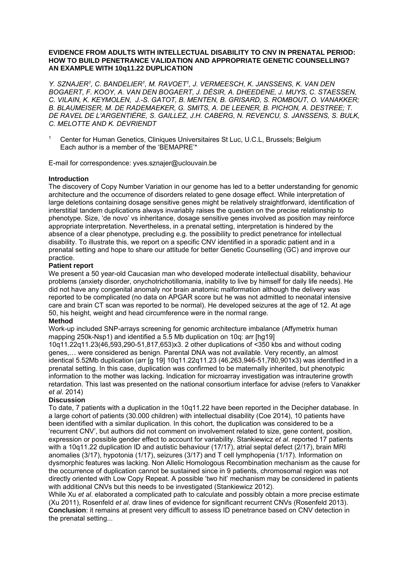#### **EVIDENCE FROM ADULTS WITH INTELLECTUAL DISABILITY TO CNV IN PRENATAL PERIOD: HOW TO BUILD PENETRANCE VALIDATION AND APPROPRIATE GENETIC COUNSELLING? AN EXAMPLE WITH 10q11.22 DUPLICATION**

*Y. SZNAJER1, C. BANDELIER1, M. RAVOET1, J. VERMEESCH, K. JANSSENS, K. VAN DEN BOGAERT, F. KOOY, A. VAN DEN BOGAERT, J. DÉSIR, A. DHEEDENE, J. MUYS, C. STAESSEN, C. VILAIN, K. KEYMOLEN, J.-S. GATOT, B. MENTEN, B. GRISARD, S. ROMBOUT, O. VANAKKER; B. BLAUMEISER, M. DE RADEMAEKER, G. SMITS, A. DE LEENER, B. PICHON, A. DESTREE; T. DE RAVEL DE L'ARGENTIÈRE, S. GAILLEZ, J.H. CABERG, N. REVENCU, S. JANSSENS, S. BULK, C. MELOTTE AND K. DEVRIENDT* 

1 Center for Human Genetics, Cliniques Universitaires St Luc, U.C.L, Brussels; Belgium Each author is a member of the 'BEMAPRE'\*

E-mail for correspondence: yves.sznajer@uclouvain.be

#### **Introduction**

The discovery of Copy Number Variation in our genome has led to a better understanding for genomic architecture and the occurrence of disorders related to gene dosage effect. While interpretation of large deletions containing dosage sensitive genes might be relatively straightforward, identification of interstitial tandem duplications always invariably raises the question on the precise relationship to phenotype. Size, 'de novo' vs inheritance, dosage sensitive genes involved as position may reinforce appropriate interpretation. Nevertheless, in a prenatal setting, interpretation is hindered by the absence of a clear phenotype, precluding e.g. the possibility to predict penetrance for intellectual disability. To illustrate this, we report on a specific CNV identified in a sporadic patient and in a prenatal setting and hope to share our attitude for better Genetic Counselling (GC) and improve our practice.

#### **Patient report**

We present a 50 year-old Caucasian man who developed moderate intellectual disability, behaviour problems (anxiety disorder, onychotrichotillomania, inability to live by himself for daily life needs). He did not have any congenital anomaly nor brain anatomic malformation although the delivery was reported to be complicated (no data on APGAR score but he was not admitted to neonatal intensive care and brain CT scan was reported to be normal). He developed seizures at the age of 12. At age 50, his height, weight and head circumference were in the normal range.

#### **Method**

Work-up included SNP-arrays screening for genomic architecture imbalance (Affymetrix human mapping 250k-Nsp1) and identified a 5.5 Mb duplication on 10q: arr [hg19]

10q11.22q11.23(46,593,290-51,817,653)x3. 2 other duplications of <350 kbs and without coding genes,… were considered as benign. Parental DNA was not available. Very recently, an almost identical 5.52Mb duplication (arr [g 19] 10q11.22q11.23 (46,263,946-51,780,901x3) was identified in a prenatal setting. In this case, duplication was confirmed to be maternally inherited, but phenotypic information to the mother was lacking. Indication for microarray investigation was intrauterine growth retardation. This last was presented on the national consortium interface for advise (refers to Vanakker *et al*. 2014)

#### **Discussion**

To date, 7 patients with a duplication in the 10q11.22 have been reported in the Decipher database. In a large cohort of patients (30.000 children) with intellectual disability (Coe 2014), 10 patients have been identified with a similar duplication. In this cohort, the duplication was considered to be a 'recurrent CNV', but authors did not comment on involvement related to size, gene content, position, expression or possible gender effect to account for variability. Stankiewicz *et al*. reported 17 patients with a 10q11.22 duplication ID and autistic behaviour (17/17), atrial septal defect (2/17), brain MRI anomalies (3/17), hypotonia (1/17), seizures (3/17) and T cell lymphopenia (1/17). Information on dysmorphic features was lacking. Non Allelic Homologous Recombination mechanism as the cause for the occurrence of duplication cannot be sustained since in 9 patients, chromosomal region was not directly oriented with Low Copy Repeat. A possible 'two hit' mechanism may be considered in patients with additional CNVs but this needs to be investigated (Stankiewicz 2012).

While Xu *et al*. elaborated a complicated path to calculate and possibly obtain a more precise estimate (Xu 2011), Rosenfeld *et al*. draw lines of evidence for significant recurrent CNVs (Rosenfeld 2013). **Conclusion**: it remains at present very difficult to assess ID penetrance based on CNV detection in the prenatal setting...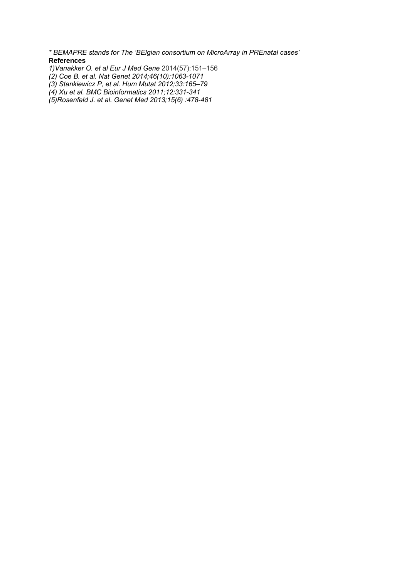*\* BEMAPRE stands for The 'BElgian consortium on MicroArray in PREnatal cases'*  **References** 

- *1)Vanakker O. et al Eur J Med Gene* 2014(57):151–156
- *(2) Coe B. et al. Nat Genet 2014;46(10):1063-1071*
- *(3) Stankiewicz P, et al. Hum Mutat 2012;33:165–79*
- *(4) Xu et al. BMC Bioinformatics 2011;12:331-341*
- *(5)Rosenfeld J. et al. Genet Med 2013;15(6) :478-481*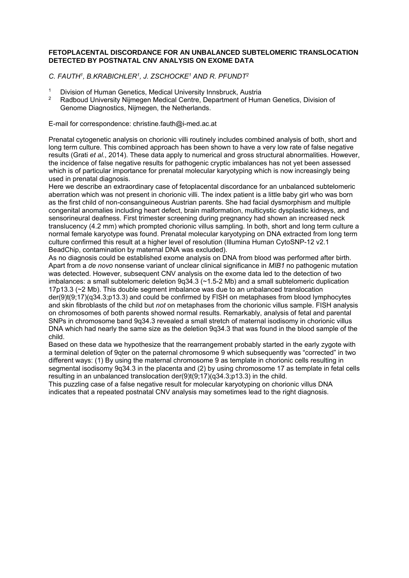#### **FETOPLACENTAL DISCORDANCE FOR AN UNBALANCED SUBTELOMERIC TRANSLOCATION DETECTED BY POSTNATAL CNV ANALYSIS ON EXOME DATA**

*C. FAUTH1, B.KRABICHLER1, J. ZSCHOCKE1 AND R. PFUNDT2* 

- <sup>1</sup> Division of Human Genetics, Medical University Innsbruck, Austria<br><sup>2</sup> Bedboud University Nijmegen Medical Centre, Department of Hum
- 2 Radboud University Nijmegen Medical Centre, Department of Human Genetics, Division of Genome Diagnostics, Nijmegen, the Netherlands.

E-mail for correspondence: christine.fauth@i-med.ac.at

Prenatal cytogenetic analysis on chorionic villi routinely includes combined analysis of both, short and long term culture. This combined approach has been shown to have a very low rate of false negative results (Grati *et al.*, 2014). These data apply to numerical and gross structural abnormalities. However, the incidence of false negative results for pathogenic cryptic imbalances has not yet been assessed which is of particular importance for prenatal molecular karyotyping which is now increasingly being used in prenatal diagnosis.

Here we describe an extraordinary case of fetoplacental discordance for an unbalanced subtelomeric aberration which was not present in chorionic villi. The index patient is a little baby girl who was born as the first child of non-consanguineous Austrian parents. She had facial dysmorphism and multiple congenital anomalies including heart defect, brain malformation, multicystic dysplastic kidneys, and sensorineural deafness. First trimester screening during pregnancy had shown an increased neck translucency (4.2 mm) which prompted chorionic villus sampling. In both, short and long term culture a normal female karyotype was found. Prenatal molecular karyotyping on DNA extracted from long term culture confirmed this result at a higher level of resolution (Illumina Human CytoSNP-12 v2.1 BeadChip, contamination by maternal DNA was excluded).

As no diagnosis could be established exome analysis on DNA from blood was performed after birth. Apart from a *de novo* nonsense variant of unclear clinical significance in *MIB1* no pathogenic mutation was detected. However, subsequent CNV analysis on the exome data led to the detection of two imbalances: a small subtelomeric deletion 9q34.3 (~1.5-2 Mb) and a small subtelomeric duplication 17p13.3 (~2 Mb). This double segment imbalance was due to an unbalanced translocation der(9)t(9;17)(q34.3;p13.3) and could be confirmed by FISH on metaphases from blood lymphocytes and skin fibroblasts of the child but *not* on metaphases from the chorionic villus sample. FISH analysis on chromosomes of both parents showed normal results. Remarkably, analysis of fetal and parental SNPs in chromosome band 9q34.3 revealed a small stretch of maternal isodisomy in chorionic villus DNA which had nearly the same size as the deletion 9q34.3 that was found in the blood sample of the child.

Based on these data we hypothesize that the rearrangement probably started in the early zygote with a terminal deletion of 9qter on the paternal chromosome 9 which subsequently was "corrected" in two different ways: (1) By using the maternal chromosome 9 as template in chorionic cells resulting in segmental isodisomy 9q34.3 in the placenta and (2) by using chromosome 17 as template in fetal cells resulting in an unbalanced translocation  $der(9)(9)(9,17)(q34.3,p13.3)$  in the child.

This puzzling case of a false negative result for molecular karyotyping on chorionic villus DNA indicates that a repeated postnatal CNV analysis may sometimes lead to the right diagnosis.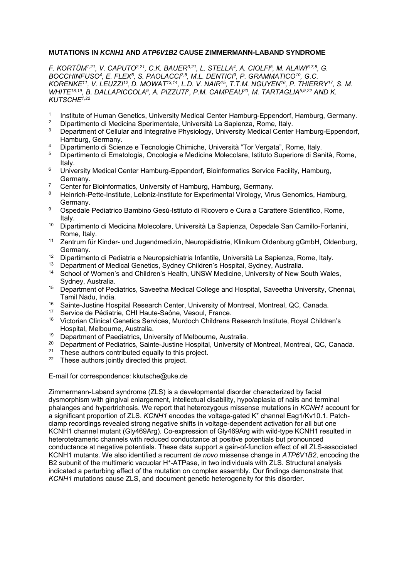#### **MUTATIONS IN** *KCNH1* **AND** *ATP6V1B2* **CAUSE ZIMMERMANN-LABAND SYNDROME**

*F. KORTÜM1,21, V. CAPUTO2,21, C.K. BAUER3,21, L. STELLA4, A. CIOLFI5, M. ALAWI6,7,8, G. BOCCHINFUSO4, E. FLEX5, S. PAOLACCI2,5, M.L. DENTICI9, P. GRAMMATICO10, G.C. KORENKE11, V. LEUZZI12, D. MOWAT13,14, L.D. V. NAIR15, T.T.M. NGUYEN16, P. THIERRY17, S. M.*  WHITE<sup>18,19</sup>, B. DALLAPICCOLA<sup>9</sup>, A. PIZZUTI<sup>2</sup>, P.M. CAMPEAU<sup>20</sup>, M. TARTAGLIA<sup>5,9,22</sup> AND K. *KUTSCHE1,22*

- <sup>1</sup> Institute of Human Genetics, University Medical Center Hamburg-Eppendorf, Hamburg, Germany.<br><sup>2</sup> Dinostimente di Medicine Specimentele, Università Le Sepienze, Berre, Italy.
- <sup>2</sup> Dipartimento di Medicina Sperimentale, Università La Sapienza, Rome, Italy.<br><sup>3</sup> Department of Collular and Integrative Physiology, University Medical Conter
- Department of Cellular and Integrative Physiology, University Medical Center Hamburg-Eppendorf, Hamburg, Germany.
- 4 Dipartimento di Scienze e Tecnologie Chimiche, Università "Tor Vergata", Rome, Italy.
- 5 Dipartimento di Ematologia, Oncologia e Medicina Molecolare, Istituto Superiore di Sanità, Rome, Italy.
- <sup>6</sup> University Medical Center Hamburg-Eppendorf, Bioinformatics Service Facility, Hamburg, Germany.
- <sup>7</sup> Center for Bioinformatics, University of Hamburg, Hamburg, Germany.<br><sup>8</sup> Heinrich Bette Institute, Leibniz Institute for Experimental Virelagy, Vire
- 8 Heinrich-Pette-Institute, Leibniz-Institute for Experimental Virology, Virus Genomics, Hamburg, Germany.
- <sup>9</sup> Ospedale Pediatrico Bambino Gesù-Istituto di Ricovero e Cura a Carattere Scientifico, Rome, Italy.
- 10 Dipartimento di Medicina Molecolare, Università La Sapienza, Ospedale San Camillo-Forlanini, Rome, Italy.
- 11 Zentrum für Kinder- und Jugendmedizin, Neuropädiatrie, Klinikum Oldenburg gGmbH, Oldenburg, Germany.
- <sup>12</sup> Dipartimento di Pediatria e Neuropsichiatria Infantile, Università La Sapienza, Rome, Italy.<br><sup>13</sup> Department of Medical Constige, Sudney Children's Hespital, Sudney, Australia.
- Department of Medical Genetics, Sydney Children's Hospital, Sydney, Australia.
- <sup>14</sup> School of Women's and Children's Health, UNSW Medicine, University of New South Wales, Sydney, Australia.
- <sup>15</sup> Department of Pediatrics, Saveetha Medical College and Hospital, Saveetha University, Chennai, Tamil Nadu, India.
- <sup>16</sup> Sainte-Justine Hospital Research Center, University of Montreal, Montreal, QC, Canada.
- <sup>17</sup> Service de Pédiatrie, CHI Haute-Saône, Vesoul, France.<br><sup>18</sup> Victorian Clinical Genetics Services, Murdoch Childrens I
- 18 Victorian Clinical Genetics Services, Murdoch Childrens Research Institute, Royal Children's Hospital, Melbourne, Australia.
- <sup>19</sup> Department of Paediatrics, University of Melbourne, Australia.<br><sup>20</sup> Department of Pediatrics, Sainte, Justine Hospital, University of
- <sup>20</sup> Department of Pediatrics, Sainte-Justine Hospital, University of Montreal, Montreal, QC, Canada.<br><sup>21</sup> These authors contributed equally to this project.
- <sup>21</sup> These authors contributed equally to this project.<br><sup>22</sup> These authors jointly directed this project.
- These authors jointly directed this project.

E-mail for correspondence: kkutsche@uke.de

Zimmermann-Laband syndrome (ZLS) is a developmental disorder characterized by facial dysmorphism with gingival enlargement, intellectual disability, hypo/aplasia of nails and terminal phalanges and hypertrichosis. We report that heterozygous missense mutations in *KCNH1* account for a significant proportion of ZLS. *KCNH1* encodes the voltage-gated K+ channel Eag1/Kv10.1. Patchclamp recordings revealed strong negative shifts in voltage-dependent activation for all but one KCNH1 channel mutant (Gly469Arg). Co-expression of Gly469Arg with wild-type KCNH1 resulted in heterotetrameric channels with reduced conductance at positive potentials but pronounced conductance at negative potentials. These data support a gain-of-function effect of all ZLS-associated KCNH1 mutants. We also identified a recurrent *de novo* missense change in *ATP6V1B2*, encoding the B2 subunit of the multimeric vacuolar H<sup>+</sup>-ATPase, in two individuals with ZLS. Structural analysis indicated a perturbing effect of the mutation on complex assembly. Our findings demonstrate that *KCNH1* mutations cause ZLS, and document genetic heterogeneity for this disorder.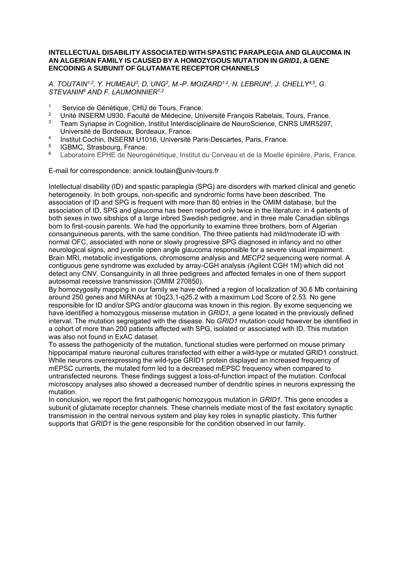#### **INTELLECTUAL DISABILITY ASSOCIATED WITH SPASTIC PARAPLEGIA AND GLAUCOMA IN AN ALGERIAN FAMILY IS CAUSED BY A HOMOZYGOUS MUTATION IN** *GRID1***, A GENE ENCODING A SUBUNIT OF GLUTAMATE RECEPTOR CHANNELS**

A. TOUTAIN<sup>1,2</sup>, Y. HUMEAU<sup>3</sup>, D. UNG<sup>2</sup>, M.-P. MOIZARD<sup>1,2</sup>, N. LEBRUN<sup>4</sup>, J. CHELLY<sup>4,5</sup>, G. *STEVANIN6 AND F. LAUMONNIER1,2*

- <sup>1</sup> Service de Génétique, CHU de Tours, France.<br><sup>2</sup> Lloité INSERM LI930, Faculté de Médecine, Uni
- <sup>2</sup> Unité INSERM U930, Faculté de Médecine, Université François Rabelais, Tours, France.<br><sup>3</sup> Team Superson in Cognition, Institut Interdisciplinaire de NoureScience, CNBS UMB5997.
- 3 Team Synapse in Cognition, Institut Interdisciplinaire de NeuroScience, CNRS UMR5297, Université de Bordeaux, Bordeaux, France.
- 4 Institut Cochin, INSERM U1016, Université Paris-Descartes, Paris, France.
- $^{5}$  IGBMC, Strasbourg, France.
- <sup>6</sup> Laboratoire EPHE de Neurogénétique, Institut du Cerveau et de la Moelle épinière, Paris, France.

E-mail for correspondence: annick.toutain@univ-tours.fr

Intellectual disability (ID) and spastic paraplegia (SPG) are disorders with marked clinical and genetic heterogeneity. In both groups, non-specific and syndromic forms have been described. The association of ID and SPG is frequent with more than 80 entries in the OMIM database, but the association of ID, SPG and glaucoma has been reported only twice in the literature: in 4 patients of both sexes in two sibships of a large inbred Swedish pedigree, and in three male Canadian siblings born to first-cousin parents. We had the opportunity to examine three brothers, born of Algerian consanguineous parents, with the same condition. The three patients had mild/moderate ID with normal OFC, associated with none or slowly progressive SPG diagnosed in infancy and no other neurological signs, and juvenile open angle glaucoma responsible for a severe visual impairment. Brain MRI, metabolic investigations, chromosome analysis and *MECP2* sequencing were normal. A contiguous gene syndrome was excluded by array-CGH analysis (Agilent CGH 1M) which did not detect any CNV. Consanguinity in all three pedigrees and affected females in one of them support autosomal recessive transmission (OMIM 270850).

By homozygosity mapping in our family we have defined a region of localization of 30.6 Mb containing around 250 genes and MiRNAs at 10q23.1-q25.2 with a maximum Lod Score of 2.53. No gene responsible for ID and/or SPG and/or glaucoma was known in this region. By exome sequencing we have identified a homozygous missense mutation in *GRID1*, a gene located in the previously defined interval. The mutation segregated with the disease. No *GRID1* mutation could however be identified in a cohort of more than 200 patients affected with SPG, isolated or associated with ID. This mutation was also not found in ExAC dataset.

To assess the pathogenicity of the mutation, functional studies were performed on mouse primary hippocampal mature neuronal cultures transfected with either a wild-type or mutated GRID1 construct. While neurons overexpressing the wild-type GRID1 protein displayed an increased frequency of mEPSC currents, the mutated form led to a decreased mEPSC frequency when compared to untransfected neurons. These findings suggest a loss-of-function impact of the mutation. Confocal microscopy analyses also showed a decreased number of dendritic spines in neurons expressing the mutation.

In conclusion, we report the first pathogenic homozygous mutation in *GRID1*. This gene encodes a subunit of glutamate receptor channels. These channels mediate most of the fast excitatory synaptic transmission in the central nervous system and play key roles in synaptic plasticity. This further supports that *GRID1* is the gene responsible for the condition observed in our family.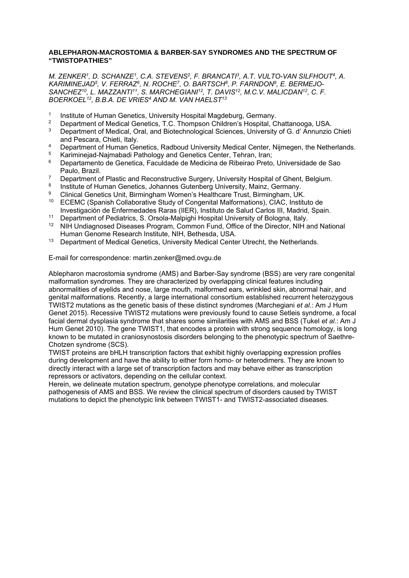#### **ABLEPHARON-MACROSTOMIA & BARBER-SAY SYNDROMES AND THE SPECTRUM OF "TWISTOPATHIES"**

*M. ZENKER1, D. SCHANZE1, C.A. STEVENS2, F. BRANCATI3, A.T. VULTO-VAN SILFHOUT4, A. KARIMINEJAD5, V. FERRAZ6, N. ROCHE7, O. BARTSCH8, P. FARNDON9, E. BERMEJO-*SANCHEZ<sup>10</sup>, L. MAZZANTI<sup>11</sup>, S. MARCHEGIANI<sup>12</sup>, T. DAVIS<sup>12</sup>, M.C.V. MALICDAN<sup>12</sup>, C. F. *BOERKOEL12, B.B.A. DE VRIES4 AND M. VAN HAELST13*

- 1 Institute of Human Genetics, University Hospital Magdeburg, Germany.<br>2 Department of Medical Genetics, J.C. Thempson Children's Hospital, C.
- <sup>2</sup> Department of Medical Genetics, T.C. Thompson Children's Hospital, Chattanooga, USA.<br><sup>3</sup> Department of Medical Oral, and Pictochnological Sciences, University of G. d'Annunzio.
- Department of Medical, Oral, and Biotechnological Sciences, University of G. d' Annunzio Chieti and Pescara, Chieti, Italy.
- <sup>4</sup> Department of Human Genetics, Radboud University Medical Center, Nijmegen, the Netherlands.<br><sup>5</sup> Kariminoiad Najmahadi Pathology and Genetics Center, Tehran, Iran;
- <sup>5</sup> Kariminejad-Najmabadi Pathology and Genetics Center, Tehran, Iran;<br><sup>6</sup> Departemento de Cenetica, Esculdado de Medicina de Pibeiras Proto
- 6 Departamento de Genetica, Faculdade de Medicina de Ribeirao Preto, Universidade de Sao Paulo, Brazil.
- <sup>7</sup> Department of Plastic and Reconstructive Surgery, University Hospital of Ghent, Belgium.<br><sup>8</sup> Petitute of Human Genetics, Johannes Gutophers University Mainz, Germany.
- <sup>8</sup> Institute of Human Genetics, Johannes Gutenberg University, Mainz, Germany.<br><sup>9</sup> Clinical Cenetics Unit, Birmingham Waman's Healthcare Trust, Birmingham, UK
- <sup>9</sup> Clinical Genetics Unit, Birmingham Women's Healthcare Trust, Birmingham, UK.<br><sup>10</sup> ECEMC (Spanish Callabarative Study of Canganital Malformationa), CIAC, Institu
- 10 ECEMC (Spanish Collaborative Study of Congenital Malformations), CIAC, Instituto de Investigación de Enfermedades Raras (IIER), Instituto de Salud Carlos III, Madrid, Spain.
- <sup>11</sup> Department of Pediatrics, S. Orsola-Malpighi Hospital University of Bologna, Italy.<br><sup>12</sup> NIH Lindiagnosed Diseases Program, Common Fund, Office of the Director, NIH a
- 12 NIH Undiagnosed Diseases Program, Common Fund, Office of the Director, NIH and National Human Genome Research Institute, NIH, Bethesda, USA.
- <sup>13</sup> Department of Medical Genetics, University Medical Center Utrecht, the Netherlands.

E-mail for correspondence: martin.zenker@med.ovgu.de

Ablepharon macrostomia syndrome (AMS) and Barber-Say syndrome (BSS) are very rare congenital malformation syndromes. They are characterized by overlapping clinical features including abnormalities of eyelids and nose, large mouth, malformed ears, wrinkled skin, abnormal hair, and genital malformations. Recently, a large international consortium established recurrent heterozygous TWIST2 mutations as the genetic basis of these distinct syndromes (Marchegiani *et al*.: Am J Hum Genet 2015). Recessive TWIST2 mutations were previously found to cause Setleis syndrome, a focal facial dermal dysplasia syndrome that shares some similarities with AMS and BSS (Tukel *et al*.: Am J Hum Genet 2010). The gene TWIST1, that encodes a protein with strong sequence homology, is long known to be mutated in craniosynostosis disorders belonging to the phenotypic spectrum of Saethre-Chotzen syndrome (SCS).

TWIST proteins are bHLH transcription factors that exhibit highly overlapping expression profiles during development and have the ability to either form homo- or heterodimers. They are known to directly interact with a large set of transcription factors and may behave either as transcription repressors or activators, depending on the cellular context.

Herein, we delineate mutation spectrum, genotype phenotype correlations, and molecular pathogenesis of AMS and BSS. We review the clinical spectrum of disorders caused by TWIST mutations to depict the phenotypic link between TWIST1- and TWIST2-associated diseases.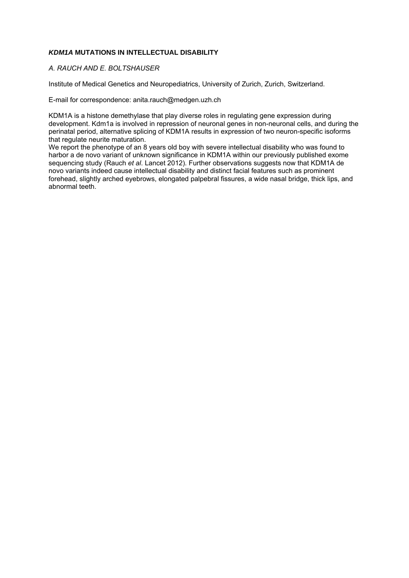#### *KDM1A* **MUTATIONS IN INTELLECTUAL DISABILITY**

#### *A. RAUCH AND E. BOLTSHAUSER*

Institute of Medical Genetics and Neuropediatrics, University of Zurich, Zurich, Switzerland.

E-mail for correspondence: anita.rauch@medgen.uzh.ch

KDM1A is a histone demethylase that play diverse roles in regulating gene expression during development. Kdm1a is involved in repression of neuronal genes in non-neuronal cells, and during the perinatal period, alternative splicing of KDM1A results in expression of two neuron-specific isoforms that regulate neurite maturation.

We report the phenotype of an 8 years old boy with severe intellectual disability who was found to harbor a de novo variant of unknown significance in KDM1A within our previously published exome sequencing study (Rauch *et al*. Lancet 2012). Further observations suggests now that KDM1A de novo variants indeed cause intellectual disability and distinct facial features such as prominent forehead, slightly arched eyebrows, elongated palpebral fissures, a wide nasal bridge, thick lips, and abnormal teeth.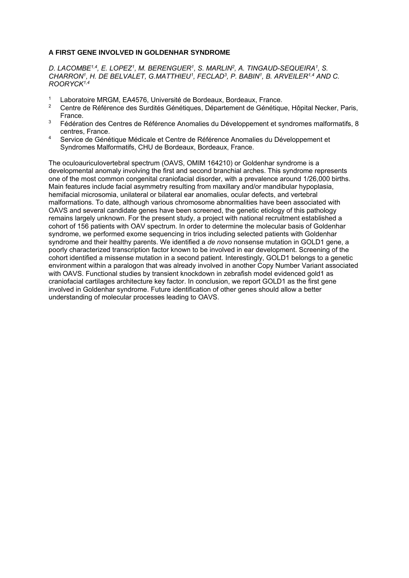#### **A FIRST GENE INVOLVED IN GOLDENHAR SYNDROME**

*D. LACOMBE1,4, E. LOPEZ1, M. BERENGUER1, S. MARLIN2, A. TINGAUD-SEQUEIRA1, S. CHARRON1, H. DE BELVALET, G.MATTHIEU1, FECLAD3, P. BABIN1, B. ARVEILER1,4 AND C. ROORYCK1,4*

- <sup>1</sup> Laboratoire MRGM, EA4576, Université de Bordeaux, Bordeaux, France.<br><sup>2</sup> Contre de Pétérence des Surdités Génétiques, Département de Cénétique
- 2 Centre de Référence des Surdités Génétiques, Département de Génétique, Hôpital Necker, Paris, France.
- $3$  Fédération des Centres de Référence Anomalies du Développement et syndromes malformatifs, 8 centres, France.
- 4 Service de Génétique Médicale et Centre de Référence Anomalies du Développement et Syndromes Malformatifs, CHU de Bordeaux, Bordeaux, France.

The oculoauriculovertebral spectrum (OAVS, OMIM 164210) or Goldenhar syndrome is a developmental anomaly involving the first and second branchial arches. This syndrome represents one of the most common congenital craniofacial disorder, with a prevalence around 1/26,000 births. Main features include facial asymmetry resulting from maxillary and/or mandibular hypoplasia, hemifacial microsomia, unilateral or bilateral ear anomalies, ocular defects, and vertebral malformations. To date, although various chromosome abnormalities have been associated with OAVS and several candidate genes have been screened, the genetic etiology of this pathology remains largely unknown. For the present study, a project with national recruitment established a cohort of 156 patients with OAV spectrum. In order to determine the molecular basis of Goldenhar syndrome, we performed exome sequencing in trios including selected patients with Goldenhar syndrome and their healthy parents. We identified a *de novo* nonsense mutation in GOLD1 gene, a poorly characterized transcription factor known to be involved in ear development. Screening of the cohort identified a missense mutation in a second patient. Interestingly, GOLD1 belongs to a genetic environment within a paralogon that was already involved in another Copy Number Variant associated with OAVS. Functional studies by transient knockdown in zebrafish model evidenced gold1 as craniofacial cartilages architecture key factor. In conclusion, we report GOLD1 as the first gene involved in Goldenhar syndrome. Future identification of other genes should allow a better understanding of molecular processes leading to OAVS.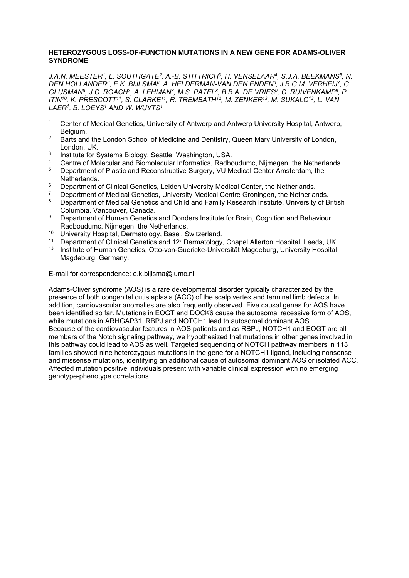#### **HETEROZYGOUS LOSS-OF-FUNCTION MUTATIONS IN A NEW GENE FOR ADAMS-OLIVER SYNDROME**

J.A.N. MEESTER<sup>1</sup>, L. SOUTHGATE<sup>2</sup>, A.-B. STITTRICH<sup>3</sup>, H. VENSELAAR<sup>4</sup>, S.J.A. BEEKMANS<sup>5</sup>, N. DEN HOLLANDER<sup>6</sup>, E.K. BIJLSMA<sup>6</sup>, A. HELDERMAN-VAN DEN ENDEN<sup>6</sup>, J.B.G.M. VERHEIJ<sup>7</sup>, G. *GLUSMAN8, J.C. ROACH3, A. LEHMAN8, M.S. PATEL8, B.B.A. DE VRIES9, C. RUIVENKAMP6, P. ITIN10, K. PRESCOTT11, S. CLARKE11, R. TREMBATH12, M. ZENKER13, M. SUKALO13, L. VAN LAER1, B. LOEYS1 AND W. WUYTS1*

- <sup>1</sup> Center of Medical Genetics, University of Antwerp and Antwerp University Hospital, Antwerp, Belgium.
- <sup>2</sup> Barts and the London School of Medicine and Dentistry, Queen Mary University of London, London, UK.
- <sup>3</sup> Institute for Systems Biology, Seattle, Washington, USA.<br>4 Centre of Melogylar and Biomelogylar Information, Badha
- 4 Centre of Molecular and Biomolecular Informatics, Radboudumc, Nijmegen, the Netherlands.<br>5 Department of Plastic and Beconstructive Surgery VI LModical Center Ameterdam, the
- 5 Department of Plastic and Reconstructive Surgery, VU Medical Center Amsterdam, the Netherlands.
- 6 Department of Clinical Genetics, Leiden University Medical Center, the Netherlands.
- <sup>7</sup> Department of Medical Genetics, University Medical Centre Groningen, the Netherlands.<br><sup>8</sup> Department of Medical Ceneties and Child and Eamily Research Institute, University of B
- 8 Department of Medical Genetics and Child and Family Research Institute, University of British Columbia, Vancouver, Canada.
- 9 Department of Human Genetics and Donders Institute for Brain, Cognition and Behaviour, Radboudumc, Nijmegen, the Netherlands.
- <sup>10</sup> University Hospital, Dermatology, Basel, Switzerland.<br><sup>11</sup> Department of Clinical Genetics and 12: Dermatology.
- <sup>11</sup> Department of Clinical Genetics and 12: Dermatology, Chapel Allerton Hospital, Leeds, UK.<br><sup>13</sup> Institute of Human Genetics, Otto von Guericke Universität Magdeburg, University Hospital.
- 13 Institute of Human Genetics, Otto-von-Guericke-Universität Magdeburg, University Hospital Magdeburg, Germany.

E-mail for correspondence: e.k.bijlsma@lumc.nl

Adams-Oliver syndrome (AOS) is a rare developmental disorder typically characterized by the presence of both congenital cutis aplasia (ACC) of the scalp vertex and terminal limb defects. In addition, cardiovascular anomalies are also frequently observed. Five causal genes for AOS have been identified so far. Mutations in EOGT and DOCK6 cause the autosomal recessive form of AOS, while mutations in ARHGAP31, RBPJ and NOTCH1 lead to autosomal dominant AOS. Because of the cardiovascular features in AOS patients and as RBPJ, NOTCH1 and EOGT are all members of the Notch signaling pathway, we hypothesized that mutations in other genes involved in this pathway could lead to AOS as well. Targeted sequencing of NOTCH pathway members in 113 families showed nine heterozygous mutations in the gene for a NOTCH1 ligand, including nonsense and missense mutations, identifying an additional cause of autosomal dominant AOS or isolated ACC. Affected mutation positive individuals present with variable clinical expression with no emerging genotype-phenotype correlations.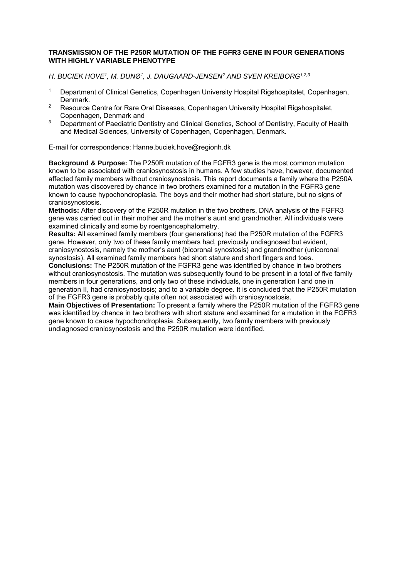#### **TRANSMISSION OF THE P250R MUTATION OF THE FGFR3 GENE IN FOUR GENERATIONS WITH HIGHLY VARIABLE PHENOTYPE**

*H. BUCIEK HOVE1, M. DUNØ1, J. DAUGAARD-JENSEN2 AND SVEN KREIBORG1,2,3*

- 1 Department of Clinical Genetics, Copenhagen University Hospital Rigshospitalet, Copenhagen, Denmark.
- <sup>2</sup> Resource Centre for Rare Oral Diseases, Copenhagen University Hospital Rigshospitalet, Copenhagen, Denmark and
- <sup>3</sup> Department of Paediatric Dentistry and Clinical Genetics, School of Dentistry, Faculty of Health and Medical Sciences, University of Copenhagen, Copenhagen, Denmark.

E-mail for correspondence: Hanne.buciek.hove@regionh.dk

**Background & Purpose:** The P250R mutation of the FGFR3 gene is the most common mutation known to be associated with craniosynostosis in humans. A few studies have, however, documented affected family members without craniosynostosis. This report documents a family where the P250A mutation was discovered by chance in two brothers examined for a mutation in the FGFR3 gene known to cause hypochondroplasia. The boys and their mother had short stature, but no signs of craniosynostosis.

**Methods:** After discovery of the P250R mutation in the two brothers, DNA analysis of the FGFR3 gene was carried out in their mother and the mother's aunt and grandmother. All individuals were examined clinically and some by roentgencephalometry.

**Results:** All examined family members (four generations) had the P250R mutation of the FGFR3 gene. However, only two of these family members had, previously undiagnosed but evident, craniosynostosis, namely the mother's aunt (bicoronal synostosis) and grandmother (unicoronal synostosis). All examined family members had short stature and short fingers and toes.

**Conclusions:** The P250R mutation of the FGFR3 gene was identified by chance in two brothers without craniosynostosis. The mutation was subsequently found to be present in a total of five family members in four generations, and only two of these individuals, one in generation I and one in generation II, had craniosynostosis; and to a variable degree. It is concluded that the P250R mutation of the FGFR3 gene is probably quite often not associated with craniosynostosis.

**Main Objectives of Presentation:** To present a family where the P250R mutation of the FGFR3 gene was identified by chance in two brothers with short stature and examined for a mutation in the FGFR3 gene known to cause hypochondroplasia. Subsequently, two family members with previously undiagnosed craniosynostosis and the P250R mutation were identified.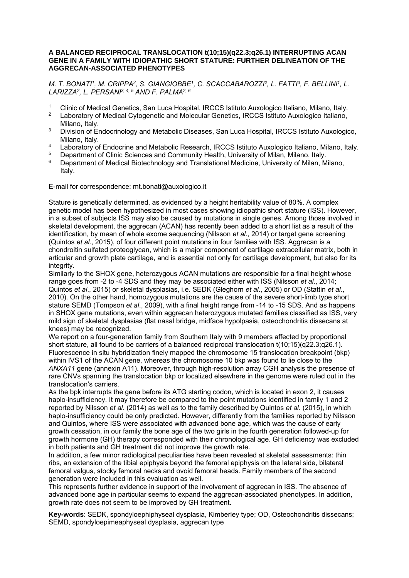#### **A BALANCED RECIPROCAL TRANSLOCATION t(10;15)(q22.3;q26.1) INTERRUPTING ACAN GENE IN A FAMILY WITH IDIOPATHIC SHORT STATURE: FURTHER DELINEATION OF THE AGGRECAN-ASSOCIATED PHENOTYPES**

*M. T. BONATI1, M. CRIPPA2, S. GIANGIOBBE1, C. SCACCABAROZZI2, L. FATTI3, F. BELLINI1, L. LARIZZA2, L. PERSANI3, 4, 5 AND F. PALMA2, 6* 

- 1 Clinic of Medical Genetics, San Luca Hospital, IRCCS Istituto Auxologico Italiano, Milano, Italy.
- Laboratory of Medical Cytogenetic and Molecular Genetics, IRCCS Istituto Auxologico Italiano, Milano, Italy.
- <sup>3</sup> Division of Endocrinology and Metabolic Diseases, San Luca Hospital, IRCCS Istituto Auxologico, Milano, Italy.
- 4 Laboratory of Endocrine and Metabolic Research, IRCCS Istituto Auxologico Italiano, Milano, Italy.<br>5 Department of Clinic Sciences and Community Hoalth University of Milano Milano, Italy.
- <sup>5</sup> Department of Clinic Sciences and Community Health, University of Milan, Milano, Italy.<br><sup>6</sup> Department of Medical Biotechnology and Translational Medicine, University of Milan, M
- Department of Medical Biotechnology and Translational Medicine, University of Milan, Milano, Italy.

E-mail for correspondence: mt.bonati@auxologico.it

Stature is genetically determined, as evidenced by a height heritability value of 80%. A complex genetic model has been hypothesized in most cases showing idiopathic short stature (ISS). However, in a subset of subjects ISS may also be caused by mutations in single genes. Among those involved in skeletal development, the aggrecan (ACAN) has recently been added to a short list as a result of the identification, by mean of whole exome sequencing (Nilsson *et al*., 2014) or target gene screening (Quintos *et al*., 2015), of four different point mutations in four families with ISS. Aggrecan is a chondroitin sulfated proteoglycan, which is a major component of cartilage extracellular matrix, both in articular and growth plate cartilage, and is essential not only for cartilage development, but also for its integrity.

Similarly to the SHOX gene, heterozygous ACAN mutations are responsible for a final height whose range goes from -2 to -4 SDS and they may be associated either with ISS (Nilsson *et al*., 2014; Quintos *et al*., 2015) or skeletal dysplasias, i.e. SEDK (Gleghorn *et al*., 2005) or OD (Stattin *et al*., 2010). On the other hand, homozygous mutations are the cause of the severe short-limb type short stature SEMD (Tompson *et al*., 2009), with a final height range from -14 to -15 SDS. And as happens in SHOX gene mutations, even within aggrecan heterozygous mutated families classified as ISS, very mild sign of skeletal dysplasias (flat nasal bridge, midface hypolpasia, osteochondritis dissecans at knees) may be recognized.

We report on a four-generation family from Southern Italy with 9 members affected by proportional short stature, all found to be carriers of a balanced reciprocal translocation t(10:15)(q22.3;q26.1). Fluorescence in situ hybridization finely mapped the chromosome 15 translocation breakpoint (bkp) within IVS1 of the ACAN gene, whereas the chromosome 10 bkp was found to lie close to the *ANXA11* gene (annexin A11). Moreover, through high-resolution array CGH analysis the presence of rare CNVs spanning the translocation bkp or localized elsewhere in the genome were ruled out in the translocation's carriers.

As the bpk interrupts the gene before its ATG starting codon, which is located in exon 2, it causes haplo-insufficiency. It may therefore be compared to the point mutations identified in family 1 and 2 reported by Nilsson *et al*. (2014) as well as to the family described by Quintos *et al*. (2015), in which haplo-insufficiency could be only predicted. However, differently from the families reported by Nilsson and Quintos, where ISS were associated with advanced bone age, which was the cause of early growth cessation, in our family the bone age of the two girls in the fourth generation followed-up for growth hormone (GH) therapy corresponded with their chronological age. GH deficiency was excluded in both patients and GH treatment did not improve the growth rate.

In addition, a few minor radiological peculiarities have been revealed at skeletal assessments: thin ribs, an extension of the tibial epiphysis beyond the femoral epiphysis on the lateral side, bilateral femoral valgus, stocky femoral necks and ovoid femoral heads. Family members of the second generation were included in this evaluation as well.

This represents further evidence in support of the involvement of aggrecan in ISS. The absence of advanced bone age in particular seems to expand the aggrecan-associated phenotypes. In addition, growth rate does not seem to be improved by GH treatment.

**Key-words**: SEDK, spondyloephiphyseal dysplasia, Kimberley type; OD, Osteochondritis dissecans; SEMD, spondyloepimeaphyseal dysplasia, aggrecan type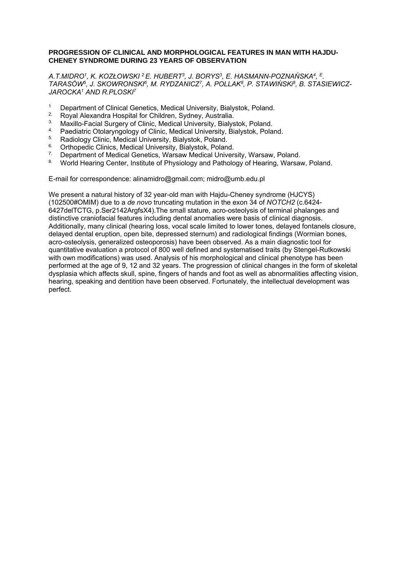#### **PROGRESSION OF CLINICAL AND MORPHOLOGICAL FEATURES IN MAN WITH HAJDU-CHENEY SYNDROME DURING 23 YEARS OF OBSERVATION**

*A.T.MIDRO1, K. KOZŁOWSKI 2 E. HUBERT3, J. BORYS3, E. HASMANN-POZNAŃSKA4, E. TARASÓW5, J. SKOWRONSKI6, M. RYDZANICZ7, A. POLLAK8, P. STAWIŃSKi8, B. STASIEWICZ-JAROCKA1 AND R.PLOSKI7*

- <sup>1</sup> Department of Clinical Genetics, Medical University, Bialystok, Poland.<br><sup>2</sup> Poval Alexandra Hospital for Children, Sydney, Australia
- <sup>2</sup>. Royal Alexandra Hospital for Children, Sydney, Australia.
- <sup>3</sup>. Maxillo-Facial Surgery of Clinic, Medical University, Bialystok, Poland.<br>4. Paodiatric Otelanmaclogy of Clinic, Medical University, Bialystok, Pola
- 4. Paediatric Otolaryngology of Clinic, Medical University, Bialystok, Poland.<br>5. Pedialogy Clinic, Medical University, Bialystok, Peland.
- <sup>5.</sup> Radiology Clinic, Medical University, Bialystok, Poland.<br><sup>6.</sup> Orthopodia Clinics, Medical University, Bialystok, Poland
- <sup>6.</sup> Orthopedic Clinics, Medical University, Bialystok, Poland.<br><sup>7.</sup> Department of Medical Genetics, Warsaw Medical Univers
- <sup>7.</sup> Department of Medical Genetics, Warsaw Medical University, Warsaw, Poland.<br><sup>8.</sup> World Hearing Center, Institute of Physiology and Pathology of Hearing, Warsay
- 8. World Hearing Center, Institute of Physiology and Pathology of Hearing, Warsaw, Poland.

E-mail for correspondence: alinamidro@gmail.com; midro@umb.edu.pl

We present a natural history of 32 year-old man with Hajdu-Cheney syndrome (HJCYS) (102500#OMIM) due to a *de novo* truncating mutation in the exon 34 of *NOTCH2* (c.6424- 6427delTCTG, p.Ser2142ArgfsX4).The small stature, acro-osteolysis of terminal phalanges and distinctive craniofacial features including dental anomalies were basis of clinical diagnosis. Additionally, many clinical (hearing loss, vocal scale limited to lower tones, delayed fontanels closure, delayed dental eruption, open bite, depressed sternum) and radiological findings (Wormian bones, acro-osteolysis, generalized osteoporosis) have been observed. As a main diagnostic tool for quantitative evaluation a protocol of 800 well defined and systematised traits (by Stengel-Rutkowski with own modifications) was used. Analysis of his morphological and clinical phenotype has been performed at the age of 9, 12 and 32 years. The progression of clinical changes in the form of skeletal dysplasia which affects skull, spine, fingers of hands and foot as well as abnormalities affecting vision, hearing, speaking and dentition have been observed. Fortunately, the intellectual development was perfect.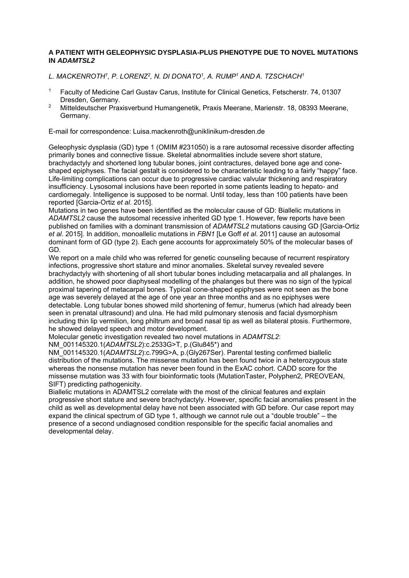#### **A PATIENT WITH GELEOPHYSIC DYSPLASIA-PLUS PHENOTYPE DUE TO NOVEL MUTATIONS IN** *ADAMTSL2*

*L. MACKENROTH1, P. LORENZ2, N. DI DONATO1, A. RUMP1 AND A. TZSCHACH1*

- 1 Faculty of Medicine Carl Gustav Carus, Institute for Clinical Genetics, Fetscherstr. 74, 01307 Dresden, Germany.
- 2 Mitteldeutscher Praxisverbund Humangenetik, Praxis Meerane, Marienstr. 18, 08393 Meerane, Germany.

E-mail for correspondence: Luisa.mackenroth@uniklinikum-dresden.de

Geleophysic dysplasia (GD) type 1 (OMIM #231050) is a rare autosomal recessive disorder affecting primarily bones and connective tissue. Skeletal abnormalities include severe short stature, brachydactyly and shortened long tubular bones, joint contractures, delayed bone age and coneshaped epiphyses. The facial gestalt is considered to be characteristic leading to a fairly "happy" face. Life-limiting complications can occur due to progressive cardiac valvular thickening and respiratory insufficiency. Lysosomal inclusions have been reported in some patients leading to hepato- and cardiomegaly. Intelligence is supposed to be normal. Until today, less than 100 patients have been reported [Garcia-Ortiz *et al*. 2015].

Mutations in two genes have been identified as the molecular cause of GD: Biallelic mutations in *ADAMTSL2* cause the autosomal recessive inherited GD type 1. However, few reports have been published on families with a dominant transmission of *ADAMTSL2* mutations causing GD [Garcia-Ortiz *et al*. 2015]. In addition, monoallelic mutations in *FBN1* [Le Goff *et al*. 2011] cause an autosomal dominant form of GD (type 2). Each gene accounts for approximately 50% of the molecular bases of GD.

We report on a male child who was referred for genetic counseling because of recurrent respiratory infections, progressive short stature and minor anomalies. Skeletal survey revealed severe brachydactyly with shortening of all short tubular bones including metacarpalia and all phalanges. In addition, he showed poor diaphyseal modelling of the phalanges but there was no sign of the typical proximal tapering of metacarpal bones. Typical cone-shaped epiphyses were not seen as the bone age was severely delayed at the age of one year an three months and as no epiphyses were detectable. Long tubular bones showed mild shortening of femur, humerus (which had already been seen in prenatal ultrasound) and ulna. He had mild pulmonary stenosis and facial dysmorphism including thin lip vermilion, long philtrum and broad nasal tip as well as bilateral ptosis. Furthermore, he showed delayed speech and motor development.

Molecular genetic investigation revealed two novel mutations in *ADAMTSL2*:

NM\_001145320.1(*ADAMTSL2*):c.2533G>T, p.(Glu845\*) and

NM\_001145320.1(*ADAMTSL2*):c.799G>A, p.(Gly267Ser). Parental testing confirmed biallelic distribution of the mutations. The missense mutation has been found twice in a heterozygous state whereas the nonsense mutation has never been found in the ExAC cohort. CADD score for the missense mutation was 33 with four bioinformatic tools (MutationTaster, Polyphen2, PREOVEAN, SIFT) predicting pathogenicity.

Biallelic mutations in ADAMTSL2 correlate with the most of the clinical features and explain progressive short stature and severe brachydactyly. However, specific facial anomalies present in the child as well as developmental delay have not been associated with GD before. Our case report may expand the clinical spectrum of GD type 1, although we cannot rule out a "double trouble" – the presence of a second undiagnosed condition responsible for the specific facial anomalies and developmental delay.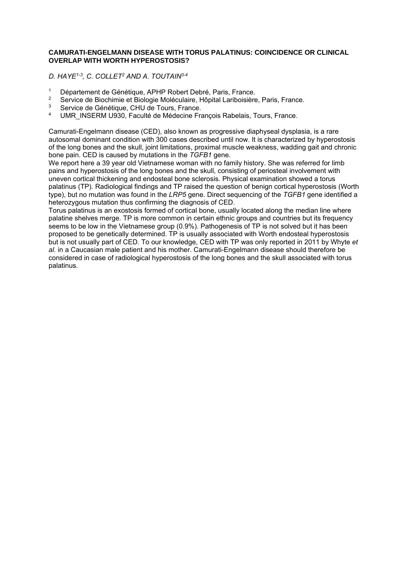#### **CAMURATI-ENGELMANN DISEASE WITH TORUS PALATINUS: COINCIDENCE OR CLINICAL OVERLAP WITH WORTH HYPEROSTOSIS?**

*D. HAYE1-3, C. COLLET2 AND A. TOUTAIN3-4* 

- <sup>1</sup> Département de Génétique, APHP Robert Debré, Paris, France.<br><sup>2</sup> Sentige de Piechimie et Pielogie Meléqulaire, Hênital Leribejoière
- <sup>2</sup> Service de Biochimie et Biologie Moléculaire, Hôpital Lariboisière, Paris, France.<br><sup>3</sup> Service de Génétique, CHU de Toure, France.
- <sup>3</sup> Service de Génétique, CHU de Tours, France.<br>4 JUMB INSERM U020, Foculté de Médecine Fra
- UMR\_INSERM U930, Faculté de Médecine François Rabelais, Tours, France.

Camurati-Engelmann disease (CED), also known as progressive diaphyseal dysplasia, is a rare autosomal dominant condition with 300 cases described until now. It is characterized by hyperostosis of the long bones and the skull, joint limitations, proximal muscle weakness, wadding gait and chronic bone pain. CED is caused by mutations in the *TGFB1* gene.

We report here a 39 year old Vietnamese woman with no family history. She was referred for limb pains and hyperostosis of the long bones and the skull, consisting of periosteal involvement with uneven cortical thickening and endosteal bone sclerosis. Physical examination showed a torus palatinus (TP). Radiological findings and TP raised the question of benign cortical hyperostosis (Worth type), but no mutation was found in the *LRP5* gene. Direct sequencing of the *TGFB1* gene identified a heterozygous mutation thus confirming the diagnosis of CED.

Torus palatinus is an exostosis formed of cortical bone, usually located along the median line where palatine shelves merge. TP is more common in certain ethnic groups and countries but its frequency seems to be low in the Vietnamese group (0.9%). Pathogenesis of TP is not solved but it has been proposed to be genetically determined. TP is usually associated with Worth endosteal hyperostosis but is not usually part of CED. To our knowledge, CED with TP was only reported in 2011 by Whyte *et al.* in a Caucasian male patient and his mother. Camurati-Engelmann disease should therefore be considered in case of radiological hyperostosis of the long bones and the skull associated with torus palatinus.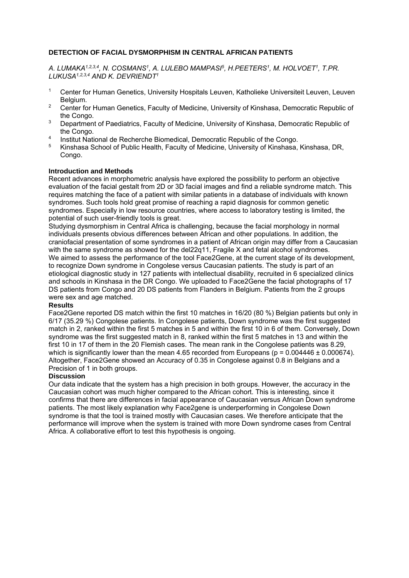#### **DETECTION OF FACIAL DYSMORPHISM IN CENTRAL AFRICAN PATIENTS**

*A. LUMAKA1,2,3,4, N. COSMANS1, A. LULEBO MAMPASI5, H.PEETERS1, M. HOLVOET1, T.PR. LUKUSA1,2,3,4 AND K. DEVRIENDT1*

- 1 Center for Human Genetics, University Hospitals Leuven, Katholieke Universiteit Leuven, Leuven Belgium.
- <sup>2</sup> Center for Human Genetics, Faculty of Medicine, University of Kinshasa, Democratic Republic of the Congo.
- <sup>3</sup> Department of Paediatrics, Faculty of Medicine, University of Kinshasa, Democratic Republic of the Congo.
- <sup>4</sup> Institut National de Recherche Biomedical, Democratic Republic of the Congo.<br><sup>5</sup> Kingbase Sobool of Public Hoalth, Feaulty of Modicine, University of Kingbase.
- 5 Kinshasa School of Public Health, Faculty of Medicine, University of Kinshasa, Kinshasa, DR, Congo.

#### **Introduction and Methods**

Recent advances in morphometric analysis have explored the possibility to perform an objective evaluation of the facial gestalt from 2D or 3D facial images and find a reliable syndrome match. This requires matching the face of a patient with similar patients in a database of individuals with known syndromes. Such tools hold great promise of reaching a rapid diagnosis for common genetic syndromes. Especially in low resource countries, where access to laboratory testing is limited, the potential of such user-friendly tools is great.

Studying dysmorphism in Central Africa is challenging, because the facial morphology in normal individuals presents obvious differences between African and other populations. In addition, the craniofacial presentation of some syndromes in a patient of African origin may differ from a Caucasian with the same syndrome as showed for the del22q11, Fragile X and fetal alcohol syndromes. We aimed to assess the performance of the tool Face2Gene, at the current stage of its development, to recognize Down syndrome in Congolese versus Caucasian patients. The study is part of an etiological diagnostic study in 127 patients with intellectual disability, recruited in 6 specialized clinics and schools in Kinshasa in the DR Congo. We uploaded to Face2Gene the facial photographs of 17 DS patients from Congo and 20 DS patients from Flanders in Belgium. Patients from the 2 groups were sex and age matched.

#### **Results**

Face2Gene reported DS match within the first 10 matches in 16/20 (80 %) Belgian patients but only in 6/17 (35.29 %) Congolese patients. In Congolese patients, Down syndrome was the first suggested match in 2, ranked within the first 5 matches in 5 and within the first 10 in 6 of them. Conversely, Down syndrome was the first suggested match in 8, ranked within the first 5 matches in 13 and within the first 10 in 17 of them in the 20 Flemish cases. The mean rank in the Congolese patients was 8.29, which is significantly lower than the mean 4.65 recorded from Europeans ( $p = 0.004446 \pm 0.000674$ ). Altogether, Face2Gene showed an Accuracy of 0.35 in Congolese against 0.8 in Belgians and a Precision of 1 in both groups.

#### **Discussion**

Our data indicate that the system has a high precision in both groups. However, the accuracy in the Caucasian cohort was much higher compared to the African cohort. This is interesting, since it confirms that there are differences in facial appearance of Caucasian versus African Down syndrome patients. The most likely explanation why Face2gene is underperforming in Congolese Down syndrome is that the tool is trained mostly with Caucasian cases. We therefore anticipate that the performance will improve when the system is trained with more Down syndrome cases from Central Africa. A collaborative effort to test this hypothesis is ongoing.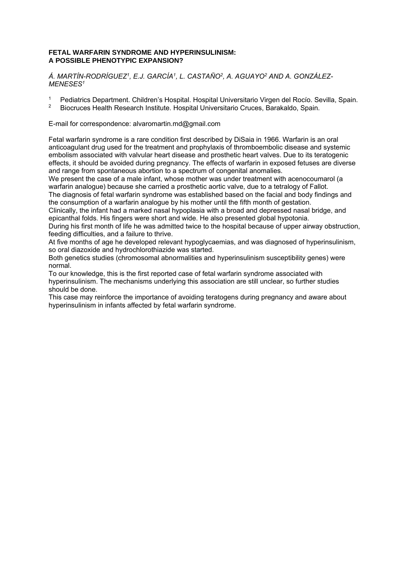#### **FETAL WARFARIN SYNDROME AND HYPERINSULINISM: A POSSIBLE PHENOTYPIC EXPANSION?**

*Á. MARTÍN-RODRÍGUEZ1, E.J. GARCÍA1, L. CASTAÑO2, A. AGUAYO2 AND A. GONZÁLEZ-MENESES1*

- 1 Pediatrics Department. Children's Hospital. Hospital Universitario Virgen del Rocío. Sevilla, Spain.<br>2 Piecruces Hoalth Bessarsh Institute. Hospital Universitario Cruces. Barakalde, Spain.
- 2 Biocruces Health Research Institute. Hospital Universitario Cruces, Barakaldo, Spain.

E-mail for correspondence: alvaromartin.md@gmail.com

Fetal warfarin syndrome is a rare condition first described by DiSaia in 1966. Warfarin is an oral anticoagulant drug used for the treatment and prophylaxis of thromboembolic disease and systemic embolism associated with valvular heart disease and prosthetic heart valves. Due to its teratogenic effects, it should be avoided during pregnancy. The effects of warfarin in exposed fetuses are diverse and range from spontaneous abortion to a spectrum of congenital anomalies.

We present the case of a male infant, whose mother was under treatment with acenocoumarol (a warfarin analogue) because she carried a prosthetic aortic valve, due to a tetralogy of Fallot. The diagnosis of fetal warfarin syndrome was established based on the facial and body findings and the consumption of a warfarin analogue by his mother until the fifth month of gestation.

Clinically, the infant had a marked nasal hypoplasia with a broad and depressed nasal bridge, and epicanthal folds. His fingers were short and wide. He also presented global hypotonia.

During his first month of life he was admitted twice to the hospital because of upper airway obstruction, feeding difficulties, and a failure to thrive.

At five months of age he developed relevant hypoglycaemias, and was diagnosed of hyperinsulinism, so oral diazoxide and hydrochlorothiazide was started.

Both genetics studies (chromosomal abnormalities and hyperinsulinism susceptibility genes) were normal.

To our knowledge, this is the first reported case of fetal warfarin syndrome associated with hyperinsulinism. The mechanisms underlying this association are still unclear, so further studies should be done.

This case may reinforce the importance of avoiding teratogens during pregnancy and aware about hyperinsulinism in infants affected by fetal warfarin syndrome.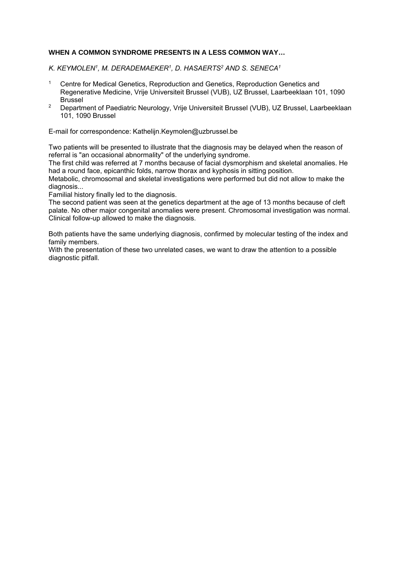#### **WHEN A COMMON SYNDROME PRESENTS IN A LESS COMMON WAY…**

*K. KEYMOLEN1, M. DERADEMAEKER1, D. HASAERTS2 AND S. SENECA1*

- 1 Centre for Medical Genetics, Reproduction and Genetics, Reproduction Genetics and Regenerative Medicine, Vrije Universiteit Brussel (VUB), UZ Brussel, Laarbeeklaan 101, 1090 Brussel
- <sup>2</sup> Department of Paediatric Neurology, Vrije Universiteit Brussel (VUB), UZ Brussel, Laarbeeklaan 101, 1090 Brussel

E-mail for correspondence: Kathelijn.Keymolen@uzbrussel.be

Two patients will be presented to illustrate that the diagnosis may be delayed when the reason of referral is "an occasional abnormality" of the underlying syndrome.

The first child was referred at 7 months because of facial dysmorphism and skeletal anomalies. He had a round face, epicanthic folds, narrow thorax and kyphosis in sitting position.

Metabolic, chromosomal and skeletal investigations were performed but did not allow to make the diagnosis...

Familial history finally led to the diagnosis.

The second patient was seen at the genetics department at the age of 13 months because of cleft palate. No other major congenital anomalies were present. Chromosomal investigation was normal. Clinical follow-up allowed to make the diagnosis.

Both patients have the same underlying diagnosis, confirmed by molecular testing of the index and family members.

With the presentation of these two unrelated cases, we want to draw the attention to a possible diagnostic pitfall.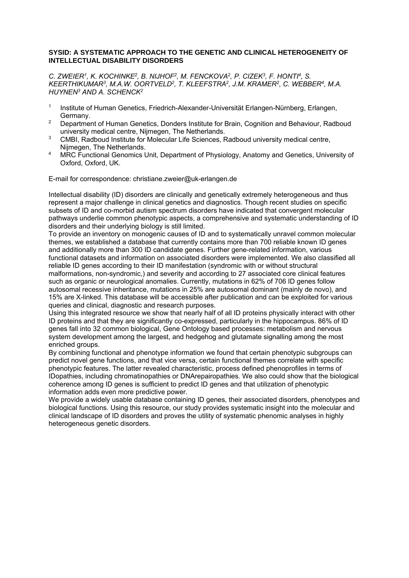#### **SYSID: A SYSTEMATIC APPROACH TO THE GENETIC AND CLINICAL HETEROGENEITY OF INTELLECTUAL DISABILITY DISORDERS**

*C. ZWEIER1, K. KOCHINKE2, B. NIJHOF2, M. FENCKOVA2, P. CIZEK3, F. HONTI4, S. KEERTHIKUMAR3, M.A.W. OORTVELD2, T. KLEEFSTRA2, J.M. KRAMER2, C. WEBBER4, M.A. HUYNEN3 AND A. SCHENCK2* 

- 1 Institute of Human Genetics, Friedrich-Alexander-Universität Erlangen-Nürnberg, Erlangen, Germany.
- <sup>2</sup> Department of Human Genetics, Donders Institute for Brain, Cognition and Behaviour, Radboud university medical centre, Nijmegen, The Netherlands.
- <sup>3</sup> CMBI, Radboud Institute for Molecular Life Sciences, Radboud university medical centre, Nijmegen, The Netherlands.
- <sup>4</sup> MRC Functional Genomics Unit, Department of Physiology, Anatomy and Genetics, University of Oxford, Oxford, UK.

E-mail for correspondence: christiane.zweier@uk-erlangen.de

Intellectual disability (ID) disorders are clinically and genetically extremely heterogeneous and thus represent a major challenge in clinical genetics and diagnostics. Though recent studies on specific subsets of ID and co-morbid autism spectrum disorders have indicated that convergent molecular pathways underlie common phenotypic aspects, a comprehensive and systematic understanding of ID disorders and their underlying biology is still limited.

To provide an inventory on monogenic causes of ID and to systematically unravel common molecular themes, we established a database that currently contains more than 700 reliable known ID genes and additionally more than 300 ID candidate genes. Further gene-related information, various functional datasets and information on associated disorders were implemented. We also classified all reliable ID genes according to their ID manifestation (syndromic with or without structural malformations, non-syndromic,) and severity and according to 27 associated core clinical features such as organic or neurological anomalies. Currently, mutations in 62% of 706 ID genes follow autosomal recessive inheritance, mutations in 25% are autosomal dominant (mainly de novo), and 15% are X-linked. This database will be accessible after publication and can be exploited for various queries and clinical, diagnostic and research purposes.

Using this integrated resource we show that nearly half of all ID proteins physically interact with other ID proteins and that they are significantly co-expressed, particularly in the hippocampus. 86% of ID genes fall into 32 common biological, Gene Ontology based processes: metabolism and nervous system development among the largest, and hedgehog and glutamate signalling among the most enriched groups.

By combining functional and phenotype information we found that certain phenotypic subgroups can predict novel gene functions, and that vice versa, certain functional themes correlate with specific phenotypic features. The latter revealed characteristic, process defined phenoprofiles in terms of IDopathies, including chromatinopathies or DNArepairopathies. We also could show that the biological coherence among ID genes is sufficient to predict ID genes and that utilization of phenotypic information adds even more predictive power.

We provide a widely usable database containing ID genes, their associated disorders, phenotypes and biological functions. Using this resource, our study provides systematic insight into the molecular and clinical landscape of ID disorders and proves the utility of systematic phenomic analyses in highly heterogeneous genetic disorders.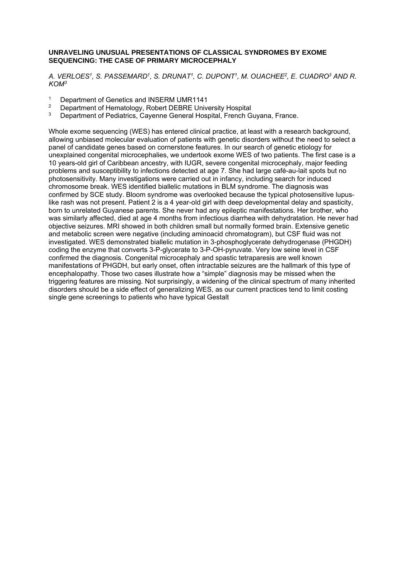#### **UNRAVELING UNUSUAL PRESENTATIONS OF CLASSICAL SYNDROMES BY EXOME SEQUENCING: THE CASE OF PRIMARY MICROCEPHALY**

*A. VERLOES1, S. PASSEMARD1, S. DRUNAT1, C. DUPONT1, M. OUACHEE2, E. CUADRO3 AND R. KOM3*

- <sup>1</sup> Department of Genetics and INSERM UMR1141<sup>2</sup> Department of Hematology, Robert DERRE Unive
- <sup>2</sup> Department of Hematology, Robert DEBRE University Hospital<br><sup>3</sup> Department of Podiatrics, Cayerna Caparal Hospital, Franch C
- Department of Pediatrics, Cayenne General Hospital, French Guyana, France.

Whole exome sequencing (WES) has entered clinical practice, at least with a research background, allowing unbiased molecular evaluation of patients with genetic disorders without the need to select a panel of candidate genes based on cornerstone features. In our search of genetic etiology for unexplained congenital microcephalies, we undertook exome WES of two patients. The first case is a 10 years-old girl of Caribbean ancestry, with IUGR, severe congenital microcephaly, major feeding problems and susceptibility to infections detected at age 7. She had large café-au-lait spots but no photosensitivity. Many investigations were carried out in infancy, including search for induced chromosome break. WES identified biallelic mutations in BLM syndrome. The diagnosis was confirmed by SCE study. Bloom syndrome was overlooked because the typical photosensitive lupuslike rash was not present. Patient 2 is a 4 year-old girl with deep developmental delay and spasticity, born to unrelated Guyanese parents. She never had any epileptic manifestations. Her brother, who was similarly affected, died at age 4 months from infectious diarrhea with dehydratation. He never had objective seizures. MRI showed in both children small but normally formed brain. Extensive genetic and metabolic screen were negative (including aminoacid chromatogram), but CSF fluid was not investigated. WES demonstrated biallelic mutation in 3-phosphoglycerate dehydrogenase (PHGDH) coding the enzyme that converts 3-P-glycerate to 3-P-OH-pyruvate. Very low seine level in CSF confirmed the diagnosis. Congenital microcephaly and spastic tetraparesis are well known manifestations of PHGDH, but early onset, often intractable seizures are the hallmark of this type of encephalopathy. Those two cases illustrate how a "simple" diagnosis may be missed when the triggering features are missing. Not surprisingly, a widening of the clinical spectrum of many inherited disorders should be a side effect of generalizing WES, as our current practices tend to limit costing single gene screenings to patients who have typical Gestalt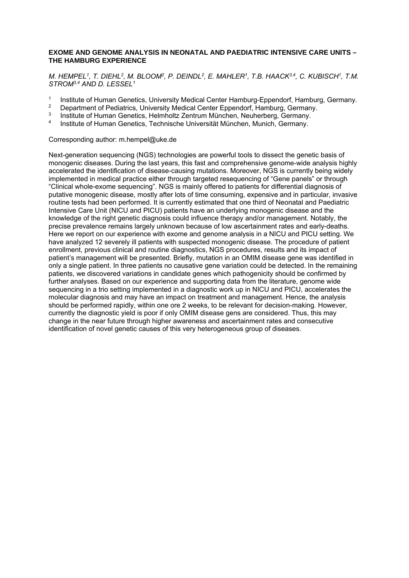#### **EXOME AND GENOME ANALYSIS IN NEONATAL AND PAEDIATRIC INTENSIVE CARE UNITS – THE HAMBURG EXPERIENCE**

*M. HEMPEL1, T. DIEHL2, M. BLOOM2, P. DEINDL2, E. MAHLER1, T.B. HAACK3,4, C. KUBISCH1, T.M. STROM3,4 AND D. LESSEL1* 

- <sup>1</sup> Institute of Human Genetics, University Medical Center Hamburg-Eppendorf, Hamburg, Germany.<br><sup>2</sup> Department of Pedictrics, University Medical Center Eppendorf, Hamburg, Cermany.
- <sup>2</sup> Department of Pediatrics, University Medical Center Eppendorf, Hamburg, Germany.<br><sup>3</sup> Petitute of Human Constice, Helmheltz Zentrum München, Neuberberg, Cermany.
- <sup>3</sup> Institute of Human Genetics, Helmholtz Zentrum München, Neuherberg, Germany.
- 4 Institute of Human Genetics, Technische Universität München, Munich, Germany.

#### Corresponding author: m.hempel@uke.de

Next-generation sequencing (NGS) technologies are powerful tools to dissect the genetic basis of monogenic diseases. During the last years, this fast and comprehensive genome-wide analysis highly accelerated the identification of disease-causing mutations. Moreover, NGS is currently being widely implemented in medical practice either through targeted resequencing of "Gene panels" or through "Clinical whole-exome sequencing". NGS is mainly offered to patients for differential diagnosis of putative monogenic disease, mostly after lots of time consuming, expensive and in particular, invasive routine tests had been performed. It is currently estimated that one third of Neonatal and Paediatric Intensive Care Unit (NICU and PICU) patients have an underlying monogenic disease and the knowledge of the right genetic diagnosis could influence therapy and/or management. Notably, the precise prevalence remains largely unknown because of low ascertainment rates and early-deaths. Here we report on our experience with exome and genome analysis in a NICU and PICU setting. We have analyzed 12 severely ill patients with suspected monogenic disease. The procedure of patient enrollment, previous clinical and routine diagnostics, NGS procedures, results and its impact of patient's management will be presented. Briefly, mutation in an OMIM disease gene was identified in only a single patient. In three patients no causative gene variation could be detected. In the remaining patients, we discovered variations in candidate genes which pathogenicity should be confirmed by further analyses. Based on our experience and supporting data from the literature, genome wide sequencing in a trio setting implemented in a diagnostic work up in NICU and PICU, accelerates the molecular diagnosis and may have an impact on treatment and management. Hence, the analysis should be performed rapidly, within one ore 2 weeks, to be relevant for decision-making. However, currently the diagnostic yield is poor if only OMIM disease gens are considered. Thus, this may change in the near future through higher awareness and ascertainment rates and consecutive identification of novel genetic causes of this very heterogeneous group of diseases.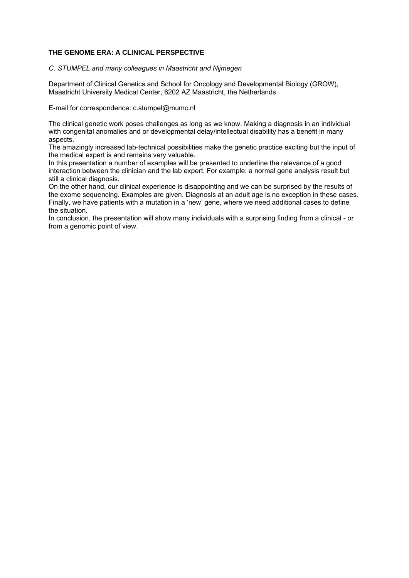#### **THE GENOME ERA: A CLINICAL PERSPECTIVE**

#### *C. STUMPEL and many colleagues in Maastricht and Nijmegen*

Department of Clinical Genetics and School for Oncology and Developmental Biology (GROW), Maastricht University Medical Center, 6202 AZ Maastricht, the Netherlands

E-mail for correspondence: c.stumpel@mumc.nl

The clinical genetic work poses challenges as long as we know. Making a diagnosis in an individual with congenital anomalies and or developmental delay/intellectual disability has a benefit in many aspects.

The amazingly increased lab-technical possibilities make the genetic practice exciting but the input of the medical expert is and remains very valuable.

In this presentation a number of examples will be presented to underline the relevance of a good interaction between the clinician and the lab expert. For example: a normal gene analysis result but still a clinical diagnosis.

On the other hand, our clinical experience is disappointing and we can be surprised by the results of the exome sequencing. Examples are given. Diagnosis at an adult age is no exception in these cases. Finally, we have patients with a mutation in a 'new' gene, where we need additional cases to define the situation.

In conclusion, the presentation will show many individuals with a surprising finding from a clinical - or from a genomic point of view.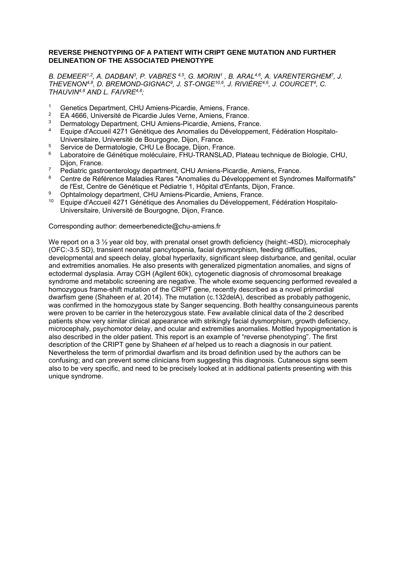#### **REVERSE PHENOTYPING OF A PATIENT WITH CRIPT GENE MUTATION AND FURTHER DELINEATION OF THE ASSOCIATED PHENOTYPE**

*B. DEMEER1,2, A. DADBAN3, P. VABRES 4,5, G. MORIN1 , B. ARAL4,6, A. VARENTERGHEM7, J. THEVENON4,8, D. BREMOND-GIGNAC9, J. ST-ONGE10,6, J. RIVIÈRE4,6, J. COURCET4, C. THAUVIN4,8 AND L. FAIVRE4,8;* 

- 1 Genetics Department, CHU Amiens-Picardie, Amiens, France.<br>2 EA 4666, Université de Picardie, Jules Verne, Amiens, France.
- <sup>2</sup> EA 4666, Université de Picardie Jules Verne, Amiens, France.
- <sup>3</sup> Dermatology Department, CHU Amiens-Picardie, Amiens, France.<br><sup>4</sup> Equipe d'Acqueil 4271 Génétique des Apemalies du Développeme
- 4 Equipe d'Accueil 4271 Génétique des Anomalies du Développement, Fédération Hospitalo-Universitaire, Université de Bourgogne, Dijon, France.
- <sup>5</sup> Service de Dermatologie, CHU Le Bocage, Dijon, France.<br><sup>6</sup> Laboratoire de Cénétique moléculaire, EHU TRANSLAD, I
- Laboratoire de Génétique moléculaire, FHU-TRANSLAD, Plateau technique de Biologie, CHU, Dijon, France.
- 7 Pediatric gastroenterology department, CHU Amiens-Picardie, Amiens, France.<br>8 Centre de Pétérence Maladies Pares "Anomalies du Développement et Syndron
- 8 Centre de Référence Maladies Rares "Anomalies du Développement et Syndromes Malformatifs" de l'Est, Centre de Génétique et Pédiatrie 1, Hôpital d'Enfants, Dijon, France.
- 9 Ophtalmology department, CHU Amiens-Picardie, Amiens, France.
- <sup>10</sup> Equipe d'Accueil 4271 Génétique des Anomalies du Développement, Fédération Hospitalo-Universitaire, Université de Bourgogne, Dijon, France.

Corresponding author: demeerbenedicte@chu-amiens.fr

We report on a 3  $\frac{1}{2}$  year old boy, with prenatal onset growth deficiency (height:-4SD), microcephaly (OFC:-3.5 SD), transient neonatal pancytopenia, facial dysmorphism, feeding difficulties, developmental and speech delay, global hyperlaxity, significant sleep disturbance, and genital, ocular and extremities anomalies. He also presents with generalized pigmentation anomalies, and signs of ectodermal dysplasia. Array CGH (Agilent 60k), cytogenetic diagnosis of chromosomal breakage syndrome and metabolic screening are negative. The whole exome sequencing performed revealed a homozygous frame-shift mutation of the CRIPT gene, recently described as a novel primordial dwarfism gene (Shaheen *et al*, 2014). The mutation (c.132delA), described as probably pathogenic, was confirmed in the homozygous state by Sanger sequencing. Both healthy consanguineous parents were proven to be carrier in the heterozygous state. Few available clinical data of the 2 described patients show very similar clinical appearance with strikingly facial dysmorphism, growth deficiency, microcephaly, psychomotor delay, and ocular and extremities anomalies. Mottled hypopigmentation is also described in the older patient. This report is an example of "reverse phenotyping". The first description of the CRIPT gene by Shaheen *et al* helped us to reach a diagnosis in our patient. Nevertheless the term of primordial dwarfism and its broad definition used by the authors can be confusing; and can prevent some clinicians from suggesting this diagnosis. Cutaneous signs seem also to be very specific, and need to be precisely looked at in additional patients presenting with this unique syndrome.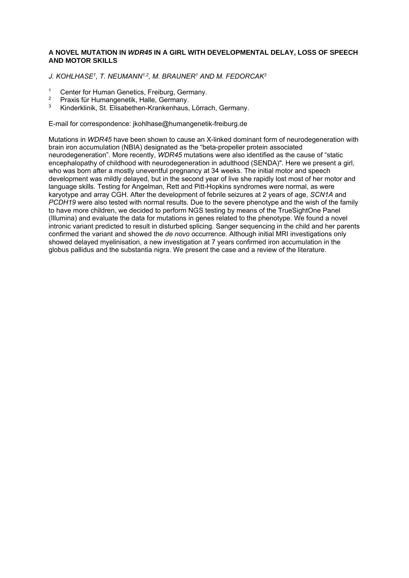#### **A NOVEL MUTATION IN** *WDR45* **IN A GIRL WITH DEVELOPMENTAL DELAY, LOSS OF SPEECH AND MOTOR SKILLS**

*J. KOHLHASE1, T. NEUMANN1,2, M. BRAUNER1 AND M. FEDORCAK3*

- <sup>1</sup> Center for Human Genetics, Freiburg, Germany.<br><sup>2</sup> Provis für Humangenetik, Helle, Cermany.
- <sup>2</sup> Praxis für Humangenetik, Halle, Germany.<br><sup>3</sup> Kinderklinik, St. Elisabethen Krankenhaus.
- 3 Kinderklinik, St. Elisabethen-Krankenhaus, Lörrach, Germany.

E-mail for correspondence: jkohlhase@humangenetik-freiburg.de

Mutations in *WDR45* have been shown to cause an X-linked dominant form of neurodegeneration with brain iron accumulation (NBIA) designated as the "beta-propeller protein associated neurodegeneration". More recently, *WDR45* mutations were also identified as the cause of "static encephalopathy of childhood with neurodegeneration in adulthood (SENDA)". Here we present a girl, who was born after a mostly uneventful pregnancy at 34 weeks. The initial motor and speech development was mildly delayed, but in the second year of live she rapidly lost most of her motor and language skills. Testing for Angelman, Rett and Pitt-Hopkins syndromes were normal, as were karyotype and array CGH. After the development of febrile seizures at 2 years of age, *SCN1A* and *PCDH19* were also tested with normal results. Due to the severe phenotype and the wish of the family to have more children, we decided to perform NGS testing by means of the TrueSightOne Panel (Illumina) and evaluate the data for mutations in genes related to the phenotype. We found a novel intronic variant predicted to result in disturbed splicing. Sanger sequencing in the child and her parents confirmed the variant and showed the *de novo* occurrence. Although initial MRI investigations only showed delayed myelinisation, a new investigation at 7 years confirmed iron accumulation in the globus pallidus and the substantia nigra. We present the case and a review of the literature.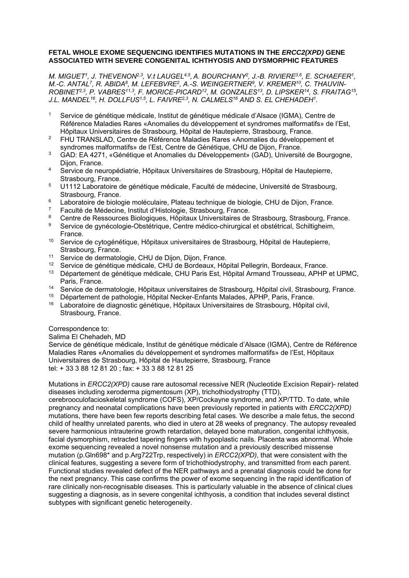#### **FETAL WHOLE EXOME SEQUENCING IDENTIFIES MUTATIONS IN THE** *ERCC2(XPD)* **GENE ASSOCIATED WITH SEVERE CONGENITAL ICHTHYOSIS AND DYSMORPHIC FEATURES**

*M. MIGUET1, J. THEVENON2,3, V.t LAUGEL4,5, A. BOURCHANY2, J.-B. RIVIERE3,6, E. SCHAEFER1,*  M.-C. ANTAL<sup>7</sup>, R. ABIDA<sup>8</sup>, M. LEFEBVRE<sup>2</sup>, A.-S. WEINGERTNER<sup>9</sup>, V. KREMER<sup>10</sup>, C. THAUVIN-*ROBINET2,3, P. VABRES11,3, F. MORICE-PICARD12, M. GONZALES13, D. LIPSKER14, S. FRAITAG15,*  J.L. MANDEL<sup>16</sup>, H. DOLLFUS<sup>1,5</sup>, L. FAIVRE<sup>2,3</sup>, N. CALMELS<sup>16</sup> AND S. EL CHEHADEH<sup>1</sup>.

- 1 Service de génétique médicale, Institut de génétique médicale d'Alsace (IGMA), Centre de Référence Maladies Rares «Anomalies du développement et syndromes malformatifs» de l'Est, Hôpitaux Universitaires de Strasbourg, Hôpital de Hautepierre, Strasbourg, France.
- <sup>2</sup> FHU TRANSLAD, Centre de Référence Maladies Rares «Anomalies du développement et syndromes malformatifs» de l'Est, Centre de Génétique, CHU de Dijon, France.
- 3 GAD: EA 4271, «Génétique et Anomalies du Développement» (GAD), Université de Bourgogne, Dijon, France.
- 4 Service de neuropédiatrie, Hôpitaux Universitaires de Strasbourg, Hôpital de Hautepierre, Strasbourg, France.
- <sup>5</sup> U1112 Laboratoire de génétique médicale, Faculté de médecine, Université de Strasbourg, Strasbourg, France.
- <sup>6</sup> Laboratoire de biologie moléculaire, Plateau technique de biologie, CHU de Dijon, France.
- 7 Faculté de Médecine, Institut d'Histologie, Strasbourg, France.
- <sup>8</sup> Centre de Ressources Biologiques, Hôpitaux Universitaires de Strasbourg, Strasbourg, France.<br>8 Sentigo de gunéoglogie Obetétrique, Centre médice objeurgical et obetétrical, Sobilitatoria.
- 9 Service de gynécologie-Obstétrique, Centre médico-chirurgical et obstétrical, Schiltigheim, France.
- <sup>10</sup> Service de cytogénétique, Hôpitaux universitaires de Strasbourg, Hôpital de Hautepierre, Strasbourg, France.
- 11 Service de dermatologie, CHU de Dijon, Dijon, France.
- <sup>12</sup> Service de génétique médicale, CHU de Bordeaux, Hôpital Pellegrin, Bordeaux, France.
- 13 Département de génétique médicale, CHU Paris Est, Hôpital Armand Trousseau, APHP et UPMC, Paris, France.
- <sup>14</sup> Service de dermatologie, Hôpitaux universitaires de Strasbourg, Hôpital civil, Strasbourg, France.<br><sup>15</sup> Département de pathologie, Hôpital Necker Enfants Malades, APHP, Paris, France.
- <sup>15</sup> Département de pathologie, Hôpital Necker-Enfants Malades, APHP, Paris, France.<br><sup>16</sup> Laboratoire de diagnostic génétique, Hôpitaux Universitaires de Strasbourg, Hôpital
- 16 Laboratoire de diagnostic génétique, Hôpitaux Universitaires de Strasbourg, Hôpital civil, Strasbourg, France.

#### Correspondence to:

#### Salima El Chehadeh, MD

Service de génétique médicale, Institut de génétique médicale d'Alsace (IGMA), Centre de Référence Maladies Rares «Anomalies du développement et syndromes malformatifs» de l'Est, Hôpitaux Universitaires de Strasbourg, Hôpital de Hautepierre, Strasbourg, France tel: + 33 3 88 12 81 20 ; fax: + 33 3 88 12 81 25

Mutations in *ERCC2(XPD)* cause rare autosomal recessive NER (Nucleotide Excision Repair)- related diseases including xeroderma pigmentosum (XP), trichothiodystrophy (TTD),

cerebrooculofacioskeletal syndrome (COFS), XP/Cockayne syndrome, and XP/TTD. To date, while pregnancy and neonatal complications have been previously reported in patients with *ERCC2(XPD)* mutations, there have been few reports describing fetal cases. We describe a male fetus, the second child of healthy unrelated parents, who died in utero at 28 weeks of pregnancy. The autopsy revealed severe harmonious intrauterine growth retardation, delayed bone maturation, congenital ichthyosis, facial dysmorphism, retracted tapering fingers with hypoplastic nails. Placenta was abnormal. Whole exome sequencing revealed a novel nonsense mutation and a previously described missense mutation (p.Gln698\* and p.Arg722Trp, respectively) in *ERCC2(XPD)*, that were consistent with the clinical features, suggesting a severe form of trichothiodystrophy, and transmitted from each parent. Functional studies revealed defect of the NER pathways and a prenatal diagnosis could be done for the next pregnancy. This case confirms the power of exome sequencing in the rapid identification of rare clinically non-recognisable diseases. This is particularly valuable in the absence of clinical clues suggesting a diagnosis, as in severe congenital ichthyosis, a condition that includes several distinct subtypes with significant genetic heterogeneity.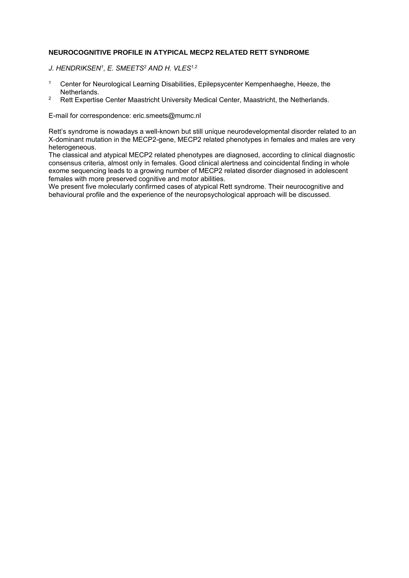#### **NEUROCOGNITIVE PROFILE IN ATYPICAL MECP2 RELATED RETT SYNDROME**

*J. HENDRIKSEN1, E. SMEETS2 AND H. VLES1,2* 

- <sup>1</sup> Center for Neurological Learning Disabilities, Epilepsycenter Kempenhaeghe, Heeze, the Netherlands.
- <sup>2</sup> Rett Expertise Center Maastricht University Medical Center, Maastricht, the Netherlands.

E-mail for correspondence: eric.smeets@mumc.nl

Rett's syndrome is nowadays a well-known but still unique neurodevelopmental disorder related to an X-dominant mutation in the MECP2-gene, MECP2 related phenotypes in females and males are very heterogeneous.

The classical and atypical MECP2 related phenotypes are diagnosed, according to clinical diagnostic consensus criteria, almost only in females. Good clinical alertness and coincidental finding in whole exome sequencing leads to a growing number of MECP2 related disorder diagnosed in adolescent females with more preserved cognitive and motor abilities.

We present five molecularly confirmed cases of atypical Rett syndrome. Their neurocognitive and behavioural profile and the experience of the neuropsychological approach will be discussed.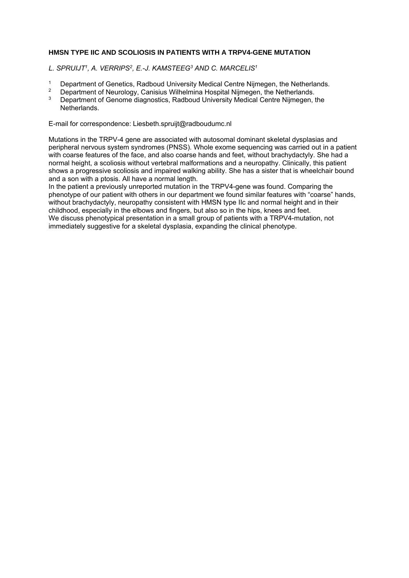#### **HMSN TYPE IIC AND SCOLIOSIS IN PATIENTS WITH A TRPV4-GENE MUTATION**

*L. SPRUIJT1, A. VERRIPS2, E.-J. KAMSTEEG3 AND C. MARCELIS1*

- <sup>1</sup> Department of Genetics, Radboud University Medical Centre Nijmegen, the Netherlands.<br><sup>2</sup> Department of Neurology, Cenisius Wilhelmine Hespital Nijmegen, the Netherlands.
- 2 Department of Neurology, Canisius Wilhelmina Hospital Nijmegen, the Netherlands.
- 3 Department of Genome diagnostics, Radboud University Medical Centre Nijmegen, the Netherlands.

E-mail for correspondence: Liesbeth.spruijt@radboudumc.nl

Mutations in the TRPV-4 gene are associated with autosomal dominant skeletal dysplasias and peripheral nervous system syndromes (PNSS). Whole exome sequencing was carried out in a patient with coarse features of the face, and also coarse hands and feet, without brachydactyly. She had a normal height, a scoliosis without vertebral malformations and a neuropathy. Clinically, this patient shows a progressive scoliosis and impaired walking ability. She has a sister that is wheelchair bound and a son with a ptosis. All have a normal length.

In the patient a previously unreported mutation in the TRPV4-gene was found. Comparing the phenotype of our patient with others in our department we found similar features with "coarse" hands, without brachydactyly, neuropathy consistent with HMSN type IIc and normal height and in their childhood, especially in the elbows and fingers, but also so in the hips, knees and feet. We discuss phenotypical presentation in a small group of patients with a TRPV4-mutation, not immediately suggestive for a skeletal dysplasia, expanding the clinical phenotype.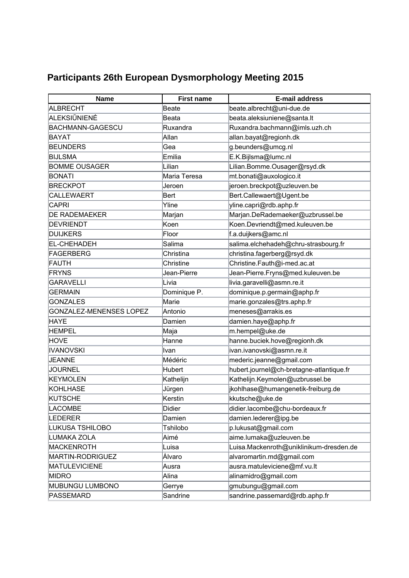## **Participants 26th European Dysmorphology Meeting 2015**

| <b>Name</b>                    | <b>First name</b> | <b>E-mail address</b>                    |
|--------------------------------|-------------------|------------------------------------------|
| ALBRECHT                       | Beate             | beate.albrecht@uni-due.de                |
| <b>ALEKSIŪNIENĖ</b>            | <b>Beata</b>      | beata.aleksiuniene@santa.lt              |
| <b>BACHMANN-GAGESCU</b>        | Ruxandra          | Ruxandra.bachmann@imls.uzh.ch            |
| BAYAT                          | Allan             | allan.bayat@regionh.dk                   |
| <b>BEUNDERS</b>                | Gea               | g.beunders@umcg.nl                       |
| <b>BIJLSMA</b>                 | Emilia            | E.K.Bijlsma@lumc.nl                      |
| <b>BOMME OUSAGER</b>           | Lilian            | Lilian.Bomme.Ousager@rsyd.dk             |
| <b>BONATI</b>                  | Maria Teresa      | mt.bonati@auxologico.it                  |
| <b>BRECKPOT</b>                | Jeroen            | jeroen.breckpot@uzleuven.be              |
| <b>CALLEWAERT</b>              | <b>Bert</b>       | Bert.Callewaert@Ugent.be                 |
| <b>CAPRI</b>                   | Yline             | yline.capri@rdb.aphp.fr                  |
| <b>DE RADEMAEKER</b>           | Marjan            | Marjan.DeRademaeker@uzbrussel.be         |
| <b>DEVRIENDT</b>               | Koen              | Koen.Devriendt@med.kuleuven.be           |
| <b>DUIJKERS</b>                | Floor             | f.a.duijkers@amc.nl                      |
| <b>EL-CHEHADEH</b>             | Salima            | salima.elchehadeh@chru-strasbourg.fr     |
| FAGERBERG                      | Christina         | christina.fagerberg@rsyd.dk              |
| <b>FAUTH</b>                   | Christine         | Christine.Fauth@i-med.ac.at              |
| <b>FRYNS</b>                   | Jean-Pierre       | Jean-Pierre.Fryns@med.kuleuven.be        |
| <b>GARAVELLI</b>               | Livia             | livia.garavelli@asmn.re.it               |
| <b>GERMAIN</b>                 | Dominique P.      | dominique.p.germain@aphp.fr              |
| <b>GONZALES</b>                | Marie             | marie.gonzales@trs.aphp.fr               |
| <b>GONZALEZ-MENENSES LOPEZ</b> | Antonio           | meneses@arrakis.es                       |
| <b>HAYE</b>                    | Damien            | damien.haye@aphp.fr                      |
| <b>HEMPEL</b>                  | Maja              | m.hempel@uke.de                          |
| <b>HOVE</b>                    | Hanne             | hanne.buciek.hove@regionh.dk             |
| <b>IVANOVSKI</b>               | Ivan              | ivan.ivanovski@asmn.re.it                |
| <b>JEANNE</b>                  | Médéric           | mederic.jeanne@gmail.com                 |
| <b>JOURNEL</b>                 | Hubert            | hubert.journel@ch-bretagne-atlantique.fr |
| <b>KEYMOLEN</b>                | Kathelijn         | Kathelijn.Keymolen@uzbrussel.be          |
| KOHLHASE                       | Jürgen            | jkohlhase@humangenetik-freiburg.de       |
| KUTSCHE                        | Kerstin           | kkutsche@uke.de                          |
| <b>LACOMBE</b>                 | Didier            | didier.lacombe@chu-bordeaux.fr           |
| <b>LEDERER</b>                 | Damien            | damien.lederer@ipg.be                    |
| LUKUSA TSHILOBO                | Tshilobo          | p.lukusat@gmail.com                      |
| LUMAKA ZOLA                    | Aimé              | aime.lumaka@uzleuven.be                  |
| MACKENROTH                     | Luisa             | Luisa.Mackenroth@uniklinikum-dresden.de  |
| MARTIN-RODRIGUEZ               | Álvaro            | alvaromartin.md@gmail.com                |
| <b>MATULEVICIENE</b>           | Ausra             | ausra.matuleviciene@mf.vu.lt             |
| <b>MIDRO</b>                   | Alina             | alinamidro@gmail.com                     |
| MUBUNGU LUMBONO                | Gerrye            | gmubungu@gmail.com                       |
| PASSEMARD                      | Sandrine          | sandrine.passemard@rdb.aphp.fr           |